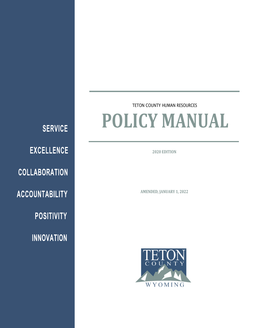**SERVICE EXCELLENCE COLLABORATION ACCOUNTABILITY POSITIVITY** 

**INNOVATION** 

# TETON COUNTY HUMAN RESOURCES **POLICY MANUAL**

**2020 EDITION**

**AMENDED, JANUARY 1, 2022**

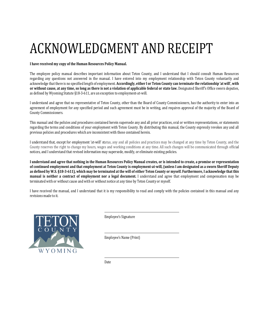# ACKNOWLEDGMENT AND RECEIPT

# **I have received my copy of the Human Resources Policy Manual.**

The employee policy manual describes important information about Teton County, and I understand that I should consult Human Resources regarding any questions not answered in the manual. I have entered into my employment relationship with Teton County voluntarily and acknowledge that there is no specified length of employment. Accordingly, either I or Teton County can terminate the relationship 'at will', with or without cause, at any time, so long as there is not a violation of applicable federal or state law. Designated Sheriff's Office sworn deputies, as defined by Wyoming Statute §18-3-611, are an exception to employment-at-will.

I understand and agree that no representative of Teton County, other than the Board of County Commissioners, has the authority to enter into an agreement of employment for any specified period and such agreement must be in writing, and requires approval of the majority of the Board of County Commissioners.

This manual and the policies and procedures contained herein supersede any and all prior practices, oral or written representations, or statements regarding the terms and conditions of your employment with Teton County. By distributing this manual, the County expressly revokes any and all previous policies and procedures which are inconsistent with those contained herein.

I understand that, except for employment 'at-will' status, any and all policies and practices may be changed at any time by Teton County, and the County reserves the right to change my hours, wages and working conditions at any time. All such changes will be communicated through official notices, and I understand that revised information may supersede, modify, or eliminate existing policies.

I understand and agree that nothing in the Human Resources Policy Manual creates, or is intended to create, a promise or representation of continued employment and that employment at Teton County is employment-at-will, (unless I am designated as a sworn Sheriff Deputy as defined by W.S. §18-3-611), which may be terminated at the will of either Teton County or myself. Furthermore, I acknowledge that this **manual is neither a contract of employment nor a legal document.** I understand and agree that employment and compensation may be terminated with or without cause and with or without notice at any time by Teton County or myself.

I have received the manual, and I understand that it is my responsibility to read and comply with the policies contained in this manual and any revisions made to it.



Employee's Signature

Employee's Name (Print)

Date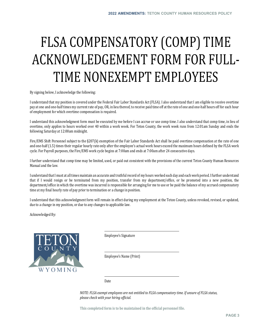# FLSA COMPENSATORY (COMP) TIME ACKNOWLEDGEMENT FORM FOR FULL-TIME NONEXEMPT EMPLOYEES

By signing below, I acknowledge the following:

I understand that my position is covered under the Federal Fair Labor Standards Act (FLSA). I also understand that I am eligible to receive overtime pay at one and one-half times my current rate of pay, OR, in lieu thereof, to receive paid time off at the rate of one and one-half hours off for each hour of employment for which overtime compensation is required.

I understand this acknowledgment form must be executed by me before I can accrue or use comp time. I also understand that comp time, in lieu of overtime, only applies to hours worked over 40 within a work week. For Teton County, the work week runs from 12:01am Sunday and ends the following Saturday at 12:00am midnight.

Fire/EMS Shift Personnel subject to the §207(k) exemption of the Fair Labor Standards Act shall be paid overtime compensation at the rate of one and one-half (1.5) times their regular hourly rate only after the employee's actual work hours exceed the maximum hours defined by the FLSA work cycle. For Payroll purposes, the Fire/EMS work cycle begins at 7:00am and ends at 7:00am after 24 consecutive days.

I further understand that comp time may be limited, used, or paid out consistent with the provisions of the current Teton County Human Resources Manual and the law.

I understand that I must at all times maintain an accurate and truthful record of my hours worked each day and each work period. I further understand that if I would resign or be terminated from my position, transfer from my department/office, or be promoted into a new position, the department/office in which the overtime was incurred is responsible for arranging for me to use or be paid the balance of my accrued compensatory time at my final hourly rate of pay prior to termination or a change in position.

I understand that this acknowledgment form will remain in effect during my employment at the Teton County, unless revoked, revised, or updated, due to a change in my position, or due to any changes to applicable law.

Acknowledged By:



Employee's Signature

Employee's Name (Print)

 $\overline{a}$ Date

*NOTE: FLSA exempt employees are not entitled to FLSA compensatory time. If unsure of FLSA status, please check with your hiring official.*

**This completed form is to be maintained in the official personnel file.**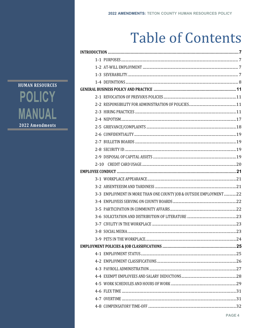# **Table of Contents**

|  | 3-3 EMPLOYMENT IN MORE THAN ONE COUNTY JOB & OUTSIDE EMPLOYMENT 22 |  |
|--|--------------------------------------------------------------------|--|
|  |                                                                    |  |
|  |                                                                    |  |
|  |                                                                    |  |
|  |                                                                    |  |
|  |                                                                    |  |
|  |                                                                    |  |
|  |                                                                    |  |
|  |                                                                    |  |
|  |                                                                    |  |
|  |                                                                    |  |
|  |                                                                    |  |
|  |                                                                    |  |
|  |                                                                    |  |
|  |                                                                    |  |
|  |                                                                    |  |
|  |                                                                    |  |

**HUMAN RESOURCES POLICY MANUAL** 2022 Amendments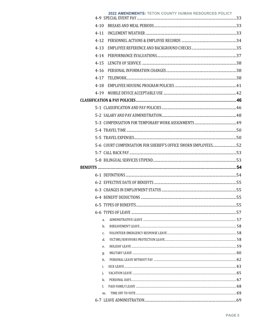|          | 2022 AMENDMENTS: TETON COUNTY HUMAN RESOURCES POLICY |  |
|----------|------------------------------------------------------|--|
| $4 - 10$ |                                                      |  |
| $4 - 11$ |                                                      |  |
| $4 - 12$ |                                                      |  |
| $4 - 13$ |                                                      |  |
| $4 - 14$ |                                                      |  |
| $4 - 15$ |                                                      |  |
| $4 - 16$ |                                                      |  |
| $4 - 17$ |                                                      |  |
| $4 - 18$ |                                                      |  |
|          |                                                      |  |
| 4-19     |                                                      |  |
|          |                                                      |  |
|          |                                                      |  |
|          |                                                      |  |
|          |                                                      |  |
|          |                                                      |  |
|          |                                                      |  |
|          |                                                      |  |
|          |                                                      |  |
|          |                                                      |  |
|          |                                                      |  |
|          |                                                      |  |
|          |                                                      |  |
|          |                                                      |  |
|          |                                                      |  |
|          |                                                      |  |
|          |                                                      |  |
| a.       |                                                      |  |
| b.       |                                                      |  |
| c.       |                                                      |  |
| d.       |                                                      |  |
| e.       |                                                      |  |
| g.       |                                                      |  |
| h.       |                                                      |  |
| i.       |                                                      |  |
| j.       |                                                      |  |
| k.<br>L. |                                                      |  |
| m.       |                                                      |  |
|          |                                                      |  |
|          |                                                      |  |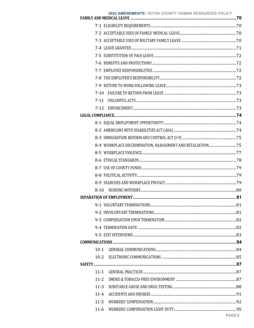|          | 2022 AMENDMENTS: TETON COUNTY HUMAN RESOURCES POLICY |  |
|----------|------------------------------------------------------|--|
|          |                                                      |  |
|          |                                                      |  |
|          |                                                      |  |
|          |                                                      |  |
|          |                                                      |  |
|          |                                                      |  |
|          |                                                      |  |
|          |                                                      |  |
|          |                                                      |  |
| $7 - 10$ |                                                      |  |
| $7 - 11$ |                                                      |  |
| $7-12$   |                                                      |  |
|          |                                                      |  |
|          |                                                      |  |
|          |                                                      |  |
|          |                                                      |  |
|          |                                                      |  |
|          |                                                      |  |
|          |                                                      |  |
|          |                                                      |  |
|          |                                                      |  |
|          |                                                      |  |
| $8-10$   |                                                      |  |
|          |                                                      |  |
|          |                                                      |  |
|          |                                                      |  |
|          |                                                      |  |
|          |                                                      |  |
|          |                                                      |  |
|          |                                                      |  |
|          |                                                      |  |
|          |                                                      |  |
|          |                                                      |  |
| $11 - 1$ |                                                      |  |
| $11 - 2$ |                                                      |  |
| $11 - 3$ |                                                      |  |
| $11 - 4$ |                                                      |  |
| $11 - 5$ |                                                      |  |
| $11-6$   |                                                      |  |
|          | PAGE 6                                               |  |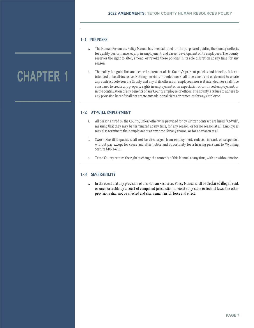# **1‐1 PURPOSES**

**CHAPTER 1** 

- a. The Human Resources Policy Manual has been adopted for the purpose of guiding the County's efforts for quality performance, equity in employment, and career development of its employees. The County reserves the right to alter, amend, or revoke these policies in its sole discretion at any time for any reason.
- b. The policy is a guideline and general statement of the County's present policies and benefits. It is not intended to be all-inclusive. Nothing herein is intended nor shall it be construed or deemed to create any contract between the County and any of its officers or employees, nor is it intended nor shall it be construed to create any property rights in employment or an expectation of continued employment, or in the continuation of any benefits of any County employee or officer. The County's failure to adhere to any provision hereof shall not create any additional rights or remedies for any employee.

# **1‐2 AT‐WILL EMPLOYMENT**

- a. All persons hired by the County, unless otherwise provided for by written contract, are hired "At-Will", meaning that they may be terminated at any time, for any reason, or for no reason at all. Employees may also terminate their employment at any time, for any reason, or for no reason at all.
- b. Sworn Sheriff Deputies shall not be discharged from employment, reduced in rank or suspended without pay except for cause and after notice and opportunity for a hearing pursuant to Wyoming Statute §18-3-611.
- c. Teton County retains the right to change the contents of this Manual at any time, with or without notice.

# **1‐3 SEVERABILITY**

a. In the event that any provision of this Human Resources Policy Manual shall be declared illegal, void, or unenforceable by a court of competent jurisdiction to violate any state or federal laws, the other provisions shall not be affected and shall remain in full force and effect.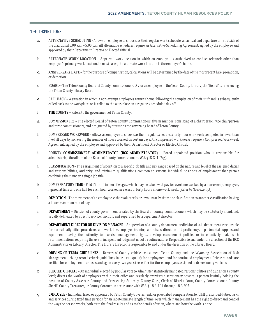# **1‐4 DEFINITIONS**

- a. **ALTERNATIVE SCHEDULING** Allows an employee to choose, as their regular work schedule, an arrival and departure time outside of the traditional 8:00 a.m. – 5:00 p.m. All alternative schedules require an Alternative Scheduling Agreement, signed by the employee and approved by their Department Director or Elected Official.
- b. **ALTERNATE WORK LOCATION** Approved work location in which an employee is authorized to conduct telework other than employee's primary work location. In most cases, the alternate work location is the employee's home.
- c. **ANNIVERSARY DATE** for the purpose of compensation, calculations will be determined by the date of the most recent hire, promotion, or demotion.
- d. **BOARD** The Teton County Board of County Commissioners. Or, for an employee of the Teton County Library, the "Board" is referencing the Teton County Library Board.
- e. **CALL BACK** A situation in which a non-exempt employees returns home following the completion of their shift and is subsequently called back to the workplace, or is called to the workplace on a regularly scheduled day off.
- f. **THE COUNTY** Refers to the government of Teton County.
- g. **COMMISSIONERS** The elected Board of Teton County Commissioners, five in number, consisting of a chairperson, vice chairperson and three commissioners, and designated by statute as the governing board of Teton County.
- h. **COMPRESSED WORKWEEK** Allows an employee to choose, as their regular schedule, a forty-hour workweek completed in fewer than five full days by increasing the number of hours worked on certain days. All compressed workweeks require a Compressed Workweek Agreement, signed by the employee and approved by their Department Director or Elected Official.
- i. **COUNTY COMMISSIONERS' ADMINISTRATOR (BCC ADMINISTRATOR)** Board appointed position who is responsible for administering the affairs of the Board of County Commissioners. W.S. §18-3- 107(g).
- j. **CLASSIFICATION** The assignment of a position to a specific job title and pay range based on the nature and level of the assigned duties and responsibilities, authority, and minimum qualifications common to various individual positions of employment that permit combining them under a single job title.
- k. **COMPENSATORY TIME** Paid Time off in lieu of wages, which may be taken with pay for overtime worked by a non-exempt employee, figured at time and one half for each hour worked in excess of forty hours in one work week. (Refer to Non-exempt)
- l. **DEMOTION** The movement of an employee, either voluntarily or involuntarily, from one classification to another classification having a lower maximum rate of pay.
- m. **DEPARTMENT** Division of county government created by the Board of County Commissioners which may be statutorily mandated, usually delineated by specific service function, and supervised by a department director.
- n. **DEPARTMENT DIRECTOR OR DIVISION MANAGER** A supervisor of a county department or division of said department, responsible for normal daily office procedures and workflow, employee training, appraisals, direction and proficiency, departmental supplies and equipment; having the authority to exercise management rights, develop management policies or to effectively make such recommendations requiring the use of independent judgment not of a routine nature. Responsible to and under the direction of the BCC Administrator or Library Director. The Library Director is responsible to and under the direction of the Library Board.
- o. **DRIVING CRITERIA GUIDELINES** Drivers of County vehicles must meet Teton County and the Wyoming Association of Risk Management driving record criteria guidelines in order to qualify for employment and for continued employment. Driver records are verified for employment purposes and again every two years thereafter for those employees assigned to drive County vehicles.
- p. **ELECTED OFFICIAL** An individual elected by popular vote to administer statutorily mandated responsibilities and duties on a county level; directs the work of employees within their office and regularly exercises discretionary powers; a person lawfully holding the position of County Assessor, County and Prosecuting Attorney, County Clerk, Clerk of District Court, County Commissioner, County Sheriff, County Treasurer, or County Coroner, in accordance with W.S. § 18-3-101 through 18-3-907.
- q. **EMPLOYEE** Individual hired or appointed by Teton County Government, for prescribed compensation, to fulfill prescribed duties, tasks and services during fixed time periods for an indeterminate length of time, over which management has the right to direct and control the way the person works, both as to the final results and as to the details of when, where and how the work is done.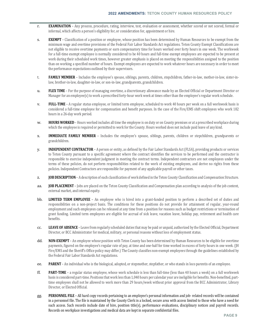- r. **EXAMINATION** Any process, procedure, rating, interview, test, evaluation or assessment, whether scored or not scored, formal or informal, which affects a person's eligibility for, or consideration for, appointment or hire.
- s. **EXEMPT** Classification of a position or employee, whose position has been determined by Human Resources to be exempt from the minimum wage and overtime provisions of the Federal Fair Labor Standards Act regulations. Teton County Exempt Classifications are not eligible to receive overtime payments or earn compensatory time for hours worked over forty hours in one week. The workweek for a full-time exempt employee is normally considered to be 40 hours and full-time exempt employees are expected to be present at work during their scheduled work times, however greater emphasis is placed on meeting the responsibilities assigned to the position than on working a specified number of hours. Exempt employees are expected to work whatever hours are necessary in order to meet the performance expectations outlined by their supervisors.
- t. **FAMILY MEMBER** Includes the employee's spouse, siblings, parents, children, stepchildren, father-in-law, mother-in-law, sister-inlaw, brother-in-law, daughter-in-law, or son-in-law, grandparents, grandchildren.
- u. **FLEX TIME** For the purpose of managing overtime, a discretionary allowance made by an Elected Official or Department Director or Manager for an employee(s) to work a prescribed forty-hour work week at times other than the employee's regular work schedule.
- v. **FULL‐TIME** A regular status employee, or limited term employee, scheduled to work 40 hours per week on a full workweek basis is considered a full-time employee for compensation and benefit purposes. In the case of the Fire/EMS shift employees who work 182 hours in a 26-day work period.
- w. **HOURS WORKED** Hours worked includes all time the employee is on duty or on County premises or at a prescribed workplace during which the employee is required or permitted to work for the County. Hours worked does not include paid leave of any kind.
- x. **IMMEDIATE FAMILY MEMBER** Includes the employee's spouse, siblings, parents, children or stepchildren, grandparents or grandchildren.
- y. **INDEPENDENT CONTRACTOR** A person or entity, as defined by the Fair Labor Standards Act (FLSA), providing products or services to Teton County pursuant to a specific agreement where the contract identifies the services to be performed and the contractor is responsible to exercise independent judgment in meeting the contract terms. Independent contractors are not employees under the terms of these policies, do not perform responsibilities related to the work of existing employees, and derive no rights from these policies. Independent Contractors are responsible for payment of any applicable payroll or other taxes.
- z. **JOB DESCRIPTION** A description of each classification of work defined in the Teton County Classification and Compensation Structure.
- aa. **JOB PLACEMENT** Jobs are placed on the Teton County Classification and Compensation plan according to analysis of the job content, external market, and internal equity.
- bb. **LIMITED TERM EMPLOYEE** An employee who is hired into a grant-funded position to perform a described set of duties and responsibilities on a non-project basis. The conditions for these positions do not provide for attainment of regular, year-round employment and such employees can be released at any time from a position for reasons such as budget restrictions or termination of grant funding. Limited term employees are eligible for accrual of sick leave, vacation leave, holiday pay, retirement and health care benefits.
- cc. **LEAVE OF ABSENCE** Leave from regularly scheduled duties that may be paid or unpaid, authorized by the Elected Official, Department Director, or BCC Administrator for medical, military, or personal reasons without loss of employment status.
- dd. **NON‐EXEMPT** An employee whose position with Teton County has been determined by Human Resources to be eligible for overtime payments, figured on the employee's regular rate of pay, at time and one-half for time worked in excess of forty hours in one week. (JH Fire/EMS and the Sheriff's Office policy may differ.) The County classifies non-exempt employees through the guidelines established by the Federal Fair Labor Standards Act regulations.
- ee. **PARENT** An individual who is the biological, adopted, or stepmother, stepfather, or who stands in loco parentis of an employee.
- ff. **PART‐TIME** a regular status employee, whose work schedule is less than full-time (less than 40 hours a week) on a full workweek basis is considered part-time. Positions that work less than 1,040 hours per calendar year are ineligible for benefits. Non-benefited, parttime employees shall not be allowed to work more than 29 hours/week without prior approval from the BCC Administrator, Library Director, or Elected Official.
- gg. **PERSONNEL FILE** All hard copy records pertaining to an employee's personal information and job- related records will be contained in a personnel file. The file is maintained by the County Clerk in a locked, secure area with access limited to those who have a need for such access. Such records include date of hire, position title(s), performance evaluations, disciplinary notices and payroll records. Records on workplace investigations and medical data are kept in separate confidential files.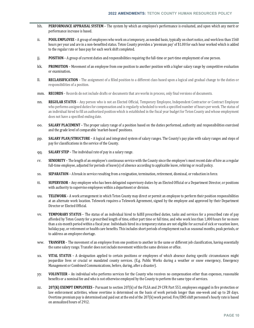- hh. **PERFORMANCE APPRAISAL SYSTEM** The system by which an employee's performance is evaluated, and upon which any merit or performance increase is based.
- ii. **POOL EMPLOYEE** A group of employees who work on a temporary, as needed basis, typically on short notice, and work less than 1560 hours per year and are in a non-benefited status. Teton County provides a 'premium pay' of \$1.00 for each hour worked which is added to the regular rate or base pay for each work shift completed.
- jj. **POSITION** A group of current duties and responsibilities requiring the full-time or part-time employment of one person.
- kk. **PROMOTION** Movement of an employee from one position to another position with a higher salary range by competitive evaluation or examination**.**
- ll. **RECLASSIFICATION** The assignment of a filled position to a different class based upon a logical and gradual change to the duties or responsibilities of a position.
- mm. **RECORDS** Records do not include drafts or documents that are works in process, only final versions of documents.
- nn. **REGULAR STATUS** Any person who is not an Elected Official, Temporary Employee, Independent Contractor or Contract Employee who performs assigned duties for compensation and is regularly scheduled to work a specified number of hours per week. The status of an individual hired to fill an authorized position which is established in the fiscal year budget for Teton County and whose employment does not have a specified ending date.
- oo. **SALARY PLACEMENT** The proper salary range of a position based on the duties performed, authority and responsibilities exercised and the grade level of comparable 'market-based' positions.
- pp. **SALARY PLAN/STRUCTURE** A logical and integrated system of salary ranges. The County's pay plan with salary ranges and steps of pay for classifications in the service of the County.
- qq. **SALARY STEP** The individual rate of pay in a salary range.
- rr. **SENIORITY** The length of an employee's continuous service with the County since the employee's most recent date of hire as a regular full-time employee, adjusted for periods of leave(s) of absence according to applicable leave, rehiring or recall policy.
- ss. **SEPARATION** A break in service resulting from a resignation, termination, retirement, dismissal, or reduction in force.
- tt. **SUPERVISOR** Any employee who has been delegated supervisory duties by an Elected Official or a Department Director, or positions with authority to supervise employees within a department or division.
- uu. **TELEWORK** A work arrangement in which Teton County may direct or permit an employee to perform their position responsibilities at an alternate work location. Telework requires a Telework Agreement, signed by the employee and approved by their Department Director or Elected Official.
- vv. **TEMPORARY STATUS** The status of an individual hired to fulfill prescribed duties, tasks and services for a prescribed rate of pay afforded by Teton County for a prescribed length of time, either part time or full time, and who work less than 1,000 hours for no more than a six-month period within a fiscal year. Individuals hired in a temporary status are not eligible for accrual of sick or vacation leave, holiday pay, or retirement or health care benefits. This includes short periods of employment such as seasonal months, peak periods, or to address an employee shortage.
- ww. **TRANSFER** The movement of an employee from one position to another in the same or different job classification, having essentially the same salary range. Transfer does not include movement within the same division or office.
- xx. **VITAL STATUS** A designation applied to certain positions or employees of which absence during specific circumstances might jeopardize lives or crucial or mandated county services. (E.g. Public Works during a weather or snow emergency, Emergency Management or Combined Communications, before, during, after a disaster).
- yy. **VOLUNTEER** An individual who performs services for the County who receives no compensation other than expenses, reasonable benefits or a nominal fee and who is not otherwise employed by the County to perform the same type of services.
- zz. **207(K) EXEMPT EMPLOYEES** Pursuant to section 207(k) of the FLSA and 29 CFR Part 553, employees engaged in fire protection or law enforcement activities, whose overtime is determined on the basis of work periods longer than one-week and up to 28 days. Overtime premium pay is determined and paid out at the end of the 207(k) work period. Fire/EMS shift personnel's hourly rate is based on annualized hours of 2912.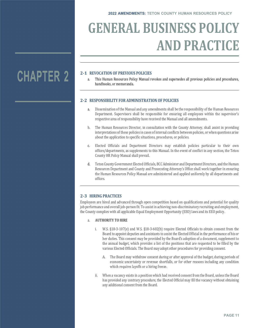# **GENERAL BUSINESS POLICY AND PRACTICE**

# **2‐1 REVOCATION OF PREVIOUS POLICIES**

a. This Human Resources Policy Manual revokes and supersedes all previous policies and procedures, handbooks, or memoranda.

## **2‐2 RESPONSIBILITY FOR ADMINISTRATION OF POLICIES**

- a. Dissemination of the Manual and any amendments shall be the responsibility of the Human Resources Department. Supervisors shall be responsible for ensuring all employees within the supervisor's respective area of responsibility have received the Manual and all amendments.
- b. The Human Resources Director, in consultation with the County Attorney, shall assist in providing interpretations of these policies in cases of internal conflicts between policies, or when questions arise about the application to specific situations, procedures, or policies.
- c. Elected Officials and Department Directors may establish policies particular to their own offices/departments, as supplements to this Manual. In the event of conflict in any section, the Teton County HR Policy Manual shall prevail.
- d. Teton County Government Elected Officials, BCC Administer and Department Directors, and the Human Resources Department and County and Prosecuting Attorney's Office shall work together in ensuring the Human Resources Policy Manual are administered and applied uniformly by all departments and offices.

# **2‐3 HIRING PRACTICES**

Employees are hired and advanced through open competition based on qualifications and potential for quality job performance and overall job-person fit. To assist in achieving non-discriminatory recruiting and employment, the County complies with all applicable Equal Employment Opportunity (EEO) laws and its EEO policy.

### a. **AUTHORITY TO HIRE**

- i. W.S. §18-3-107(e) and W.S. §18-3-602(b) require Elected Officials to obtain consent from the Board to appoint deputies and assistants to assist the Elected Official in the performance of his or her duties. This consent may be provided by the Board's adoption of a document, supplement to the annual budget, which provides a list of the positions that are requested to be filled by the various Elected Officials. The Board may adopt other procedures for providing consent.
	- A. The Board may withdraw consent during or after approval of the budget, during periods of economic uncertainty or revenue shortfalls, or for other reasons including any condition which requires layoffs or a hiring freeze.
- ii. When a vacancy exists in a position which had received consent from the Board, unless the Board has provided any contrary procedure, the Elected Official may fill the vacancy without obtaining any additional consent from the Board.

# **CHAPTER 2**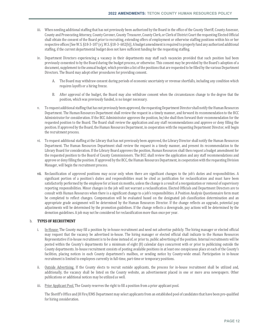- iii. When needing additional staffing that has not previously been authorized by the Board in the office of the County Sheriff, County Assessor, County and Prosecuting Attorney, County Coroner, County Treasurer, County Clerk, or Clerk of District Court the requesting Elected Official shall obtain the consent of the Board prior to recruiting, extending offers of employment or otherwise staffing positions within his or her respective offices [See W.S. §18-3-107 (e), W.S. §18-3- 602(b)]. A budget amendment is required to properly fund any authorized additional staffing, if the current departmental budget does not have sufficient funding for the requesting staffing.
- iv. Department Directors experiencing a vacancy in their departments may staff such vacancies provided that such position had been previously consented to by the Board during the budget process, or otherwise. This consent may be provided by the Board's adoption of a document, supplement to the annual budget, which provides a list of the positions that are requested to be filled by the various Department Directors. The Board may adopt other procedures for providing consent.
	- A. The Board may withdraw consent during periods of economic uncertainty or revenue shortfalls, including any condition which requires layoffs or a hiring freeze.
	- B. After approval of the budget, the Board may also withdraw consent when the circumstances change to the degree that the position, which was previously funded, is no longer necessary.
- v. To request additional staffing that has not previously been approved, the requesting Department Director shall notify the Human Resources Department. The Human Resources Department shall review the request in a timely manner, and forward its recommendation to the BCC Administrator for consideration. If the BCC Administrator approves the position, he/she shall then forward their recommendation for the requested position to the Board. The Board shall review the application and any staff recommendations and approve or deny filling the position. If approved by the Board, the Human Resources Department, in cooperation with the requesting Department Director, will begin the recruitment process.
- vi. To request additional staffing at the Library that has not previously been approved, the Library Director shall notify the Human Resources Department. The Human Resources Department shall review the request in a timely manner, and present its recommendation to the Library Board for consideration. If the Library Board approves the position, Human Resources shall then request a budget amendment for the requested position to the Board of County Commissioners. The BCC shall review the application and any staff recommendations and approve or deny filling the position. If approved by the BCC, the Human Resources Department, in cooperation with the requesting Division Manager, will begin the recruitment process.
- vii. Reclassification of approved positions may occur only when there are significant changes to the job's duties and responsibilities. A significant portion of a position's duties and responsibilities must be cited as justification for reclassification and must have been satisfactorily performed by the employee for at least six months, unless the change is a result of a reorganization or removal of supervisory reporting responsibilities. Minor changes in the job will not warrant a reclassification. Elected Officials and Department Directors are to consult with Human Resources when there is a significant change to a job's responsibilities. A Position Analysis Questionnaire form must be completed to reflect changes. Compensation will be evaluated based on the designated job classification determination and an appropriate grade assignment will be determined by the Human Resources Director. If the change reflects an upgrade, potential pay adjustments will be determined by the promotion guidelines. If the change reflects a downgrade, pay actions will be determined by the demotion guidelines. A job may not be considered for reclassification more than once per year.

## b. **TYPES OF RECRUITMENT**

- i. In-House: The County may fill a position by in-house recruitment and need not advertise publicly. The hiring manager or elected official may request that the vacancy be advertised in-house. The hiring manager or elected official shall indicate to the Human Resources Representative if in-house recruitment is to be done instead of, or prior to, public advertising of the position. Internal recruitments will be posted within the County's departments for a minimum of eight (8) calendar days concurrent with or prior to publicizing outside the County departments. In-house recruitment consists of posting available positions in at least one conspicuous place at each of the County's facilities, placing notices in each County department's mailbox, or sending notice by County-wide email. Participation in in-house recruitment is limited to employees currently in full-time, part-time or temporary positions.
- ii. Outside Advertising. If the County elects to recruit outside applicants, the process for in-house recruitment shall be utilized and, additionally, the vacancy shall be listed on the County website, an advertisement placed in one or more area newspapers. Other publications or additional notices may be utilized as well.
- iii. Prior Applicant Pool. The County reserves the right to fill a position from a prior applicant pool.

The Sheriff's Office and JH Fire/EMS Department may select applicants from an established pool of candidates that have been pre-qualified for hiring consideration.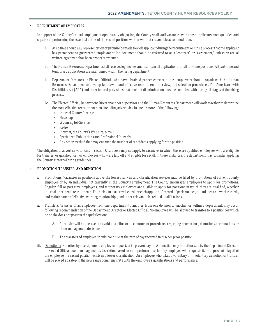### c. **RECRUITMENT OF EMPLOYEES**

In support of the County's equal employment opportunity obligation, the County shall staff vacancies with those applicants most qualified and capable of performing the essential duties of the vacant position, with or without reasonable accommodation.

- i. At no time should any representation or promise be made to a job applicant during the recruitment or hiring process that the applicant has permanent or guaranteed employment. No document should be referred to as a "contract" or "agreement," unless an actual written agreement has been properly executed.
- ii. The Human Resources Department shall receive, log, review and maintain all applications for all full-time positions. All part-time and temporary applications are maintained within the hiring department.
- iii. Department Directors or Elected Officials who have obtained proper consent to hire employees should consult with the Human Resources Department to develop fair, lawful and effective recruitment, interview, and selection procedures. The Americans with Disabilities Act (ADA) and other federal provisions that prohibit discrimination must be complied with during all stages of the hiring process.
- iv. The Elected Official, Department Director and/or supervisor and the Human Resources Department will work together to determine the most effective recruitment plan, including advertising in one or more of the following:
	- Internal County Postings
	- Newspapers
	- Wyoming Job Service
	- Radio
	- Internet, the County's Web site, e-mail
	- Specialized Publications and Professional Journals
	- Any other method that may enhance the number of candidates applying for the position.

The obligation to advertise vacancies in section C iv. above may not apply to vacancies in which there are qualified employees who are eligible for transfer, or qualified former employees who were laid off and eligible for recall. In these instances, the department may consider applying the County's internal hiring guidelines.

### d. **PROMOTION, TRANSFER, AND DEMOTION**

- i. Promotions: Vacancies in positions above the lowest rank in any classification services may be filled by promotions of current County employee or by an individual not currently in the County's employment. The County encourages employees to apply for promotions. Regular, full or part-time employees, and temporary employees are eligible to apply for positions in which they are qualified, whether internal or external recruitments. The hiring manager will consider each applicants' record of performance, attendance and work records, and maintenance of effective working relationships, and other relevant job- related qualifications.
- ii. Transfers: Transfer of an employee from one department to another, from one division to another, or within a department, may occur following recommendation of the Department Director or Elected Official. No employee will be allowed to transfer to a position for which he or she does not possess the qualifications.
	- A. A transfer will not be used to avoid discipline or to circumvent procedures regarding promotions, demotions, terminations or other management decisions.
	- B. The transferred employee should continue at the rate of pay received in his/her prior position.
- iii. Demotions: Demotion by reassignment, employee request, or to prevent layoff: A demotion may be authorized by the Department Director or Elected Official due to management's discretion based on non- performance, for any employee who requests it, or to prevent a layoff of the employee if a vacant position exists in a lower classification. An employee who takes a voluntary or involuntary demotion or transfer will be placed at a step in the new range commensurate with the employee's qualifications and performance.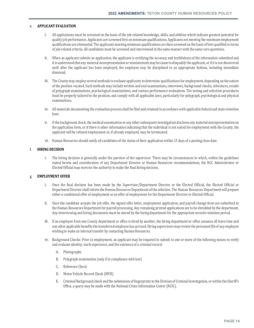### e. **APPLICANT EVALUATION**

- i. All applications must be screened on the basis of the job-related knowledge, skills, and abilities which indicate greatest potential for quality job performance. Applicants are screened first on minimum qualifications. Applicants not meeting the minimum employment qualifications are eliminated. The applicants meeting minimum qualifications are then screened on the basis of best qualified in terms of job-related criteria. All candidates must be screened and interviewed in the same manner with the same core questions.
- ii. When an applicant submits an application, the applicant is certifying the accuracy and truthfulness of the information submitted and it is understood that any material misrepresentation or misstatement may be cause to disqualify the applicant, or if it is not discovered until after the applicant has been employed, the employee may be disciplined in an appropriate fashion, including immediate dismissal.
- iii. The County may employ several methods to evaluate applicants to determine qualifications for employment, depending on the nature of the position vacated. Such methods may include written and oral examinations, interviews, background checks, references, results of polygraph examinations, psychological examinations, and various performance evaluations. The testing and selection procedures must be properly tailored to the position, and comply with all applicable laws, particularly for polygraph, psychological and physical examinations.
- iv. All materials documenting the evaluation process shall be filed and retained in accordance with applicable federal and state retention laws.
- v. If the background check, the medical examination or any other subsequent investigation discloses any material misrepresentation on the application form, or if there is other information indicating that the individual is not suited for employment with the County, the applicant will be refused employment or, if already employed, may be terminated.
- vi. Human Resources should notify all candidates of the status of their application within 15 days of a posting close date.

## f. **HIRING DECISION**

i. The hiring decision is generally under the purview of the supervisor. There may be circumstances in which, within the guidelines stated herein and consideration of any Department Director or Human Resources recommendations, the BCC Administrator or Elected Official may exercise the authority to make the final hiring decision.

## g. **EMPLOYMENT OFFER**

- i. Once the final decision has been made by the Supervisor/Department Director or the Elected Official, the Elected Official or Department Director shall inform the Human Resources Department of the selection. The Human Resources Department will prepare either a conditional offer of employment or an offer of employment for the Department Director or Elected Official.
- ii. Once the candidate accepts the job offer, the signed offer letter, employment application, and payroll change form are submitted to the Human Resources Department for payroll processing. Any remaining printed applications are to be shredded by the department. Any interviewing and hiring documents must be stored by the hiring department for the appropriate records retention period.
- iii. If an employee from one County department or office is hired by another, the hiring department or office assumes all leave time and any other applicable benefits the transferred employee has accrued. Hiring supervisors may review the personnel file of any employee wishing to make an internal transfer by contacting Human Resources.
- iv. Background Checks: Prior to employment, an applicant may be required to submit to one or more of the following means to verify and evaluate identity, work experience, and the existence of a criminal record:
	- A. Photographs
	- B. Polygraph examination (only if in compliance with law)
	- C. Reference Check
	- D. Motor Vehicle Record Check (MVR)
	- E. Criminal Background check and the submission of fingerprints to the Division of Criminal Investigation, or within the Sheriff's Office, a query may be made with the National Crime Information Center (NCIC).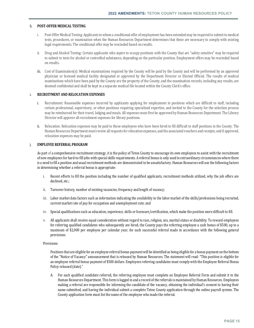### h. **POST‐OFFER MEDICAL TESTING**

- i. Post-Offer Medical Testing: Applicants to whom a conditional offer of employment has been extended may be required to submit to medical tests, procedures, or examination when the Human Resources Department determines that these are necessary to comply with existing legal requirements. The conditional offer may be rescinded based on results.
- ii. Drug and Alcohol Testing: Certain applicants who aspire to occupy positions with the County that are "safety sensitive" may be required to submit to tests for alcohol or controlled substances, depending on the particular position. Employment offers may be rescinded based on results.
- iii. Cost of Examination(s): Medical examinations required by the County will be paid by the County and will be performed by an approved physician or licensed medical facility designated or approved by the Department Director or Elected Official. The results of medical examinations which have been paid by the County are the property of the County, and the examination records, including any results, are deemed confidential and shall be kept in a separate medical file located within the County Clerk's office.

# i. **RECRUITMENT AND RELOCATION EXPENSES**

- i. Recruitment: Reasonable expenses incurred by applicants applying for employment in positions which are difficult to staff, including certain professional, supervisory, or other positions requiring specialized expertise, and invited to the County for the selection process may be reimbursed for their travel, lodging and meals. All expenses must first be approved by Human Resources Department. The Library Director will approve all recruitment expenses for library positions.
- ii. Relocation: Relocation expenses may be paid to those employees who have been hired to fill difficult to staff positions in the County. The Human Resources Department must review all requests for relocation expenses, and the associated vouchers and receipts, and if approved, relocation expenses may be paid.

## j. **EMPLOYEE REFERRAL PROGRAM**

As part of a comprehensive recruitment strategy, it is the policy of Teton County to encourage its own employees to assist with the recruitment of new employees for hard-to-fill jobs with special skills requirements. A referral bonus is only used in extraordinary circumstances where there is a need to fill a position and usual recruitment methods are demonstrated to be unsatisfactory. Human Resources will use the following factors in determining whether a referral bonus is appropriate:

- i. Recent efforts to fill the position including the number of qualified applicants, recruitment methods utilized, why the job offers are declined, etc.;
- ii. Turnover history, number of existing vacancies, frequency and length of vacancy;
- iii. Labor market data factors such as information indicating the availability in the labor market of the skills/professions being recruited, current market rate of pay for occupation and unemployment rate; and
- iv. Special qualifications such as education, experience, skills or licensure/certification, which make the position more difficult to fill.
- v. All applicants shall receive equal consideration without regard to race, religion, sex, marital status or disability. To reward employees for referring qualified candidates who subsequently are hired, the County pays the referring employee a cash bonus of \$500, up to a maximum of \$2,000 per employee per calendar year, for each successful referral made in accordance with the following general provisions:

#### Provisions

Positions that are eligible for an employee referral bonus payment will be identified as being eligible for a bonus payment on the bottom of the "Notice of Vacancy" announcement that is released by Human Resources. The statement will read: "This position is eligible for an employee referral bonus payment of \$500 dollars. Employees referring candidates must comply with the Employee Referral Bonus Policy released (date)."

A. For each qualified candidate referred, the referring employee must complete an Employee Referral Form and submit it to the Human Resources Department. This form is logged in and a record of the referrals is maintained by Human Resources. Employees making a referral are responsible for informing the candidate of the vacancy, obtaining the individual's consent to having their name submitted, and having the individual submit a complete Teton County application through the online payroll system. The County application form must list the name of the employee who made the referral.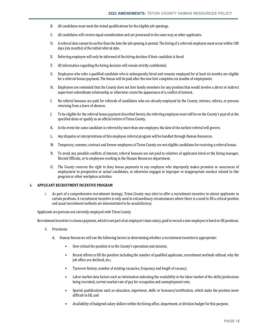- B. All candidates must meet the stated qualifications for the eligible job openings.
- C. All candidates will receive equal consideration and are processed in the same way as other applicants.
- D. A referral date cannot be earlier than the date the job opening is posted. The hiring of a referred employee must occur within 180 days (six months) of the initial referral date.
- E. Referring employee will only be informed of the hiring decision if their candidate is hired.
- F. All information regarding the hiring decision will remain strictly confidential.
- G. Employees who refer a qualified candidate who is subsequently hired and remains employed for at least six months are eligible for a referral-bonus payment. The bonus will be paid after the new hire completes six months of employment.
- H. Employees are reminded that the County does not hire family members for any position that would involve a direct or indirect supervisor-subordinate relationship or otherwise create the appearance of a conflict of interest.
- I. No referral bonuses are paid for referrals of candidates who are already employed by the County, retirees, rehires, or persons returning from a leave of absence.
- J. To be eligible for the referral bonus payment described herein, the referring employee must still be on the County's payroll at the specified dates or qualify as an official retiree of Teton County.
- K. In the event the same candidate is referred by more than one employee, the date of the earliest referral will govern.
- L. Any disputes or interpretations of this employee referral program will be handled through Human Resources.
- M. Temporary, summer, contract and former employees of Teton County are not eligible candidates for receiving a referral bonus.
- N. To avoid any possible conflicts of interest, referral bonuses are not paid to relatives of applicants hired or the hiring manager, Elected Officials, or to employees working in the Human Resources department.
- O. The County reserves the right to deny bonus payments to any employee who improperly makes promises or assurances of employment to prospective or actual candidates, or otherwise engages in improper or inappropriate conduct related to this program or other workplace activities.

#### k. **APPLICANT RECRUITMENT INCENTIVE PROGRAM**

i. As part of a comprehensive recruitment strategy, Teton County may elect to offer a recruitment incentive to attract applicants to certain positions. A recruitment incentive is only used in extraordinary circumstances where there is a need to fill a critical position and usual recruitment methods are demonstrated to be unsatisfactory.

### Applicants are persons not currently employed with Teton County

Recruitment Incentive is a bonus payment, which is not part of an employee's base salary, paid to recruit a new employee in hard-to-fill positions.

- ii. Provisions
	- A. Human Resources will use the following factors in determining whether a recruitment incentive is appropriate:
		- How critical the position is to the County's operations and mission;
		- Recent efforts to fill the position including the number of qualified applicants, recruitment methods utilized, why the job offers are declined, etc.;
		- Turnover history, number of existing vacancies, frequency and length of vacancy;
		- Labor market data factors such as information indicating the availability in the labor market of the skills/professions being recruited, current market rate of pay for occupation and unemployment rate;
		- Special qualifications such as education, experience, skills or licensure/certification, which make the position more difficult to fill; and
		- Availability of budgeted salary dollars within the hiring office, department, or division budget for this purpose.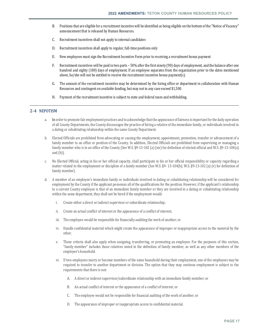- B. Positions that are eligible for a recruitment incentive will be identified as being eligible on the bottom of the "Notice of Vacancy" announcement that is released by Human Resources.
- C. Recruitment incentives shall not apply to internal candidates
- D. Recruitment incentives shall apply to regular, full-time positions only
- E. New employees must sign the Recruitment Incentive Form prior to receiving a recruitment bonus payment
- F. Recruitment incentives will be paid in two parts 50% after the first ninety (90) days of employment, and the balance after one hundred and eighty (180) days of employment. If an employee separates from the organization prior to the dates mentioned above, he/she will not be entitled to receive the recruitment incentive bonus payment(s).
- G. The amount of the recruitment incentive may be determined by the hiring office or department in collaboration with Human Resources and contingent on available funding, but may not in any case exceed \$1,500.
- H. Payment of the recruitment incentive is subject to state and federal taxes and withholding.

## **2‐4 NEPOTISM**

- a. In order to promote fair employment practices and to acknowledge that the appearance of fairness is important for the daily operation of all County Departments, the County discourages the practice of hiring a relative of the immediate family, or individuals involved in a dating or cohabitating relationship within the same County Department.
- b. Elected Officials are prohibited from advocating or causing the employment, appointment, promotion, transfer or advancement of a family member to an office or position of the County. In addition, Elected Officials are prohibited from supervising or managing a family member who is in an office of the County (See W.S. §9-13-102 (a) (xiv) for definition of elected official and W.S. §9-13-104(a) and (b)).
- c. No Elected Official, acting in his or her official capacity, shall participate in his or her official responsibility or capacity regarding a matter related to the employment or discipline of a family member (See W.S. §9- 13-104(b); W.S. §9-13-102 (a) (v) for definition of family member).
- d. A member of an employee's immediate family or individuals involved in dating or cohabitating relationship will be considered for employment by the County if the applicant possesses all of the qualifications for the position. However, if the applicant's relationship to a current County employee is that of an immediate family member or they are involved in a dating or cohabitating relationship within the same department, they shall not be hired if the employment would:
	- i. Create either a direct or indirect supervisor or subordinate relationship;
	- ii. Create an actual conflict of interest or the appearance of a conflict of interest;
	- iii. The employee would be responsible for financially auditing the work of another; or
	- iv. Handle confidential material which might create the appearance of improper or inappropriate access to the material by the other.
	- v. These criteria shall also apply when assigning, transferring, or promoting an employee. For the purposes of this section, "family member" includes those relatives noted in the definition of family member, as well as any other members of the employee's household.
	- vi. If two employees marry or become members of the same household during their employment, one of the employees may be required to transfer to another department or division. The option that they may continue employment is subject to the requirements that there is not:
		- A. A direct or indirect supervisor/subordinate relationship with an immediate family member; or
		- B. An actual conflict of interest or the appearance of a conflict of interest; or
		- C. The employee would not be responsible for financial auditing of the work of another; or
		- D. The appearance of improper or inappropriate access to confidential material.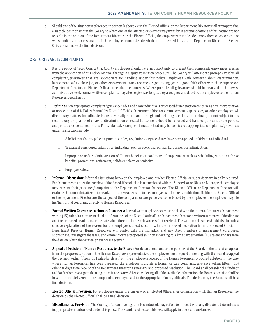e. Should one of the situations referenced in section D above exist, the Elected Official or the Department Director shall attempt to find a suitable position within the County to which one of the affected employees may transfer. If accommodations of this nature are not feasible in the opinion of the Department Director or the Elected Official, the employees must decide among themselves which one will submit his or her resignation. If the employees cannot decide which one of them will resign, the Department Director or Elected Official shall make the final decision.

# **2‐5 GRIEVANCE/COMPLAINTS**

- a. It is the policy of Teton County that County employees should have an opportunity to present their complaints/grievances, arising from the application of this Policy Manual, through a dispute resolution procedure. The County will attempt to promptly resolve all complaints/grievances that are appropriate for handling under this policy. Employees with concerns about discrimination, harassment, safety, their job, or other employment issues are encouraged to engage in a good faith effort with their supervisor, Department Director, or Elected Official to resolve the concerns. Where possible, all grievances should be resolved at the lowest administrative level. Formal written complaints may also be given, as long as they are signed and dated by the employee, to the Human Resources Department.
- b. **Definition:** An appropriate complaint/grievance is defined as an individual's expressed dissatisfaction concerning any interpretation or application of this Policy Manual by Elected Officials, Department Directors, management, supervisors, or other employees. All disciplinary matters, including decisions to verbally reprimand through and including decisions to terminate, are not subject to this section. Any complaints of unlawful discrimination or sexual harassment should be reported and handled pursuant to the policies and procedures contained in this Policy Manual. Examples of matters that may be considered appropriate complaints/grievances under this section include:
	- i. A belief that County policies, practices, rules, regulations, or procedures have been applied unfairly to an individual.
	- ii. Treatment considered unfair by an individual, such as coercion, reprisal, harassment or intimidation.
	- iii. Improper or unfair administration of County benefits or conditions of employment such as scheduling, vacations, fringe benefits, promotions, retirement, holidays, salary, or seniority.
	- iv. Employee safety.
- c. **Informal Discussion:** Informal discussions between the employee and his/her Elected Official or supervisor are initially required. For Departments under the purview of the Board, if resolution is not achieved with the Supervisor or Division Manager, the employee may present their grievance/complaint to the Department Director for review. The Elected Official or Department Director will evaluate the complaint, attempt to resolve it, and give a decision to the employee within a reasonable time. If either the Elected Official or the Department Director are the subject of the complaint, or are perceived to be biased by the employee, the employee may file his/her formal complaint directly to Human Resources.
- d. **Formal Written Grievance to Human Resources:** Formal written grievances must be filed with the Human Resources Department within (15) calendar days from the date of issuance of the Elected Official's or Department Director's written summary of the dispute and the proposed resolution, or the date when the complaint/ grievance is first received. The written grievance should also include a concise explanation of the reason for the employee's dissatisfaction with the proposed resolution from the Elected Official or Department Director. Human Resources will confer with the individual and any other members of management considered appropriate, investigate the issue, and communicate a proposed solution in writing to all the parties within (15) calendar days from the date on which the written grievance is received.
- e. **Appeal of Decision of Human Resources to the Board:** For departments under the purview of the Board, in the case of an appeal from the proposed solution of the Human Resources representative, the employee must request a meeting with the Board to appeal the decision within fifteen (15) calendar days from the employee's receipt of the Human Resources proposed solution. In the case where Human Resources has been bypassed, the employee must file a formal written complaint/grievance within fifteen (15) calendar days from receipt of the Department Director's summary and proposed resolution. The Board shall consider the findings and/or further investigate the allegations if necessary. After considering all of the available information, the Board's decision shall be in writing and delivered to the complaining employee and to the appropriate County officials. The decision by the Board shall be a final decision.
- f. **Elected Official Provision:** For employees under the purview of an Elected Office, after consultation with Human Resources, the decision by the Elected Official shall be a final decision.
- g. **Miscellaneous Provision:** The County, after an investigation is conducted, may refuse to proceed with any dispute it determines is inappropriate or unfounded under this policy. The standard of reasonableness will apply in these circumstances.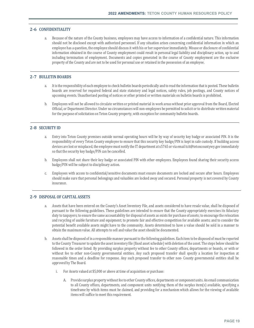## **2‐6 CONFIDENTIALITY**

a. Because of the nature of the County business, employees may have access to information of a confidential nature. This information should not be disclosed except with authorized personnel. If any situation arises concerning confidential information in which an employee has a question, the employee should discuss it with his or her supervisor immediately. Misuse or disclosure of confidential information obtained in the course of County employment could result in personal legal liability and disciplinary action, up to and including termination of employment. Documents and copies generated in the course of County employment are the exclusive property of the County and are not to be used for personal use or retained in the possession of an employee.

## **2‐7 BULLETIN BOARDS**

- a. It is the responsibility of each employee to check bulletin boards periodically and to read the information that is posted. These bulletin boards are reserved for required federal and state statutory and legal notices, safety rules, job postings, and County notices of upcoming events. Unauthorized posting of notices or other printed or written materials on bulletin boards is prohibited.
- b. Employees will not be allowed to circulate written or printed material in work areas without prior approval from the Board, Elected Official, or Department Director. Under no circumstances will non-employees be permitted to solicit or to distribute written material for the purpose of solicitation on Teton County property, with exception for community bulletin boards.

## **2‐8 SECURITY ID**

- a. Entry into Teton County premises outside normal operating hours will be by way of security key badge or associated PIN. It is the responsibility of every Teton County employee to ensure that this security key badge/PIN is kept in safe custody. If building access devices are lost or misplaced, the employee must notify the IT department at x5765 or via email tcit@tetoncountywy.gov immediately so that the security key badge/PIN can be cancelled.
- b. Employees shall not share their key badge or associated PIN with other employees. Employees found sharing their security access badge/PIN will be subject to disciplinary action.
- c. Employees with access to confidential/sensitive documents must ensure documents are locked and secure after hours. Employees should make sure that personal belongings and valuables are locked away and secured. Personal property is not covered by County insurance.

## **2‐9 DISPOSAL OF CAPITAL ASSETS**

- a. Assets that have been entered on the County's Asset Inventory File, and assets considered to have resale value, shall be disposed of pursuant to the following guidelines. These guidelines are intended to ensure that the County appropriately exercises its fiduciary duty to taxpayers; to ensure the same accountability for disposal of assets as exists for purchase of assets; to encourage the relocation and recycling of usable furniture and equipment; to promote fair and effective competition for available assets; and to consider the potential benefit available assets might have to the community. Assets determined to have a value should be sold in a manner to obtain the maximum value. All attempts to sell and value the asset should be documented.
- b. Assets shall be disposed of in a responsible manner pursuant to the following guidelines. Each item to be disposed of must be reported to the County Treasurer to update the asset inventory file (fixed asset schedule) with deletion of the asset. The steps below should be followed in the order listed: By providing surplus property without fee to other County offices, departments or boards, or with or without fee to other non-County governmental entities. Any such proposed transfer shall specify a location for inspection at reasonable times and a deadline for response. Any such proposed transfer to other non- County governmental entities shall be approved by The Board.
	- i. For Assets valued at \$5,000 or above at time of acquisition or purchase:
		- A. Provide surplus property without fee to other County offices, departments or component units. An email communication to all County offices, departments, and component units notifying them of the surplus item(s) available, specifying a timeframe by which items must be claimed, and providing for a mechanism which allows for the viewing of available items will suffice to meet this requirement.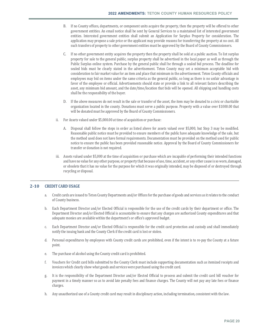- B. If no County offices, departments, or component units acquire the property, then the property will be offered to other government entities. An email notice shall be sent by General Services to a maintained list of interested government entities. Interested government entities shall submit an Application for Surplus Property for consideration. The application may propose a sale price or the applicant may provide reasons for transferring the property at no cost. All such transfers of property to other government entities must be approved by the Board of County Commissioners.
- C. If no other government entity acquires the property then the property shall be sold at a public auction. To list surplus property for sale to the general public, surplus property shall be advertised in the local paper as well as through the Public Surplus online system. Purchase by the general public shall be through a sealed bid process. The deadline for sealed bids must be clearly stated in the advertisement. Teton County may set a minimum acceptable bid with consideration to fair market value for an item and place that minimum in the advertisement. Teton County officials and employees may bid on items under the same criteria as the general public, so long as there is no unfair advantage in favor of the employee or official. Advertisements should state or provide a link to all relevant factors describing the asset, any minimum bid amount, and the date/time/location that bids will be opened. All shipping and handling costs shall be the responsibility of the buyer.
- D. If the above measures do not result in the sale or transfer of the asset, the item may be donated to a civic or charitable organization located in the county. Donations must serve a public purpose. Property with a value over \$1000.00 that will be donated must be approved by the Board of County Commissioners.
- ii. For Assets valued under \$5,000.00 at time of acquisition or purchase:
	- A. Disposal shall follow the steps in order as listed above for assets valued over \$5,000, but Step 3 may be modified. Reasonable public notice must be provided to ensure members of the public have adequate knowledge of the sale, but the method used does not have formal requirements. Documentation must be provided on the method used for public notice to ensure the public has been provided reasonable notice. Approval by the Board of County Commissioners for transfer or donation is not required.
- iii. Assets valued under \$5,000 at the time of acquisition or purchase which are incapable of performing their intended functions and have no value for any other purpose, or property that because of use, time, accident, or any other cause is so worn, damaged, or obsolete that it has no value for the purpose for which it was originally intended, may be disposed of or destroyed through recycling or disposal.

## **2‐10 CREDIT CARD USAGE**

- a. Credit cards are issued to Teton County Departments and/or Offices for the purchase of goods and services as it relates to the conduct of County business.
- b. Each Department Director and/or Elected Official is responsible for the use of the credit cards by their department or office. The Department Director and/or Elected Official is accountable to ensure that any charges are authorized County expenditures and that adequate monies are available within the department's or office's approved budget.
- c. Each Department Director and/or Elected Official is responsible for the credit card protection and custody and shall immediately notify the issuing bank and the County Clerk if the credit card is lost or stolen.
- d. Personal expenditures by employees with County credit cards are prohibited, even if the intent is to re-pay the County at a future point.
- e. The purchase of alcohol using the County credit card is prohibited.
- f. Vouchers for Credit card bills submitted to the County Clerk must include supporting documentation such as itemized receipts and invoices which clearly show what goods and services were purchased using the credit card.
- g. It is the responsibility of the Department Director and/or Elected Official to process and submit the credit card bill voucher for payment in a timely manner so as to avoid late penalty fees and finance charges. The County will not pay any late fees or finance charges.
- h. Any unauthorized use of a County credit card may result in disciplinary action, including termination, consistent with the law.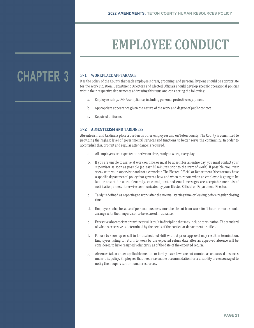# **EMPLOYEE CONDUCT**

# **CHAPTER 3**

# **3‐1 WORKPLACE APPEARANCE**

It is the policy of the County that each employee's dress, grooming, and personal hygiene should be appropriate for the work situation. Department Directors and Elected Officials should develop specific operational policies within their respective departments addressing this issue and considering the following:

- a. Employee safety, OSHA compliance, including personal protective equipment.
- b. Appropriate appearance given the nature of the work and degree of public contact.
- c. Required uniforms.

# **3‐2 ABSENTEEISM AND TARDINESS**

Absenteeism and tardiness place a burden on other employees and on Teton County. The County is committed to providing the highest level of governmental services and functions to better serve the community. In order to accomplish this, prompt and regular attendance is required.

- a. All employees are expected to arrive on time, ready to work, every day.
- b. If you are unable to arrive at work on time, or must be absent for an entire day, you must contact your supervisor as soon as possible (at least 30 minutes prior to the start of work). If possible, you must speak with your supervisor and not a coworker. The Elected Official or Department Director may have a specific departmental policy that governs how and when to report when an employee is going to be late or absent for work. Generally, voicemail, text, and email messages are acceptable methods of notification, unless otherwise communicated by your Elected Official or Department Director.
- c. Tardy is defined as reporting to work after the normal starting time or leaving before regular closing time.
- d. Employees who, because of personal business, must be absent from work for 1 hour or more should arrange with their supervisor to be excused in advance.
- e. Excessive absenteeism or tardiness will result in discipline that may include termination. The standard of what is excessive is determined by the needs of the particular department or office.
- f. Failure to show up or call in for a scheduled shift without prior approval may result in termination. Employees failing to return to work by the expected return date after an approved absence will be considered to have resigned voluntarily as of the date of the expected return.
- g. Absences taken under applicable medical or family leave laws are not counted as unexcused absences under this policy. Employees that need reasonable accommodation for a disability are encouraged to notify their supervisor or human resources.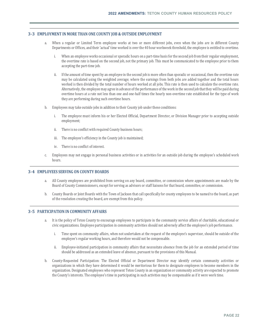## **3‐3 EMPLOYMENT IN MORE THAN ONE COUNTY JOB & OUTSIDE EMPLOYMENT**

- a. When a regular or Limited Term employee works at two or more different jobs, even when the jobs are in different County Departments or Offices, and their 'actual' time worked is over the 40 hour workweek threshold, the employee is entitled to overtime.
	- i. When an employee works occasional or sporadic hours on a part-time basis for the second job from their regular employment, the overtime rate is based on the second job, not the primary job. This must be communicated to the employee prior to them accepting the part-time job.
	- ii. If the amount of time spent by an employee in the second job is more often than sporadic or occasional, then the overtime rate may be calculated using the weighted average; where the earnings from both jobs are added together and the total hours worked is then divided by the total number of hours worked at all jobs. This rate is then used to calculate the overtime rate. Alternatively, the employee may agree in advance of the performance of the work in the second job that they will be paid during overtime hours at a rate not less than one and one-half times the hourly non-overtime rate established for the type of work they are performing during such overtime hours.
- b. Employees may take outside jobs in addition to their County job under these conditions:
	- i. The employee must inform his or her Elected Official, Department Director, or Division Manager prior to accepting outside employment;
	- ii. There is no conflict with required County business hours;
	- iii. The employee's efficiency in the County job is maintained;
	- iv. There is no conflict of interest.
- c. Employees may not engage in personal business activities or in activities for an outside job during the employee's scheduled work hours.

## **3‐4 EMPLOYEES SERVING ON COUNTY BOARDS**

- a. All County employees are prohibited from serving on any board, committee, or commission where appointments are made by the Board of County Commissioners, except for serving as advisors or staff liaisons for that board, committee, or commission.
- b. County Boards or Joint Boards with the Town of Jackson that call specifically for county employees to be named to the board, as part of the resolution creating the board, are exempt from this policy.

# **3‐5 PARTICIPATION IN COMMUNITY AFFAIRS**

- a. It is the policy of Teton County to encourage employees to participate in the community service affairs of charitable, educational or civic organizations. Employee participation in community activities should not adversely affect the employee's job performance.
	- i. Time spent on community affairs, when not undertaken at the request of the employee's supervisor, should be outside of the employee's regular working hours, and therefore would not be compensable.
	- ii. Employee-initiated participation in community affairs that necessitate absence from the job for an extended period of time should be addressed as an extended leave of absence, pursuant to the provisions of this Manual.
- b. County-Requested Participation: The Elected Official or Department Director may identify certain community activities or organizations in which they have determined it would be meritorious for them to designate employees to become members in the organization. Designated employees who represent Teton County in an organization or community activity are expected to promote the County's interests. The employee's time in participating in such activities may be compensable as if it were work time.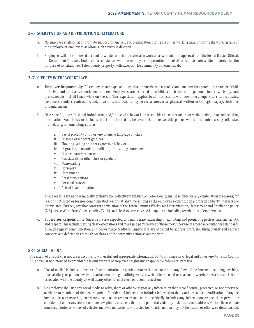# **3‐6 SOLICITATION AND DISTRIBUTION OF LITERATURE**

- a. No employee shall solicit or promote support for any cause or organization during his or her working time, or during the working time of the employee or employees at whom such activity is directed.
- b. Employees will not be allowed to circulate written or printed material in work areas without prior approval from the Board, Elected Official, or Department Director. Under no circumstances will non-employees be permitted to solicit or to distribute written material for the purpose of solicitation on Teton County property, with exception for community bulletin boards.

# **3‐7 CIVILITY IN THE WORKPLACE**

- a. **Employee Responsibility**: All employees are expected to conduct themselves in a professional manner that promotes a safe, healthful, inclusive, and productive work environment. Employees are expected to exhibit a high degree of personal integrity, civility, and professionalism at all times while on the job. This expectation applies to all interactions with coworkers, supervisors, subordinates, customers, vendors, contractors, and/or visitors. Interactions may be verbal, nonverbal, physical, written, or through imagery, electronic or digital means.
- b. Disrespectful, unprofessional, intimidating, and/or uncivil behavior is unacceptable and may result in corrective action, up to and including termination. Such behavior includes, but is not limited to, behaviors that a reasonable person would find embarrassing, offensive, intimidating, or humiliating, such as:
	- i. Use of profanity or otherwise offensive language or jokes
	- ii. Obscene or indecent gestures
	- iii. Shouting, yelling or other aggressive behavior
	- iv. Degrading, demeaning, humiliating or insulting comments
	- v. Discriminatory remarks
	- vi. Racist, sexist or other slurs or symbols
	- vii. Name-calling
	- viii. Horseplay
	- ix. Harassment
	- x. Retaliatory actions
	- xi. Personal attacks
	- xii. Acts of insubordination

These reasons are neither mutually exclusive nor collectively exhaustive. Teton County may discipline for any combination of reasons, for reasons not listed or for non-communicated reasons at any time as long as the employee's constitutional protected liberty interests are not violated. Further, acts that constitute a violation of the Teton County's Workplace Discrimination, Harassment and Retaliation policy (2-8), or the Workplace Violence policy (3-10) could lead to corrective action up to and including termination of employment.

c. **Supervisor Responsibility:** Supervisors are expected to demonstrate leadership in exhibiting and promoting professionalism, civility, and respect. This includes setting clear expectations and managing performance of those they supervise in accordance with these standards through regular communication and performance feedback. Supervisors are expected to address professionalism, civility and respect concerns and deficiencies through coaching and/or corrective action as appropriate.

# **3‐8 SOCIAL MEDIA**

The intent of this policy is not to restrict the flow of useful and appropriate information, but to minimize risks, legal and otherwise, to Teton County. This policy is not intended to prohibit the lawful exercise of employees' rights under applicable federal or state law.

- a. "Social media" includes all means of communicating or posting information or content in any form of the Internet, including any blog, journal, diary, or personal website, social networking or affinity website, web bulletin board, or chat room, whether it is a personal site or associated with the County, as well as any other form of electronic communication.
- b. No employee shall use any social media to relay, share or otherwise post any information that is confidential, protected, or not otherwise available to members of the general public. Confidential information includes information that would result in identification of anyone involved in a transaction, emergency incident or response; and more specifically includes any information protected as private or confidential under any federal or state law, photos or videos that could potentially identify a victim, names, address, vehicle license plate numbers, photos or videos of vehicles involved in accidents. Protected health information may not be posted or otherwise disseminated,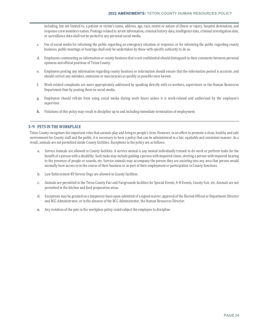including, but not limited to, a patient or victim's name, address, age, race, extent or nature of illness or injury, hospital destination, and response crew members names. Postings related to arrest information, criminal history data, intelligence data, criminal investigation date, or surveillance data shall not be posted to any personal social media.

- c. Use of social media for informing the public regarding an emergency situation or response, or for informing the public regarding county business, public meetings or hearings shall only be undertaken by those with specific authority to do so.
- d. Employees commenting on information or county business that is not confidential should distinguish in their comments between personal opinions and official positions of Teton County.
- e. Employees posting any information regarding county business or information should ensure that the information posted is accurate, and should correct any mistakes, omissions or inaccuracies as quickly as possible once known.
- f. Work-related complaints are more appropriately addressed by speaking directly with co-workers, supervisors or the Human Resources Department than by posting them on social media.
- g. Employees should refrain from using social media during work hours unless it is work-related and authorized by the employee's supervisor.
- h. Violations of this policy may result in discipline up to and including immediate termination of employment.

# **3‐9 PETS IN THE WORKPLACE**

Teton County recognizes the important roles that animals play and bring to people's lives. However, in an effort to promote a clean, healthy and safe environment for County staff and the public, it is necessary to have a policy that can be administered in a fair, equitable and consistent manner. As a result, animals are not permitted inside County facilities. Exceptions to the policy are as follows:

- a. Service Animals are allowed in County facilities. A service animal is any animal individually trained to do work or perform tasks for the benefit of a person with a disability. Such tasks may include guiding a person with impaired vision, alerting a person with impaired hearing to the presence of people or sounds, etc. Service animals may accompany the person they are assisting into any area that person would normally have access to in the course of their business or as part of their employment or participation in County functions.
- b. Law Enforcement K9 Service Dogs are allowed in County facilities.
- c. Animals are permitted in the Teton County Fair and Fairgrounds facilities for Special Events, 4-H Events, County Fair, etc. Animals are not permitted in the kitchen and food preparation areas.
- d. Exceptions may be granted on a temporary basis upon submittal of a signed waiver, approval of the Elected Official or Department Director and BCC Administrator; or in the absence of the BCC Administrator, the Human Resources Director.
- e. Any violation of the pets in the workplace policy could subject the employee to discipline.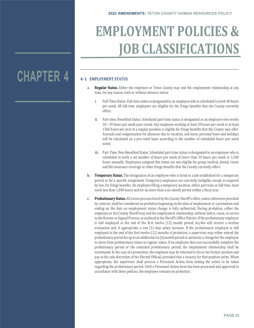# **EMPLOYMENT POLICIES & JOB CLASSIFICATIONS**

# **CHAPTER 4**

# **4‐1 EMPLOYMENT STATUS**

- a. **Regular Status.** Either the employee or Teton County may end the employment relationship at any time, for any reason, with or without advance notice.
	- i. Full-Time Status. Full-time status is designated to an employee who is scheduled to work 40 hours per week. All full-time employees are eligible for the fringe benefits that the County currently offers.
	- ii. Part-time, Benefited Status. Scheduled part-time status is designated as an employee who works 30 – 39 hours per week year-round. Any employee working at least 30 hours per week or at least 1560 hours per year in a regular position is eligible for fringe benefits that the County may offer. Accruals and compensation for absences due to vacation, sick leave, personal leave and holidays will be calculated on a pro-rated basis according to the number of scheduled hours per work week.
	- iii. Part-Time, Non-Benefited Status. Scheduled part-time status is designated to an employee who is scheduled to work a set number of hours per week of fewer than 30 hours per week or 1,560 hours annually. Employees assigned this status are not eligible for group medical, dental, vision and life insurance coverage or other fringe benefits that the County currently offers.
- b. **Temporary Status.** The designation of an employee who is hired in a job established for a temporary period or for a specific assignment. Temporary employees are currently ineligible, except as required by law, for fringe benefits. An employee filling a temporary position, either part time or full time, must work less than 1,000 hours and for no more than a six-month period within a fiscal year.
- c. **Probationary Status.** All sworn persons hired by the County Sheriff's office, unless otherwise provided by contract, shall be considered on probation beginning on the date of employment or a promotion and ending on the date an employment status change is fully authorized. During probation, either the employee or the County Sheriff may end the employment relationship, without notice, cause, or access to the Review or Appeal Process, as outlined in the Sheriff's Office Policies. If the probationary employee is still employed at the end of the first twelve (12) month period, he/she will receive a written evaluation and, if appropriate, a one (1) step salary increase. If the probationary employee is still employed at the end of the first twelve (12) months of probation, a supervisor may either extend the probationary period for up to an additional six (6) month period or authorize a change for the employee to move from probationary status to regular status. If an employee does not successfully complete the probationary period or the extended probationary period, the employment relationship shall be terminated. In the case of a promotion, the employee may be returned to his or her former position and pay at the sole discretion of the Elected Official, provided that a vacancy for that position exists. When appropriate, the supervisor shall process a Personnel Action form stating the action to be taken regarding the probationary period. Until a Personnel Action form has been processed and approved in accordance with these policies, the employee remains on probation.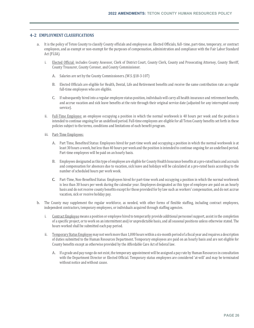# **4‐2 EMPLOYMENT CLASSIFICATIONS**

- a. It is the policy of Teton County to classify County officials and employees as: Elected Officials, full- time, part-time, temporary, or contract employees, and as exempt or non-exempt for the purposes of compensation, administration and compliance with the Fair Labor Standard Act (FLSA).
	- i. Elected Official: includes County Assessor, Clerk of District Court, County Clerk, County and Prosecuting Attorney, County Sheriff, County Treasurer, County Coroner, and County Commissioner.
		- A. Salaries are set by the County Commissioners. (W.S. §18-3-107)
		- B. Elected Officials are eligible for Health, Dental, Life and Retirement benefits and receive the same contribution rate as regular full-time employees who are eligible.
		- C. If subsequently hired into a regular employee status position, individuals will carry all health insurance and retirement benefits, and accrue vacation and sick leave benefits at the rate through their original service date (adjusted for any interrupted county service).
	- ii. Full-Time Employee: an employee occupying a position in which the normal workweek is 40 hours per week and the position is intended to continue ongoing for an undefined period. Full-time employees are eligible for all Teton County benefits set forth in these policies subject to the terms, conditions and limitations of each benefit program.
	- iii. Part-Time Employees:
		- A. Part Time, Benefited Status: Employees hired for part-time work and occupying a position in which the normal workweek is at least 30 hours a week, but less than 40 hours per week and the position is intended to continue ongoing for an undefined period. Part-time employees will be paid on an hourly basis.
		- B. Employees designated as this type of employee are eligible for County Health Insurance benefits at a pro-rated basis and accruals and compensation for absences due to vacation, sick leave and holidays will be calculated at a pro-rated basis according to the number of scheduled hours per work week.
		- C. Part-Time, Non-Benefited Status: Employees hired for part-time work and occupying a position in which the normal workweek is less than 30 hours per week during the calendar year. Employees designated as this type of employee are paid on an hourly basis and do not receive county benefits except for those provided for by law such as workers' compensation, and do not accrue vacation, sick or receive holiday pay.
- b. The County may supplement the regular workforce, as needed, with other forms of flexible staffing, including contract employees, independent contractors, temporary employees, or individuals acquired through staffing agencies.
	- i. Contract Employee means a position or employee hired to temporarily provide additional personnel support, assist in the completion of a specific project, or to work on an intermittent and/or unpredictable basis, and all seasonal positions unless otherwise stated. The hours worked shall be submitted each pay period.
	- ii. Temporary Status Employee may not work more than 1,000 hours within a six-month period of a fiscal year and requires a description of duties submitted to the Human Resources Department. Temporary employees are paid on an hourly basis and are not eligible for County benefits except as otherwise provided by the Affordable Care Act of federal law.
		- A. If a grade and pay range do not exist, the temporary appointment will be assigned a pay rate by Human Resources in consultation with the Department Director or Elected Official. Temporary status employees are considered 'at-will' and may be terminated without notice and without cause.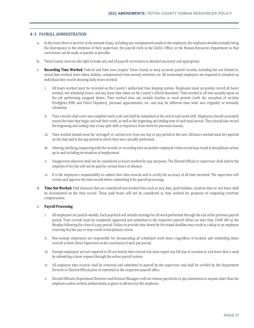# **4‐3 PAYROLL ADMINISTRATION**

- a. In the event there is an error in the amount of pay, including any overpayments made to the employee, the employee should promptly bring the discrepancy to the attention of their supervisor, the payroll clerk in the Clerk's Office, or the Human Resources Department so that corrections can be made as quickly as possible.
- b. Teton County reserves the right to make any and all payroll corrections as deemed necessary and appropriate.
- c. **Recording Time Worked.** Federal and State laws require Teton County to keep accurate payroll records, including but not limited to, actual time worked, leave taken, holiday, compensatory time earned, overtime, etc. All nonexempt employees are required to complete an individual time record showing daily hours worked.
	- i. All hours worked must be recorded on the County's authorized time keeping system. Employees must accurately record all hours worked, not scheduled hours, and any leave time taken on the County's official timesheet. Time worked is all time actually spent on the job performing assigned duties. Time worked does not include lunches or meal periods (with the exception of on-duty Firefighter/EMS and Patrol Deputies), personal appointments, etc. and may be different than what was originally or normally scheduled.
	- ii. Time records shall cover one complete work cycle and shall be completed at the end of each work shift. Employees should accurately record the time they begin and end their work, as well as the beginning and ending time of each meal period. They should also record the beginning and ending time of any split shift or departure from work for personal reasons.
	- iii. Time worked should never be 'averaged' or carried over from one day or pay period to the next. All hours worked must be reported on the date and in the pay period in which they were actually performed.
	- iv. Altering, falsifying, tampering with the records, or recording time on another employee's time record may result in disciplinary action, up to and including termination of employment.
	- v. Unapproved absences shall not be considered as hours worked for pay purposes. The Elected Official or supervisor shall inform the employee if he/she will not be paid for certain hours of absence.
	- vi. It is the employee's responsibility to submit their time records and to certify the accuracy of all time recorded. The supervisor will review and approve the time record before submitting it for payroll processing.
- d. **Time Not Worked.** Paid absences that are considered non-worked time such as jury duty, paid holidays, vacation time or sick leave shall be documented on the time record. These paid hours will not be considered as time worked for purposes of computing overtime compensation.

## e. **Payroll Processing**

- i. All employees are paid bi-weekly. Each paycheck will include earnings for all work performed through the end of the previous payroll period. Time records must be completed, approved and submitted to the respective payroll offices no later than 10:00 AM on the Monday following the close of a pay period. Failure to provide time sheets by the stated deadline may result in a delay in an employee receiving his/her pay or may result in disciplinary action.
- ii. Non-exempt employees are responsible for documenting all scheduled work hours regardless of location and submitting times records to their direct Supervisor at the conclusion of each pay period.
- iii. Exempt employees are not required to fill out hourly time records but must report any full day of vacation or sick leave that is used by submitting a leave request through the online payroll system.
- iv. All employee time records shall be reviewed and submitted to payroll by the supervisor and shall be verified by the Department Director or Elected Official prior to submittal to the respective payroll office.
- v. Elected Officials, Department Directors and Division Managers will not release paychecks or pay statements to anyone other than the employee unless written authorization is given in advance by the employee.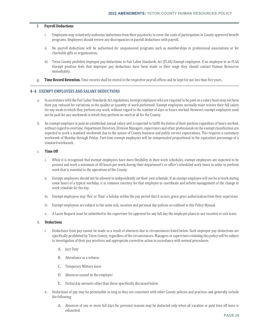## f. **Payroll Deductions**

- i. Employees may voluntarily authorize deductions from their paychecks to cover the costs of participation in County approved benefit programs. Employees should review any discrepancies in payroll deductions with payroll.
- ii. No payroll deductions will be authorized for unsponsored programs such as memberships in professional associations or for charitable gifts or organizations.
- iii. Teton County prohibits improper pay deductions to Fair Labor Standards Act (FLSA) Exempt employees. If an employee in an FLSA Exempt position feels that improper pay deductions have been made in their wage they should contact Human Resources immediately.
- g. **Time Record Retention.** Time records shall be stored in the respective payroll offices and be kept for not less than five years.

# **4‐4 EXEMPT EMPLOYEES AND SALARY DEDUCTIONS**

- a. In accordance with the Fair Labor Standards Act regulations, exempt employees who are required to be paid on a salary basis may not have their pay reduced for variations in the quality or quantity of work performed. Exempt employees normally must receive their full salary for any week in which they perform any work, without regard to the number of days or hours worked. However, exempt employees need not be paid for any workweek in which they perform no work at all for the County.
- b. An exempt employee is paid an established annual salary and is expected to fulfill the duties of their position regardless of hours worked, without regard to overtime. Department Directors, Division Managers, supervisors and other professionals in the exempt classification are expected to work a standard workweek due to the nature of County business and public service expectations. This requires a customary workweek of Monday through Friday. Part-time exempt employees will be compensated proportional to the equivalent percentage of a standard workweek.

## c. **Time Off**

- i. While it is recognized that exempt employees have more flexibility in their work schedules, exempt employees are expected to be present and work a minimum of 40 hours per week during their department's or office's scheduled work times in order to perform work that is essential to the operations of the County.
- ii. Exempt employees should not be allowed to independently set their own schedule. If an exempt employee will not be at work during some hours of a typical workday, it is common courtesy for that employee to coordinate and inform management of the change in work schedule for the day.
- iii. Exempt employees may 'flex' or 'float' a holiday within the pay period that it occurs, given prior authorization from their supervisor.
- iv. Exempt employees are subject to the same sick, vacation and personal day policies as outlined in this Policy Manual.
- v. A Leave Request must be submitted to the supervisor for approval for any full day the employee plans to use vacation or sick leave.

## d. **Deductions**

- i. Deductions from pay cannot be made as a result of absences due to circumstances listed below. Such improper pay deductions are specifically prohibited by Teton County, regardless of the circumstances. Managers or supervisors violating this policy will be subject to investigation of their pay practices and appropriate corrective action in accordance with normal procedures.
	- A. Jury Duty
	- B. Attendance as a witness
	- C. Temporary Military leave
	- D. Absences caused by the employer
	- E. Partial day amounts other than those specifically discussed below
- ii. Deductions of pay may be permissible as long as they are consistent with other County policies and practices and generally include the following:
	- A. Absences of one or more full days for personal reasons may be deducted only when all vacation or paid time off leave is exhausted.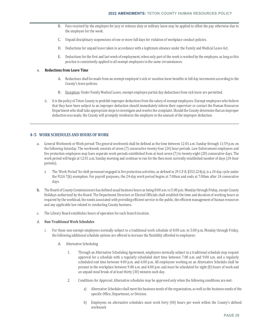- B. Fees received by the employee for jury or witness duty or military leave may be applied to offset the pay otherwise due to the employee for the week.
- C. Unpaid disciplinary suspensions of one or more full days for violation of workplace conduct policies.
- D. Deductions for unpaid leave taken in accordance with a legitimate absence under the Family and Medical Leave Act.
- E. Deductions for the first and last week of employment, when only part of the week is worked by the employee, as long as this practice is consistently applied to all exempt employees in the same circumstances.

### e. **Reductions from Leave Time**

- A. Reductions shall be made from an exempt employee's sick or vacation leave benefits in full day increments according to the County's leave policies.
- B. Exception: Under Family Medical Leave, exempt employee partial day deductions from sick leave are permitted.
- ii. It is the policy of Teton County to prohibit improper deductions from the salary of exempt employees. Exempt employees who believe that they have been subject to an improper deduction should immediately inform their supervisor or contact the Human Resources Department who shall take appropriate steps to investigate and resolve the complaint. Should the County determine that an improper deduction was made, the County will promptly reimburse the employee in the amount of the improper deduction.

# **4‐5 WORK SCHEDULES AND HOURS OF WORK**

- a. General Workweek or Work period: The general workweek shall be defined as the time between 12:01 a.m. Sunday through 11:59 p.m. on the following Saturday. The workweek consists of seven (7) consecutive twenty-four (24) hour periods. Law Enforcement employees and fire protection employees may have separate work periods established from at least seven (7) to twenty-eight (28) consecutive days. The work period will begin at 12:01 a.m. Sunday morning and continue to run for the then most currently established number of days (24-hour periods).
	- i. The 'Work Period' for shift personnel engaged in fire protection activities, as defined in 29 C.F.R. §553.224(a), is a 24-day cycle under the FLSA 7(k) exemption. For payroll purposes, the 24-day work period begins at 7:00am and ends at 7:00am after 24 consecutive days.
- b. The Board of County Commissioners has defined usual business hours as being 8:00 a.m. to 5:00 p.m. Monday through Friday, except County Holidays authorized by the Board. The Department Directors or Elected Officials shall establish the time and duration of working hours as required by the workload, the needs associated with providing efficient service to the public, the efficient management of human resources and any applicable law related to conducting County business.
- c. The Library Board establishes hours of operation for each branch location.

## d. **Non‐Traditional Work Schedules**

- i. For those non-exempt employees normally subject to a traditional work schedule of 8:00 a.m. to 5:00 p.m, Monday through Friday, the following additional schedule options are offered to increase the flexibility afforded to employees:
	- A. Alternative Scheduling
		- 1. Through an Alternative Scheduling Agreement, employees normally subject to a traditional schedule may request approval for a schedule with a regularly scheduled start time between 7:00 a.m. and 9:00 a.m. and a regularly scheduled end time between 4:00 p.m. and 6:00 p.m. All employees working on an Alternative Schedule shall be present in the workplace between 9:00 a.m. and 4:00 p.m. and must be scheduled for eight (8) hours of work and an unpaid meal break of at least thirty (30) minutes each day.
		- 2. Conditions for Approval. Alternative schedules may be approved only when the following conditions are met:
			- a) Alternative Schedules shall meet the business needs of the organization, as well as the business needs of the specific Office, Department, or Division.
			- b) Employees on alternative schedules must work forty (40) hours per week within the County's defined workweek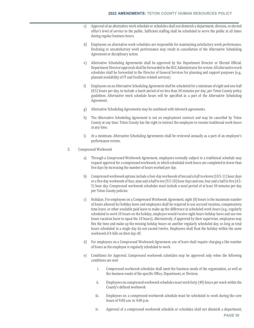- c) Approval of an alternative work schedule or schedules shall not diminish a department, division, or elected office's level of service to the public. Sufficient staffing shall be scheduled to serve the public at all times during regular business hours.
- d) Employees on alternative work schedules are responsible for maintaining satisfactory work performance. Declining or unsatisfactory work performance may result in cancellation of the Alternative Scheduling Agreement or disciplinary action.
- e) Alternative Scheduling Agreements shall be approved by the Department Director or Elected Official. Department Director approvals shall be forwarded to the BCC Administrator for review. All alternative work schedules shall be forwarded to the Director of General Services for planning and support purposes (e.g., planned availability of IT and Facilities-related services)
- f) Employees on an Alternative Scheduling Agreement shall be scheduled for a minimum of eight and one-half (8.5) hours per day, to include a lunch period of no less than 30 minutes per day, per Teton County policy guidelines. Alternative work schedule hours will be specified as a part of the Alternative Scheduling Agreement.
- g) Alternative Scheduling Agreements may be combined with telework agreements.
- h) The Alternative Scheduling Agreement is not an employment contract and may be cancelled by Teton County at any time. Teton County has the right to instruct the employee to resume traditional work hours at any time.
- i) At a minimum, Alternative Scheduling Agreements shall be reviewed annually as a part of an employee's performance review.
- 3. Compressed Workweek
	- a) Through a Compressed Workweek Agreement, employees normally subject to a traditional schedule may request approval for a compressed workweek, in which scheduled work hours are completed in fewer than five days by increasing the number of hours worked per day.
	- b) Compressed workweek options include a four-day workweek of ten and a half to eleven (10.5-11) hour days or a five-day workweek of four, nine and a half to ten (9.5-10) hour days and one, four and a half to five (4.5- 5) hour day. Compressed workweek schedules must include a meal period of at least 30 minutes per day per Teton County policies.
	- c) Holidays. For employees on a Compressed Workweek Agreement, eight (8) hours is the maximum number of hours allowed for holiday leave and employees shall be required to use accrued vacation, compensatory time leave, or other available paid leave to make up the difference in scheduled work hours (e.g., regularly scheduled to work 10 hours on the holiday, employee would receive eight hours holiday leave and use two hours vacation leave to equal the 10 hours). Alternatively, if approved by their supervisor, employees may flex the time and make up the missing holiday hours on another regularly scheduled day, so long as total hours scheduled in a single day do not exceed twelve. Employees shall float the holiday within the same workweek if it falls on their day off.
	- d) For employees on a Compressed Workweek Agreement, use of leave shall require charging a like number of hours as the employee is regularly scheduled to work.
	- e) Conditions for Approval. Compressed workweek schedules may be approved only when the following conditions are met:
		- i. Compressed workweek schedules shall meet the business needs of the organization, as well as the business needs of the specific Office, Department, or Division.
		- ii. Employees on compressed workweek schedules must work forty (40) hours per week within the County's defined workweek
		- iii. Employees on a compressed workweek schedule must be scheduled to work during the core hours of 9:00 a.m. to 4:00 p.m.
		- iv. Approval of a compressed workweek schedule or schedules shall not diminish a department,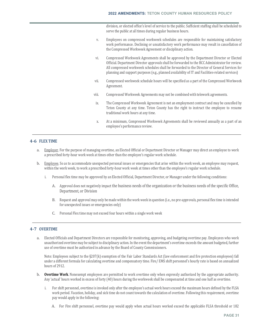division, or elected office's level of service to the public. Sufficient staffing shall be scheduled to serve the public at all times during regular business hours.

- v. Employees on compressed workweek schedules are responsible for maintaining satisfactory work performance. Declining or unsatisfactory work performance may result in cancellation of the Compressed Workweek Agreement or disciplinary action.
- vi. Compressed Workweek Agreements shall be approved by the Department Director or Elected Official. Department Director approvals shall be forwarded to the BCC Administrator for review. All compressed workweek schedules shall be forwarded to the Director of General Services for planning and support purposes (e.g., planned availability of IT and Facilities-related services)
- vii. Compressed workweek schedule hours will be specified as a part of the Compressed Workweek Agreement.
- viii. Compressed Workweek Agreements may not be combined with telework agreements.
- ix. The Compressed Workweek Agreement is not an employment contract and may be cancelled by Teton County at any time. Teton County has the right to instruct the employee to resume traditional work hours at any time.
- x. At a minimum, Compressed Workweek Agreements shall be reviewed annually as a part of an employee's performance review.

# **4‐6 FLEX TIME**

- a. Employer. For the purpose of managing overtime, an Elected Official or Department Director or Manager may direct an employee to work a prescribed forty-hour work week at times other than the employee's regular work schedule.
- b. Employee. So as to accommodate unexpected personal issues or emergencies that arise within the work week, an employee may request, within the work week, to work a prescribed forty-hour work week at times other than the employee's regular work schedule.
	- i. Personal flex time may be approved by an Elected Official, Department Director, or Manager under the following conditions:
		- A. Approval does not negatively impact the business needs of the organization or the business needs of the specific Office, Department, or Division
		- B. Request and approval may only be made within the work week in question (i.e., no pre-approvals, personal flex time is intended for unexpected issues or emergencies only)
		- C. Personal Flex time may not exceed four hours within a single work week

# **4‐7 OVERTIME**

a. Elected Officials and Department Directors are responsible for monitoring, approving, and budgeting overtime pay. Employees who work unauthorized overtime may be subject to disciplinary action. In the event the department's overtime exceeds the amount budgeted, further use of overtime must be authorized in advance by the Board of County Commissioners.

Note: Employees subject to the §207(k) exemption of the Fair Labor Standards Act (law enforcement and fire protection employees) fall under a different formula for calculating overtime and compensatory time. Fire/ EMS shift personnel's hourly rate is based on annualized hours of 2912.

- b. **Overtime Work**. Nonexempt employees are permitted to work overtime only when expressly authorized by the appropriate authority. Any 'actual' hours worked in excess of forty (40) hours during the workweek shall be compensated at time and one half as overtime.
	- i. For shift personnel, overtime is invoked only after the employee's actual work hours exceed the maximum hours defined by the FLSA work period. Vacation, holiday, and sick time do not count towards the calculation of overtime. Following this requirement, overtime pay would apply in the following:
		- A. For Fire shift personnel, overtime pay would apply when actual hours worked exceed the applicable FLSA threshold or 182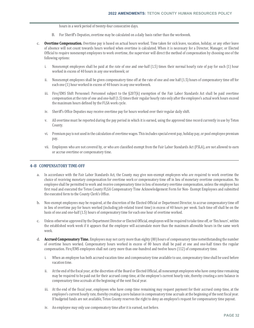hours in a work period of twenty-four consecutive days.

- B. For Sheriff's Deputies, overtime may be calculated on a daily basis rather than the workweek.
- c. **Overtime Compensation.** Overtime pay is based on actual hours worked. Time taken for sick leave, vacation, holiday, or any other leave of absence will not count towards hours worked when overtime is calculated. When it is necessary for a Director, Manager, or Elected Official to require nonexempt employees to work overtime, the supervisor will direct the method of compensation by choosing one of the following options:
	- i. Nonexempt employees shall be paid at the rate of one and one-half (1.5) times their normal hourly rate of pay for each (1) hour worked in excess of 40 hours in any one workweek; or
	- ii. Nonexempt employees shall be given compensatory time off at the rate of one and one half (1.5) hours of compensatory time off for each one (1) hour worked in excess of 40 hours in any one workweek.
	- iii. Fire/EMS Shift Personnel: Personnel subject to the  $\S207(k)$  exemption of the Fair Labor Standards Act shall be paid overtime compensation at the rate of one and one-half (1.5) times their regular hourly rate only after the employee's actual work hours exceed the maximum hours defined by the FLSA work cycle.
	- iv. Sheriff's Office Deputies may receive overtime pay for hours worked over their regular daily shift.
	- v. All overtime must be reported during the pay period in which it is earned, using the approved time record currently in use by Teton County.
	- vi. Premium pay is not used in the calculation of overtime wages. This includes special event pay, holiday pay, or pool employee premium pay.
	- vii. Employees who are not covered by, or who are classified exempt from the Fair Labor Standards Act (FSLA), are not allowed to earn or accrue overtime or compensatory time.

# **4‐8 COMPENSATORY TIME‐OFF**

- a. In accordance with the Fair Labor Standards Act, the County may give non-exempt employees who are required to work overtime the choice of receiving monetary compensation for overtime work or compensatory time off in lieu of monetary overtime compensation. No employee shall be permitted to work and receive compensatory time in lieu of monetary overtime compensation, unless the employee has first read and executed the Teton County FLSA Compensatory Time Acknowledgement Form for Non- Exempt Employees and submitted the executed form to the County Clerk's Office.
- b. Non-exempt employees may be required, at the discretion of the Elected Official or Department Director, to accrue compensatory time off in lieu of overtime pay for hours worked (including job-related travel time) in excess of 40 hours per week. Such time off shall be on the basis of one and one-half (1.5) hours of compensatory time for each one hour of overtime worked.
- c. Unless otherwise approved by the Department Director or Elected Official, employees will be required to take time off, or 'flex hours', within the established work week if it appears that the employee will accumulate more than the maximum allowable hours in the same work week.
- d. **Accrued Compensatory Time.** Employees may not carry more than eighty (80) hours of compensatory time notwithstanding the number of overtime hours worked. Compensatory hours worked in excess of 80 hours shall be paid at one and one-half times the regular compensation. Fire/EMS employees shall not carry more than one-hundred and twelve hours (112) of compensatory time.
	- i. When an employee has both accrued vacation time and compensatory time available to use, compensatory time shall be used before vacation time.
	- ii. At the end of the fiscal year, at the discretion of the Board or Elected Official, all nonexempt employees who have comp time remaining may be required to be paid out for their accrued comp time, at the employee's current hourly rate, thereby creating a zero balance in compensatory time accruals at the beginning of the next fiscal year.
	- iii. At the end of the fiscal year, employees who have comp time remaining may request payment for their accrued comp time, at the employee's current hourly rate, thereby creating a zero balance in compensatory time accruals at the beginning of the next fiscal year. If budgeted funds are not available, Teton County reserves the right to deny an employee's request for compensatory time payout.
	- iv. An employee may only use compensatory time after it is earned, not before.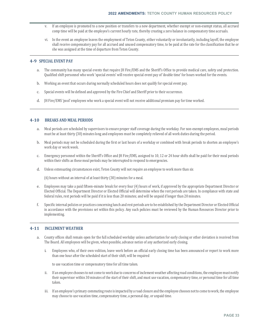- v. If an employee is promoted to a new position or transfers to a new department, whether exempt or non-exempt status, all accrued comp time will be paid at the employee's current hourly rate, thereby creating a zero balance in compensatory time accruals.
- vi. In the event an employee leaves the employment of Teton County, either voluntarily or involuntarily, including layoff, the employee shall receive compensatory pay for all accrued and unused compensatory time, to be paid at the rate for the classification that he or she was assigned at the time of departure from Teton County.

# **4‐9 SPECIAL EVENT PAY**

- a. The community has many special events that require JH Fire/EMS and the Sheriff's Office to provide medical care, safety and protection. Qualified shift personnel who work 'special events' will receive special event pay of 'double time' for hours worked for the events.
- b. Working an event that occurs during normally scheduled hours does not qualify for special event pay.
- c. Special events will be defined and approved by the Fire Chief and Sheriff prior to their occurrence.
- d. JH Fire/EMS 'pool' employees who work a special event will not receive additional premium pay for time worked.

## **4‐10 BREAKS AND MEAL PERIODS**

- a. Meal periods are scheduled by supervisors to ensure proper staff coverage during the workday. For non-exempt employees, meal periods must be at least thirty (30) minutes long and employees must be completely relieved of all work duties during the period.
- b. Meal periods may not be scheduled during the first or last hours of a workday or combined with break periods to shorten an employee's work day or work week.
- c. Emergency personnel within the Sheriff's Office and JH Fire/EMS, assigned to 10, 12 or 24 hour shifts shall be paid for their meal periods within their shifts as these meal periods may be interrupted to respond to emergencies.
- d. Unless extenuating circumstances exist, Teton County will not require an employee to work more than six

(6) hours without an interval of at least thirty (30) minutes for a meal.

- e. Employees may take a paid fifteen-minute break for every four (4) hours of work, if approved by the appropriate Department Director or Elected Official. The Department Director or Elected Official will determine when the rest periods are taken. In compliance with state and federal rules, rest periods will be paid if it is less than 20 minutes; and will be unpaid if longer than 20 minutes.
- f. Specific internal policies or practices concerning lunch and rest periods are to be established by the Department Director or Elected Official in accordance with the provisions set within this policy. Any such policies must be reviewed by the Human Resources Director prior to implementing.

# **4‐11 INCLEMENT WEATHER**

- a. County offices shall remain open for the full scheduled workday unless authorization for early closing or other deviation is received from The Board. All employees will be given, when possible, advance notice of any authorized early closing.
	- i. Employees who, of their own volition, leave work before an official early closing time has been announced or report to work more than one hour after the scheduled start of their shift, will be required

to use vacation time or compensatory time for all time taken.

- ii. If an employee chooses to not come to work due to concerns of inclement weather affecting road conditions, the employee must notify their supervisor within 30 minutes of the start of their shift, and must use vacation, compensatory time, or personal time for all time taken.
- iii. If an employee's primary commuting route is impacted by a road closure and the employee chooses not to come to work, the employee may choose to use vacation time, compensatory time, a personal day, or unpaid time.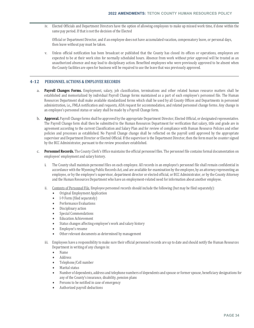iv. Elected Officials and Department Directors have the option of allowing employees to make up missed work time, if done within the same pay period. If that is not the decision of the Elected

Official or Department Director, and if an employee does not have accumulated vacation, compensatory leave, or personal days, then leave without pay must be taken.

v. Unless official notification has been broadcast or published that the County has closed its offices or operations, employees are expected to be at their work sites for normally scheduled hours. Absence from work without prior approval will be treated as an unauthorized absence and may lead to disciplinary action. Benefited employees who were previously approved to be absent when the County facilities are open for business will be required to use the leave that was previously approved.

# **4‐12 PERSONNEL ACTIONS & EMPLOYEE RECORDS**

- a. **Payroll Changes Forms.** Employment, salary, job classification, terminations and other related human resource matters shall be established and memorialized by individual Payroll Change forms maintained as a part of each employee's personnel file. The Human Resources Department shall make available standardized forms which shall be used by all County Offices and Departments in personnel administration, i.e,, FMLA notification and requests, ADA request for accommodation, and related personnel change forms. Any change in an employee's personnel status or salary shall be made by a Payroll Change form.
- b. **Approval.** Payroll Change forms shall be approved by the appropriate Department Director, Elected Official, or designated representative. The Payroll Change form shall then be submitted to the Human Resources Department for verification that salary, title and grade are in agreement according to the current Classification and Salary Plan and for review of compliance with Human Resource Policies and other policies and processes as established. No Payroll Change change shall be reflected on the payroll until approved by the appropriate supervisor and Department Director or Elected Official. If the supervisor is the Department Director, then the form must be counter signed by the BCC Administrator, pursuant to the review procedure established.
- c. **Personnel Records.** The County Clerk's Office maintains the official personnel files. The personnel file contains formal documentation on employees' employment and salary history.
	- i. The County shall maintain personnel files on each employee. All records in an employee's personnel file shall remain confidential in accordance with the Wyoming Public Records Act, and are available for examination by the employee, by an attorney representing an employee, or by the employee's supervisor, department director or elected official, or BCC Administrator, or by the County Attorney and the Human Resources Department who have an employment-related need for information about another employee.
	- ii. Contents of Personnel File. Employee personnel records should include the following (but may be filed separately):
		- Original Employment Application
		- I-9 Form (filed separately)
		- **•** Performance Evaluations
		- Disciplinary action
		- Special Commendations
		- Education Achievement
		- Status changes affecting employee's work and salary history
		- Employee's resume
		- Other relevant documents as determined by management
	- iii. Employees have a responsibility to make sure their official personnel records are up to date and should notify the Human Resources Department in writing of any changes in:
		- Name
		- Address
		- Telephone/Cell number
		- Marital status
		- Number of dependents, address and telephone numbers of dependents and spouse or former spouse, beneficiary designations for any of the County's insurance, disability, pension plans
		- Persons to be notified in case of emergency
		- Authorized payroll deductions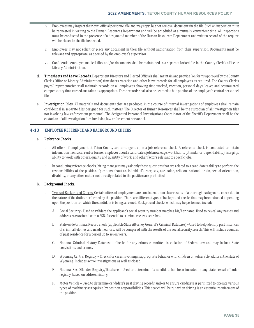- iv. Employees may inspect their own official personnel file and may copy, but not remove, documents in the file. Such an inspection must be requested in writing to the Human Resources Department and will be scheduled at a mutually convenient time. All inspections must be conducted in the presence of a designated member of the Human Resources Department and written record of the request will be placed in the file inspected.
- v. Employees may not solicit or place any document in their file without authorization from their supervisor. Documents must be relevant and appropriate, as deemed by the employee's supervisor.
- vi. Confidential employee medical files and/or documents shall be maintained in a separate locked file in the County Clerk's office or Library Administration.
- d. **Timesheets and Leave Records.** Department Directors and Elected Officials shall maintain and provide (on forms approved by the County Clerk's Office or Library Administration) timesheets, vacation and other leave records for all employees as required. The County Clerk's payroll representative shall maintain records on all employees showing time worked, vacation, personal days, leaves and accumulated compensatory time earned and taken as appropriate. These records shall also be deemed to be a portion of the employee's central personnel file.
- e. **Investigation Files.** All materials and documents that are produced in the course of internal investigations of employees shall remain confidential in separate files designed for such matters. The Director of Human Resources shall be the custodian of all investigation files not involving law enforcement personnel. The designated Personnel Investigations Coordinator of the Sheriff's Department shall be the custodian of all investigation files involving law enforcement personnel.

# **4‐13 EMPLOYEE REFERENCE AND BACKGROUND CHECKS**

## a. **Reference Checks.**

- i. All offers of employment at Teton County are contingent upon a job reference check. A reference check is conducted to obtain information from a current or former employer about a candidate's job knowledge, work habits (attendance, dependability), integrity, ability to work with others, quality and quantity of work, and other factors relevant to specific jobs.
- ii. In conducting reference checks, hiring managers may ask only those questions that are related to a candidate's ability to perform the responsibilities of the position. Questions about an individual's race, sex, age, color, religion, national origin, sexual orientation, disability, or any other matter not directly related to the position are prohibited.

## b. **Background Checks.**

- i. Types of Background Checks: Certain offers of employment are contingent upon clear results of a thorough background check due to the nature of the duties performed by the position. There are different types of background checks that may be conducted depending upon the position for which the candidate is being screened. Background checks which may be performed include:
	- A. Social Security Used to validate the applicant's social security number matches his/her name. Used to reveal any names and addresses associated with a SSN. Essential to criminal records searches.
	- B. State-wide Criminal Record check (applicable State Attorney General's Criminal Database) Used to help identify past instances of criminal felonies and misdemeanors. Will be compared with the results of the social security search. This will include counties of past residence for a period up to seven years.
	- C. National Criminal History Database Checks for any crimes committed in violation of Federal law and may include State convictions and crimes.
	- D. Wyoming Central Registry Checks for cases involving inappropriate behavior with children or vulnerable adults in the state of Wyoming. Includes active investigations as well as closed.
	- E. National Sex Offender Registry/Database Used to determine if a candidate has been included in any state sexual offender registry, based on address history.
	- F. Motor Vehicle Used to determine candidate's past driving records and/or to ensure candidate is permitted to operate various types of machinery as required by position responsibilities. This search will be run when driving is an essential requirement of the position.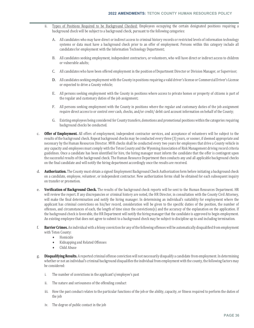- ii. Types of Positions Required to be Background Checked: Employees occupying the certain designated positions requiring a background check will be subject to a background check, pursuant to the following categories:
	- A. All candidates who may have direct or indirect access to criminal history records or restricted levels of information technology systems or data must have a background check prior to an offer of employment. Persons within this category include all candidates for employment with the Information Technology Department;
	- B. All candidates seeking employment, independent contractors, or volunteers, who will have direct or indirect access to children or vulnerable adults;
	- C. All candidates who have been offered employment in the position of Department Director or Division Manager, or Supervisor;
	- D. All candidates seeking employment with the County in positions requiring a valid driver's license or Commercial Driver's License or expected to drive a County vehicle;
	- E. All persons seeking employment with the County in positions where access to private homes or property of citizens is part of the regular and customary duties of the job assignment;
	- F. All persons seeking employment with the County in positions where the regular and customary duties of the job assignment require direct access to or control over cash, checks, and/or credit/ debit card account information on behalf of the County;
	- G. Existing employees being considered for County transfers, demotions and promotional positions within the categories requiring background checks be conducted.
- c. **Offer of Employment.** All offers of employment, independent contractor services, and acceptance of volunteers will be subject to the results of the background check. Repeat background checks may be conducted every three (3) years, or sooner, if deemed appropriate and necessary by the Human Resources Director. MVR checks shall be conducted every two years for employees that drive a County vehicle in any capacity and employees must comply with the Teton County and the Wyoming Association of Risk Management driving record criteria guidelines. Once a candidate has been identified for hire, the hiring manager must inform the candidate that the offer is contingent upon the successful results of the background check. The Human Resource Department then conducts any and all applicable background checks on the final candidate and will notify the hiring department accordingly once the results are received.
- d. **Authorization.** The County must obtain a signed Employment Background Check Authorization form before initiating a background check on a candidate, employee, volunteer, or independent contractor. New authorization forms shall be obtained for each subsequent inquiry on transfer or promotion.
- e. **Verification of Background Check.** The results of the background check reports will be sent to the Human Resources Department. HR will review the report. If any discrepancies or criminal history are noted, the HR Director, in consultation with the County Civil Attorney, will make the final determination and notify the hiring manager. In determining an individual's suitability for employment where the applicant has criminal convictions on his/her record, consideration will be given to the specific duties of the position, the number of offenses, and circumstances of each, the length of time since the convictions(s) and the accuracy of the explanation on the application. If the background check is favorable, the HR Department will notify the hiring manager that the candidate is approved to begin employment. An existing employee that does not agree to submit to a background check may be subject to discipline up to and including termination.
- f. **Barrier Crimes.** An individual with a felony conviction for any of the following offenses will be automatically disqualified from employment with Teton County:
	- **•** Homicide
	- Kidnapping and Related Offenses
	- Child Abuse
- g. **Disqualifying Results.** A reported criminal offense conviction will not necessarily disqualify a candidate from employment. In determining whether or not an individual's criminal background disqualifies the individual from employment with the county, the following factors may be considered:
	- i. The number of convictions in the applicant's/employee's past
	- ii. The nature and seriousness of the offending conduct
	- iii. How the past conduct relates to the particular functions of the job or the ability, capacity, or fitness required to perform the duties of the job
	- iv. The degree of public contact in the job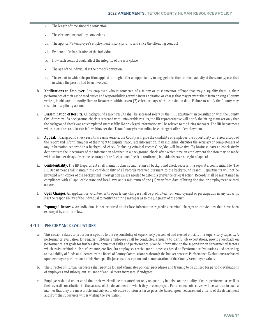- v. The length of time since the conviction
- vi. The circumstances of any convictions
- vii. The applicant's/employee's employment history prior to and since the offending conduct
- viii. Evidence of rehabilitation of the individual
- ix. How such conduct could affect the integrity of the workplace
- x. The age of the individual at the time of conviction
- xi. The extent to which the position applied for might offer an opportunity to engage in further criminal activity of the same type as that in which the person had been involved.
- h. **Notifications to Employer.** Any employee who is convicted of a felony or misdemeanor offense that may disqualify them in their performance of their associated duties and responsibilities or who incurs a citation or charge that may prevent them from driving a County vehicle, is obligated to notify Human Resources within seven (7) calendar days of the conviction date. Failure to notify the County may result in disciplinary action.
- i. **Dissemination of Results.** All background search results shall be accessed solely by the HR Department, in consultation with the County Civil Attorney. If a background check is returned with unfavorable results, the HR representative will notify the hiring manager only that the background check was not completed successfully. No privileged information will be relayed to the hiring manager. The HR Department will contact the candidate to inform him/her that Teton County is rescinding its contingent offer of employment.
- j. **Appeal.** If background check results are unfavorable, the County will give the candidate or employee the opportunity to review a copy of the report and inform him/her of their right to dispute inaccurate information. If an individual disputes the accuracy or completeness of any information reported in a background check (including criminal records) he/she will have five (5) business days to conclusively demonstrate the inaccuracy of the information obtained in a background check, after which time an employment decision may be made without further delays. Once the accuracy of the Background Check is confirmed, individuals have no right of appeal.
- k. **Confidentiality.** The HR Department shall maintain, classify and retain all background check records in a separate, confidential file. The HR Department shall maintain the confidentiality of all records received pursuant to the background search. Departments will not be provided with copies of the background investigation unless needed to defend a grievance or legal action. Records shall be maintained in compliance with all applicable state and local laws and a minimum of one (1) year from date of hiring decision or employment related actions.
- l. **Open Charges.** An applicant or volunteer with open felony charges shall be prohibited from employment or participation in any capacity. It is the responsibility of the individual to notify the hiring manager as to the judgment of the court.
- m. **Expunged Records.** An individual is not required to disclose information regarding criminal charges or convictions that have been expunged by a court of law.

## **4‐14 PERFORMANCE EVALUATIONS**

- a. This section relates to procedures specific to the responsibility of supervisory personnel and elected officials in a supervisory capacity. A performance evaluation for regular, full-time employees shall be conducted annually to clarify job expectations, provide feedback on performance, set goals for further development of skills and performance, provide information to the supervisor on departmental factors which assist or hinder job performance, etc. Regular employees receive merit increases based on Performance Evaluations and according to availability of funds as allocated by the Board of County Commissioners through the budget process. Performance Evaluations are based upon employee performance of his/her specific job class description and demonstration of the County's employee values.
- b. The Director of Human Resources shall provide for and administer policies, procedures and training to be utilized for periodic evaluations of employees and subsequent issuance of annual merit increases, if budgeted.
- c. Employees should understand that their work will be measured not only on quantity but also on the quality of work performed as well as their overall contribution to the success of the department in which they are employed. Performance objectives will be written in such a manner that they are measurable and subject to objective opinion as far as possible, based upon measurement criteria of the department and from the supervisor who is writing the evaluation.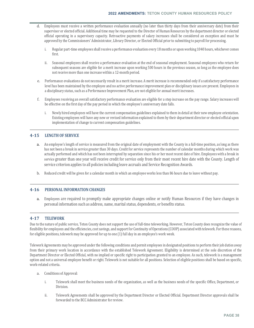- Employees must receive a written performance evaluation annually (no later than thirty days from their anniversary date) from their supervisor or elected official. Additional time may be requested to the Director of Human Resources by the department director or elected official operating in a supervisory capacity. Retroactive payments of salary increases shall be considered an exception and must be approved by the Commissioners' Administrator, Library Director, or Elected Official prior to submitting to payroll for processing.
	- i. Regular part-time employees shall receive a performance evaluation every 18 months or upon working 1040 hours, whichever comes first.
	- ii. Seasonal employees shall receive a performance evaluation at the end of seasonal employment. Seasonal employees who return for subsequent seasons are eligible for a merit increase upon working 500 hours in the previous season, so long as the employee does not receive more than one increase within a 12-month period.
- e. Performance evaluations do not necessarily result in a merit increase. A merit increase is recommended only if a satisfactory performance level has been maintained by the employee and no active performance improvement plan or disciplinary issues are present. Employees in a disciplinary status, such as a Performance Improvement Plan, are not eligible for annual merit increases.
- f. Employees receiving an overall satisfactory performance evaluation are eligible for a step increase on the pay range. Salary increases will be effective on the first day of the pay period in which the employee's anniversary date falls.
	- i. Newly hired employees will have the current compensation guidelines explained to them in detail at their new employee orientation. Existing employees will have any new or revised information explained to them by their department director or elected official upon implementation of change to current compensation guidelines.

## **4‐15 LENGTH OF SERVICE**

- a. An employee's length of service is measured from the original date of employment with the County in a full-time position, as long as there has not been a break in service greater than 30 days. Credit for service represents the number of calendar months during which work was actually performed and which has not been interrupted by separation since his or her most recent date of hire. Employees with a break in service greater than one year will receive credit for service only from their most recent hire date with the County. Length of service criterion applies to all policies including leave accruals and Service Recognition Awards.
- b. Reduced credit will be given for a calendar month in which an employee works less than 86 hours due to leave without pay.

## **4‐16 PERSONAL INFORMATION CHANGES**

a. Employees are required to promptly make appropriate changes online or notify Human Resources if they have changes in personal information such as address, name, marital status, dependents, or benefits status.

### **4‐17 TELEWORK**

Due to the nature of public service, Teton County does not support the use of full-time teleworking. However, Teton County does recognize the value of flexibility for employees and the efficiencies, cost savings, and support for Continuity of Operations (COOP) associated with telework. For these reasons, for eligible positions, telework may be approved for up to one (1) full day in an employee's work week.

Telework Agreements may be approved under the following conditions and permit employees in designated positions to perform their job duties away from their primary work location in accordance with the established Telework Agreement. Eligibility is determined at the sole discretion of the Department Director or Elected Official, with no implied or specific right to participation granted to an employee. As such, telework is a management option and not a universal employee benefit or right. Telework is not suitable for all positions. Selection of eligible positions shall be based on specific, work-related criteria.

- a. Conditions of Approval:
	- i. Telework shall meet the business needs of the organization, as well as the business needs of the specific Office, Department, or Division.
	- ii. Telework Agreements shall be approved by the Department Director or Elected Official. Department Director approvals shall be forwarded to the BCC Administrator for review.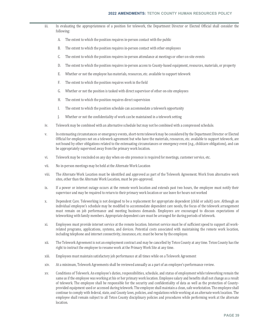- iii. In evaluating the appropriateness of a position for telework, the Department Director or Elected Official shall consider the following:
	- A. The extent to which the position requires in-person contact with the public
	- B. The extent to which the position requires in-person contact with other employees
	- C. The extent to which the position requires in-person attendance at meetings or other on-site events
	- D. The extent to which the position requires in-person access to County-based equipment, resources, materials, or property
	- E. Whether or not the employee has materials, resources, etc. available to support telework
	- F. The extent to which the position requires work in the field
	- G. Whether or not the position is tasked with direct supervisor of other on-site employees
	- H. The extent to which the position requires direct supervision
	- I. The extent to which the position schedule can accommodate a telework opportunity
	- J. Whether or not the confidentiality of work can be maintained in a telework setting
- iv. Telework may be combined with an alternative schedule but may not be combined with a compressed schedule.
- v. In extenuating circumstances or emergency events, short-term telework may be considered by the Department Director or Elected Official for employees not on a telework agreement but who have the materials, resources, etc. available to support telework, are not bound by other obligations related to the extenuating circumstances or emergency event (e.g., childcare obligations), and can be appropriately supervised away from the primary work location.
- vi. Telework may be rescinded on any day when on-site presence is required for meetings, customer service, etc.
- vii. No in-person meetings may be held at the Alternate Work Location
- viii. The Alternate Work Location must be identified and approved as part of the Telework Agreement. Work from alternative work sites, other than the Alternate Work Location, must be pre-approved.
- ix. If a power or internet outage occurs at the remote work location and extends past two hours, the employee must notify their supervisor and may be required to return to their primary work location or use leave for hours not worked
- x. Dependent Care. Teleworking is not designed to be a replacement for appropriate dependent (child or adult) care. Although an individual employee's schedule may be modified to accommodate dependent care needs, the focus of the telework arrangement must remain on job performance and meeting business demands. Employees are encouraged to discuss expectations of teleworking with family members. Appropriate dependent care must be arranged for during periods of telework.
- xi. Employees must provide internet service at the remote location. Internet service must be of sufficient speed to support all workrelated programs, applications, systems, and devices. Potential costs associated with maintaining the remote work location, including telephone and internet connectivity, insurance, etc. must be borne by the employee.
- xii. The Telework Agreement is not an employment contract and may be cancelled by Teton County at any time. Teton County has the right to instruct the employee to resume work at the Primary Work Site at any time.
- xiii. Employees must maintain satisfactory job performance at all times while on a Telework Agreement
- xiv. At a minimum, Telework Agreements shall be reviewed annually as a part of an employee's performance review.
- xv. Conditions of Telework. An employee's duties, responsibilities, schedule, and status of employment while teleworking remain the same as if the employee was working at his or her primary work location. Employee salary and benefits shall not change as a result of telework. The employee shall be responsible for the security and confidentiality of data as well as the protection of Countyprovided equipment used or accessed during telework. The employee shall maintain a clean, safe workstation. The employee shall continue to comply with federal, state, and County laws, policies, and regulations while working at an alternate work location. The employee shall remain subject to all Teton County disciplinary policies and procedures while performing work at the alternate location.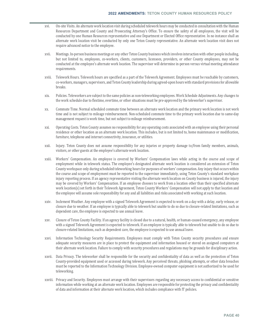- xvi. On-site Visits. An alternate work location visit during scheduled telework hours may be conducted in consultation with the Human Resources Department and County and Prosecuting Attorney's Office. To ensure the safety of all employees, the visit will be conducted by one Human Resources representative and one Department or Elected Office representative. In no instance shall an alternate work location visit be conducted by only one Teton County representative. An alternate work location visit does not require advanced notice to the employee.
- xvii. Meetings. In-person business meetings or any other Teton County business which involves interaction with other people including, but not limited to, employees, co-workers, clients, customers, licensees, providers, or other County employees, may not be conducted at the employee's alternate work location. The supervisor will determine in-person versus virtual meeting attendance requirements.
- xviii. Telework Hours. Telework hours are specified as a part of the Telework Agreement. Employees must be reachable by customers, co-workers, managers, supervisors, and Teton County leadership during agreed-upon hours with standard provisions for allowable breaks.
- xix. Policies. Teleworkers are subject to the same policies as non-teleworking employees. Work Schedule Adjustments. Any changes to the work schedule due to flextime, overtime, or other situations must be pre-approved by the teleworker's supervisor.
- xx. Commute Time. Normal scheduled commute time between an alternate work location and the primary work location is not work time and is not subject to mileage reimbursement. Non-scheduled commute time to the primary work location due to same-day management request is work time, but not subject to mileage reimbursement.
- xxi. Operating Costs. Teton County assumes no responsibility for any operating costs associated with an employee using their personal residence or other location as an alternate work location. This includes, but is not limited to, home maintenance or modification, furniture, telephone and internet connectivity, insurance, or utilities.
- xxii. Injury. Teton County does not assume responsibility for any injuries or property damage to/from family members, animals, visitors, or other guests at the employee's alternate work location.
- xxiii. Workers' Compensation. An employee is covered by Workers' Compensation laws while acting in the course and scope of employment while in telework status. The employee's designated alternate work location is considered an extension of Teton County workspace only during scheduled teleworking hours for purposes of workers' compensation. Any injury that occurs within the course and scope of employment must be reported to the supervisor immediately, using Teton County's standard workplace injury reporting process. If an agency representative visiting the alternate work location on County business is injured, the injury may be covered by Workers' Compensation. If an employee chooses to work from a location other than their specified alternate work location(s) set forth in their Telework Agreement, Teton County Workers' Compensation will not apply to that location and the employee will assume sole responsibility for any and all liabilities and risks associated with working at such location.
- xxiv. Inclement Weather. Any employee with a signed Telework Agreement is expected to work on a day with a delay, early release, or closure due to weather. If an employee is typically able to telework but unable to do so due to closure-related limitations, such as dependent care, the employee is expected to use annual leave.
- xxv. Closure of Teton County Facility. If an agency facility is closed due to a natural, health, or human-caused emergency, any employee with a signed Telework Agreement is expected to telework. If an employee is typically able to telework but unable to do so due to closure-related limitations, such as dependent care, the employee is expected to use annual leave.
- xxvi. Information Technology Security Requirements. Employees must comply with Teton County security procedures and ensure adequate security measures are in place to protect the equipment and information housed or stored on assigned computers at their alternate work location. Failure to comply with security procedures and regulations may be grounds for disciplinary action.
- xxvii. Data Privacy. The teleworker shall be responsible for the security and confidentiality of data as well as the protection of Teton County-provided equipment used or accessed during telework. Any perceived threats, phishing attempts, or other data breaches must be reported to the Information Technology Division. Employee-owned computer equipment is not authorized to be used for teleworking.
- xxviii. Privacy and Security. Employees must arrange with their supervisors regarding any necessary access to confidential or sensitive information while working at an alternate work location. Employees are responsible for protecting the privacy and confidentiality of data and information at their alternate work location, which includes compliance with IT policies.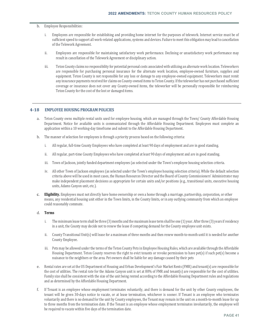#### b. Employee Responsibilities:

- i. Employees are responsible for establishing and providing home internet for the purposes of telework. Internet service must be of sufficient speed to support all work-related applications, systems and devices. Failure to meet this obligation may lead to cancellation of the Telework Agreement.
- ii. Employees are responsible for maintaining satisfactory work performance. Declining or unsatisfactory work performance may result in cancellation of the Telework Agreement or disciplinary action.
- iii. Teton County claims no responsibility for potential personal costs associated with utilizing an alternate work location. Teleworkers are responsible for purchasing personal insurance for the alternate work location, employee-owned furniture, supplies and equipment. Teton County is not responsible for any loss or damage to any employee-owned equipment. Teleworkers must remit any insurance payments received for claims on County-owned items to Teton County. If the teleworker has not purchased sufficient coverage or insurance does not cover any County-owned items, the teleworker will be personally responsible for reimbursing Teton County for the cost of the lost or damaged items.

#### **4‐18 EMPLOYEE HOUSING PROGRAM POLICIES**

- a. Teton County owns multiple rental units used for employee housing, which are managed through the Town/ County Affordable Housing Department. Notice for available units is communicated through the Affordable Housing Department. Employees must complete an application within a 10 working-day timeframe and submit to the Affordable Housing Department.
- b. The manner of selection for employees is through a priority process based on the following criteria:
	- i. All regular, full-time County Employees who have completed at least 90 days of employment and are in good standing.
	- ii. All regular, part-time County Employees who have completed at least 90 days of employment and are in good standing.
	- iii. Town of Jackson, jointly funded department employees (as selected under the Town's employee housing selection criteria.
	- iv. All other Town of Jackson employees (as selected under the Town's employee housing selection criteria). While the default selection criteria above will be used in most cases, the Human Resources Director and the Board of County Commissioners' Administrator may make independent placement decisions as appropriate for certain units and/or positions (e.g., transitional units, executive housing units, Adams Canyon unit, etc.).
- c. **Eligibility.** Employees must not directly have home ownership or own a home through a marriage, partnership, corporation, or other means, any residential housing unit either in the Town limits, in the County limits, or in any outlying community from which an employee could reasonably commute.

#### d. **Terms**

- i. The minimum lease term shall be three (3) months and the maximum lease term shall be one (1) year. After three (3) years if residency in a unit, the County may decide not to renew the lease if competing demand for the County employee unit exists.
- ii. County Transitional Unit(s) will lease for a maximum of three months and then renew month-to-month until it is needed for another County Employee.
- iii. Pets may be allowed under the terms of the Teton County Pets in Employee Housing Rules, which are available through the Affordable Housing Department. Teton County reserves the right to evict tenants or revoke permission to have pet(s) if such pet(s) become a nuisance to the neighbors or the area. Pet owners shall be liable for any damage caused by their pets
- e. Rental rates are set at the US Department of Housing and Urban Development's Fair Market Rents (FMR) and tenant(s) are responsible for the cost of utilities. The rental rate for the Adams Canyon unit is set at 80% of FMR and tenant(s) are responsible for the cost of utilities. Family size shall be consistent with the size of the unit being rented according to the Affordable Housing Department rules and regulations and as determined by the Affordable Housing Department.
- f. If Tenant is an employee whose employment terminates voluntarily, and there is demand for the unit by other County employees, the tenant will be given 30-days notice to vacate, or at lease termination, whichever is sooner. If Tenant is an employee who terminates voluntarily and there is no demand for the unit by County employees, the Tenant may remain in the unit on a month-to-month lease for up to three months from the termination date. If the Tenant is an employee whose employment terminates involuntarily, the employee will be required to vacate within five days of the termination date.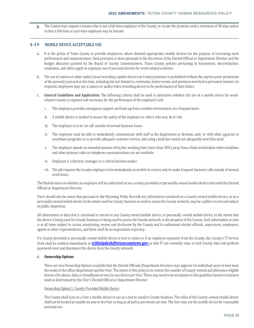g. The County may request a tenant, who is not a full-time employee of the County, to vacate the premises with a minimum of 30-days notice so that a full-time or part-time employee may be housed.

#### **4‐19 MOBILE DEVICE ACCEPTABLE USE**

- a. It is the policy of Teton County to provide employees, where deemed appropriate, mobile devices for the purpose of increasing work performance and responsiveness. Such provision is done pursuant to the discretion of the Elected Official or Department Director and the budget allocation granted by the Board of County Commissioners. Teton County policies pertaining to harassment, discrimination, retaliation, and ethics apply to employee use of personal devices for work-related activities.
- b. The use of camera or other audio/visual recording capable devices on County premises is prohibited without the express prior permission of the person(s) present at the time, including but not limited to, restrooms, locker rooms, and premises involved in personnel matters. As required, employees may use a camera or audio/video recording device in the performance of their duties.
- c. **General Guidelines and Application.** The following criteria shall be used to determine whether the use of a mobile device for workrelated reasons is required and necessary for the performance of the employee's job:
	- i. The employee provides emergency support and back-up from a mobile environment on a frequent basis.
	- ii. A mobile device is needed to ensure the safety of the employee or others who may be at risk.
	- iii. The employee is to be 'on call' outside of normal business hours.
	- iv. The employee must be able to immediately communicate with staff in the department or division, and/ or with other agencies to coordinate programs or to provide adequate customer service, and using a land line would not adequately meet this need.
	- v. The employee spends an extended amount of his/her working time (more than 50%) away from a fixed workstation where landlines and other primary radio or telephone communications are not available.
	- vi. Employee is a director, manager or a critical decision maker.
	- vii. The job requires the County employee to be immediately accessible to receive and/or make frequent business calls outside of normal work hours.

The final decision on whether an employee will be authorized to use a county provided or personally owned mobile device rests with the Elected Official or Department Director.

Users should also be aware that pursuant to the Wyoming Public Records Act, information contained on a County owned mobile device, or on a personally owned mobile device to the extent used for County business or used to access the County network, may be a public record and subject to public inspection.

All information or data that is contained or stored on any County owned mobile device, or personally owned mobile device, to the extent that the device is being used for County business or being used to access the County network, is the property of the County. Such information or data is at all times subject to access, monitoring, review and disclosure by the County and its authorized elected officials, supervisors, employees, agents or other representatives, and there shall be no expectation of privacy.

If a County provided or personally owned mobile device is lost or stolen or if an employee separates from the County, the County's IT Service Desk shall be notified immediately at **tcithelpdesk@tetoncountywy.gov** so that IT can remotely wipe or lock County data and perform password reset and disconnect the device from the County network.

#### d. **Ownership Options**

There are two Ownership Options available that the Elected Officials/Department Directors may approve for individual users to best meet the needs of the office/department and the User. The intent of this policy is to restrict the number of County-owned and allowance-eligible devices (for phone, data, or broadband service) to one device per User. There may need to be exceptions to this guideline based on business need as determined by the User's Elected Official or Department Director.

#### Ownership Option 1: County-Provided Mobile Device

The County shall issue to a User a mobile device to use as a tool to conduct County business. The value of the County-owned mobile device shall not be treated as taxable income to the User as long as all policy provisions are met. The User may use the mobile device for reasonable personal use.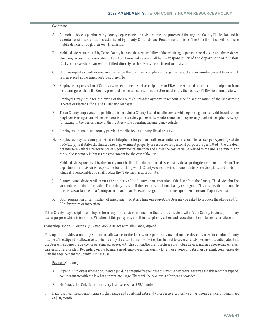#### i. Conditions:

- A. All mobile devices purchased by County departments or divisions must be purchased through the County IT division and in accordance with specifications established by County Contracts and Procurement policies. The Sheriff's office will purchase mobile devices through their own IT division.
- B. Mobile devices purchased by Teton County become the responsibility of the acquiring department or division and the assigned User. Any accessories associated with a County-owned device shall be the responsibility of the department or division. Costs of the service plan will be billed directly to the User's department or division.
- C. Upon receipt of a county-owned mobile device, the User must complete and sign the Receipt and Acknowledgement form, which is then placed in the employee's personnel file.
- D. Employees in possession of County owned equipment, such as cellphones or PDAs, are expected to protect the equipment from loss, damage, or theft. If a County provided device is lost or stolen, the User must notify the County's IT Division immediately.
- E. Employees may not alter the terms of the County's provider agreement without specific authorization of the Department Director or Elected Official and IT Division Manager.
- F. Teton County employees are prohibited from using a County-issued mobile device while operating a motor vehicle, unless the employee is using a hands-free device or is able to safely pull over. Law enforcement employees may use their cell phone, except for texting, in the performance of their duties while operating an emergency vehicle.
- G. Employees are not to use county provided mobile devices for any illegal activity.
- H. Employees may use county provided mobile phones for personal calls on a limited and reasonable basis as per Wyoming Statute  $§6-5-110(c)$  that states that limited use of government property or resources for personal purposes is permitted if the use does not interfere with the performance of a governmental function and either the cost or value related to the use is de minimis or the public servant reimburses the government for the cost of the use.
- I. Mobile devices purchased by the County must be listed on the controlled asset list by the acquiring department or division. The department or division is responsible for tracking which County-owned device, phone numbers, service plans and costs for which it is responsible and shall update the IT division as appropriate.
- J. County-owned devices will remain the property of the County upon separation of the User from the County. The device shall be surrendered to the Information Technology division if the device is not immediately reassigned. This ensures that the mobile device is associated with a County account and that Users are assigned appropriate equipment from an IT approved list.
- K. Upon resignation or termination of employment, or at any time on request, the User may be asked to produce the phone and/or PDA for return or inspection.

Teton County may discipline employees for using these devices in a manner that is not consistent with Teton County business, or for any use or purpose which is improper. Violation of this policy may result in disciplinary action and revocation of mobile device privileges.

#### Ownership Option 2: Personally-Owned Mobile Device with Allowance/Stipend

This option provides a monthly stipend or allowance to the User whose personally-owned mobile device is used to conduct County business. The stipend or allowance is to help defray the cost of a mobile device plan, but not to cover all costs, because it is anticipated that the User will also use the device for personal purposes. With this option, the User purchases the mobile device, and may choose any wireless carrier and service plan. Depending on the business need, employees may qualify for either a voice or data plan payment, commensurate with the requirement for County Business use.

- i. Payment Options:
	- A. Stipend*:* Employees whose documented job duties require frequent use of a mobile device will receive a taxable monthly stipend, commensurate with the level of appropriate usage. There will be two levels of stipends provided:
	- B. No Data/Voice Only: No data or very low usage, set at \$25/month;
- ii. Data: Business need demonstrates higher usage and combined data and voice service, typically a smartphone service. Stipend is set at \$60/month.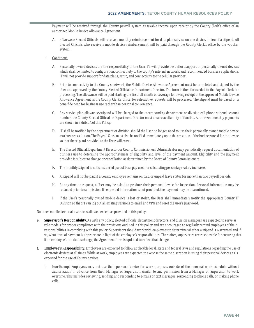Payment will be received through the County payroll system as taxable income upon receipt by the County Clerk's office of an authorized Mobile Device Allowance Agreement.

- A. *Allowance:* Elected Officials will receive a monthly reimbursement for data plan service on one device, in lieu of a stipend. All Elected Officials who receive a mobile device reimbursement will be paid through the County Clerk's office by the voucher system.
- iii. Conditions:
	- A. Personally owned devices are the responsibility of the User. IT will provide best effort support of personally-owned devices which shall be limited to configuration, connectivity to the county's internal network, and recommended business applications. IT will not provide support for data plans, setup, and connectivity to the cellular provider.
	- B. Prior to connectivity to the County's network, the Mobile Device Allowance Agreement must be completed and signed by the User and approved by the County Elected Official or Department Director. The form is then forwarded to the Payroll Clerk for processing. The allowance will be paid starting the first full month of coverage following receipt of the approved Mobile Device Allowance Agreement in the County Clerk's office. No retroactive requests will be processed. The stipend must be based on a bona fide need for business use rather than personal convenience.
	- C. Any service plan allowance/stipend will be charged to the corresponding department or division cell phone stipend account number; the County Elected Official or Department Director must ensure availability of funding. Authorized monthly payments are shown in Exhibit A of this Policy.
	- D. IT shall be notified by the department or division should the User no longer need to use their personally owned mobile device as a business solution. The Payroll Clerk must also be notified immediately upon the cessation of the business need for the device so that the stipend provided to the User will cease.
	- E. The Elected Official, Department Director, or County Commissioners' Administrator may periodically request documentation of business use to determine the appropriateness of eligibility and level of the payment amount. Eligibility and the payment provided is subject to change or cancellation as determined by the Board of County Commissioners.
	- F. The monthly stipend is not considered part of base pay used for calculating percentage salary increases.
	- G. A stipend will not be paid if a County employee remains on paid or unpaid leave status for more than two payroll periods.
	- H. At any time on request, a User may be asked to produce their personal device for inspection. Personal information may be redacted prior to submission. If requested information is not provided, the payment may be discontinued.
	- I. If the User's personally owned mobile device is lost or stolen, the User shall immediately notify the appropriate County IT Division so that IT can log out all existing sessions to email and VPN and reset the user's password.

No other mobile device allowance is allowed except as provided in this policy.

- e. **Supervisor's Responsibility.** As with any policy, elected officials, department directors, and division managers are expected to serve as role models for proper compliance with the provisions outlined in this policy and are encouraged to regularly remind employees of their responsibilities in complying with this policy. Supervisors should work with employees to determine whether a stipend is warranted and if so, what level of payment is appropriate in light of the employee's responsibilities. Thereafter, supervisors are responsible for ensuring that if an employee's job duties change, the Agreement form is updated to reflect that change.
- f. **Employee's Responsibility.** Employees are expected to follow applicable local, state and federal laws and regulations regarding the use of electronic devices at all times. While at work, employees are expected to exercise the same discretion in using their personal devices as is expected for the use of County devices.
	- i. Non-Exempt Employees may not use their personal device for work purposes outside of their normal work schedule without authorization in advance from their Manager or Supervisor, similar to any permission from a Manager or Supervisor to work overtime. This includes reviewing, sending, and responding to e-mails or text messages, responding to phone calls, or making phone calls.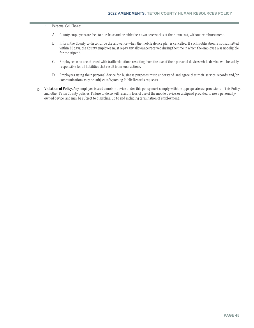#### ii. Personal Cell Phone:

- A. County employees are free to purchase and provide their own accessories at their own cost, without reimbursement.
- B. Inform the County to discontinue the allowance when the mobile device plan is cancelled. If such notification is not submitted within 30 days, the County employee must repay any allowance received during the time in which the employee was not eligible for the stipend.
- C. Employees who are charged with traffic violations resulting from the use of their personal devices while driving will be solely responsible for all liabilities that result from such actions.
- D. Employees using their personal device for business purposes must understand and agree that their service records and/or communications may be subject to Wyoming Public Records requests.
- g. **Violation of Policy**. Any employee issued a mobile device under this policy must comply with the appropriate use provisions of this Policy, and other Teton County policies. Failure to do so will result in loss of use of the mobile device, or a stipend provided to use a personallyowned device, and may be subject to discipline, up to and including termination of employment.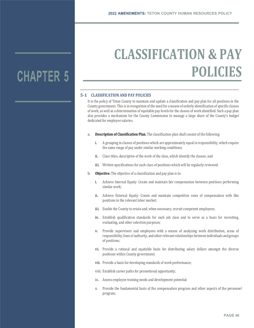## **CHAPTER 5**

# **CLASSIFICATION & PAY POLICIES**

## **5‐1 CLASSIFICATION AND PAY POLICIES**

It is the policy of Teton County to maintain and update a classification and pay plan for all positions in the County government. This is in recognition of the need for a means of orderly identification of specific classes of work, as well as a determination of equitable pay levels for the classes of work identified. Such a pay plan also provides a mechanism for the County Commission to manage a large share of the County's budget dedicated for employee salaries.

- a. **Description of Classification Plan.** The classification plan shall consist of the following:
	- i. A grouping in classes of positions which are approximately equal in responsibility, which require the same range of pay under similar working conditions;
	- ii. Class titles, descriptive of the work of the class, which identify the classes; and
	- iii. Written specifications for each class of positions which will be regularly reviewed.
- b. **Objective.** The objective of a classification and pay plan is to:
	- i. Achieve Internal Equity: Create and maintain fair compensation between positions performing similar work;
	- ii. Achieve External Equity: Create and maintain competitive rates of compensation with like positions in the relevant labor market;
	- iii. Enable the County to retain and, when necessary, recruit competent employees;
	- iv. Establish qualification standards for each job class and to serve as a basis for recruiting, evaluating, and other selection purposes;
	- v. Provide supervisors and employees with a means of analyzing work distribution, areas of responsibility, lines of authority, and other relevant relationships between individuals and groups of positions;
	- vi. Provide a rational and equitable basis for distributing salary dollars amongst the diverse positions within County government;
	- vii. Provide a basis for developing standards of work performance;
	- viii. Establish career paths for promotional opportunity;
	- ix. Assess employee training needs and development potential;
	- x. Provide the fundamental basis of the compensation program and other aspects of the personnel program;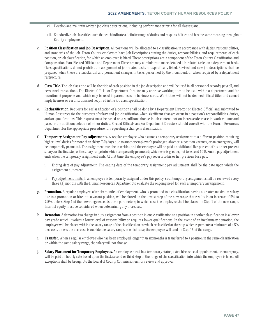- xi. Develop and maintain written job class descriptions, including performance criteria for all classes; and,
- xii. Standardize job class titles such that each indicate a definite range of duties and responsibilities and has the same meaning throughout County employment.
- c. **Position Classification and Job Description.** All positions will be allocated to a classification in accordance with duties, responsibilities, and standards of the job. Teton County employees have Job Descriptions stating the duties, responsibilities, and requirements of each position, or job classification, for which an employee is hired. These descriptions are a component of the Teton County Classification and Compensation Plan. Elected Officials and Department Directors may administrate more detailed job-related tasks on a department basis. Class specifications do not prohibit the assignment of job-related tasks not specifically listed. Revised and new job descriptions shall be prepared when there are substantial and permanent changes in tasks performed by the incumbent, or when required by a department restructure.
- d. **Class Title.** The job class title will be the title of each position in the job description and will be used in all personnel records, payroll, and personnel transactions. The Elected Official or Department Director may approve working titles to be used within a department and for recruitment purposes and which may be used in parentheses on business cards. Work titles will not be deemed official titles and cannot imply licenses or certifications not required in the job class specification.
- e. **Reclassification.** Requests for reclassification of a position shall be done by a Department Director or Elected Official and submitted to Human Resources for the purposes of salary and job classification when significant changes occur in a position's responsibilities, duties, and/or qualifications. This request must be based on a significant change in job content, not on increase/decrease in work volume and pace, or the addition/deletion of minor duties. Elected Officials and/or Department Directors should consult with the Human Resources Department for the appropriate procedure for requesting a change in classification.
- f. **Temporary Assignment Pay Adjustments.** A regular employee who assumes a temporary assignment to a different position requiring higher-level duties for more than thirty (30) days due to another employee's prolonged absence, a position vacancy, or an emergency, will be temporarily promoted. The assignment must be in writing and the employee will be paid an additional five percent of his or her present salary, or the first step of the salary range into which temporarily promoted; whichever is greater, not to exceed 10%. Such a pay adjustment ends when the temporary assignment ends. At that time, the employee's pay reverts to his or her previous base pay.
	- i. Ending date of pay adjustment: The ending date of the temporary assignment pay adjustment shall be the date upon which the assignment duties end.
	- ii. Pay adjustment limits: If an employee is temporarily assigned under this policy, such temporary assignment shall be reviewed every three (3) months with the Human Resources Department to evaluate the ongoing need for such a temporary arrangement.
- g. **Promotion.** A regular employee, after six months of employment, who is promoted to a classification having a greater maximum salary due to a promotion or hire into a vacant position, will be placed on the lowest step of the new range that results in an increase of 5% to 7.5%, unless Step 1 of the new range exceeds these parameters; in which case the employee shall be placed on Step 1 of the new range. Internal equity must be considered when determining any increases.
- h. **Demotion.** A demotion is a change in duty assignment from a position in one classification to a position in another classification in a lower pay grade which involves a lower level of responsibility or requires lower qualifications. In the event of an involuntary demotion, the employee will be placed within the salary range of the classification to which reclassified at the step which represents a minimum of a 5% decrease, unless the decrease is outside the salary range, in which case, the employee will land on Step 15 of the range.
- i. **Transfer.** When a regular employee who has been employed longer than six months is transferred to a position in the same classification or within the same salary range, the salary will not change.
- j. **Salary Placement for Temporary Employees.** An employee hired in a temporary status, extra hire, special appointment, or emergency, will be paid an hourly rate based upon the first, second or third step of the range of the classification into which the employee is hired. All exceptions shall be brought to the Board of County Commissioners for review and approval.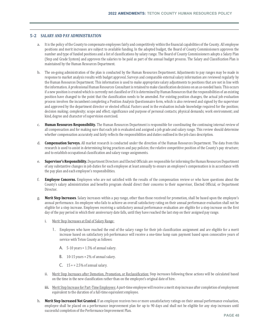#### **5‐2 SALARY AND PAY ADMINISTRATION**

- a. It is the policy of the County to compensate employees fairly and competitively within the financial capabilities of the County. All employee positions and merit increases are subject to available funding. In the adopted budget, the Board of County Commissioners approves the number and type of funded positions and a list of classifications by salary range. The Board of County Commissioners adopts a Salary Plan (Step and Grade System) and approves the salaries to be paid as part of the annual budget process. The Salary and Classification Plan is maintained by the Human Resources Department.
- b. The on-going administration of the plan is conducted by the Human Resources Department. Adjustments to pay ranges may be made in response to market analysis results with budget approval. Surveys and comparable external salary information are reviewed regularly by the Human Resources Department. This information is used to make appropriate salary adjustments to positions that are not in line with the information. A professional Human Resources Consultant is retained to make classification decisions on an as-needed basis. This occurs if a new position is created which is currently not classified or if it is determined by Human Resources that the responsibilities of an existing position have changed to the point that the classification needs to be amended. For existing position changes, the actual job evaluation process involves the incumbent completing a Position Analysis Questionnaire form, which is also reviewed and signed by the supervisor and approved by the department director or elected official. Factors used in the evaluation include knowledge required for the position; decision making; complexity; scope and effect; significance and purpose of personal contacts; physical demands; work environment; and kind, degree and character of supervision exercised.
- c. **Human Resources Responsibility.** The Human Resources Department is responsible for coordinating the continuing internal review of all compensation and for making sure that each job is evaluated and assigned a job grade and salary range. This review should determine whether compensation accurately and fairly reflects the responsibilities and duties outlined in the job class description.
- d. **Compensation Surveys.** All market research is conducted under the direction of the Human Resources Department. The data from this research is used to assist in determining hiring practices and pay policies; the relative competitive position of the County's pay structure; and to establish occupational classification and salary range assignments.
- e. **Supervisor's Responsibility.** Department Directors and Elected Officials are responsible for informing the Human Resources Department of any substantive changes in job duties for each employee at least annually to ensure an employee's compensation is in accordance with the pay plan and each employee's responsibilities.
- f. **Employee Concerns.** Employees who are not satisfied with the results of the compensation review or who have questions about the County's salary administration and benefits program should direct their concerns to their supervisor, Elected Official, or Department Director.
- g. **Merit Step Increases**. Salary increases within a pay range, other than those received for promotion, shall be based upon the employee's annual performance. An employee who fails to achieve an overall satisfactory rating on their annual performance evaluation shall not be eligible for a step increase. Employees receiving a satisfactory annual performance evaluation are eligible for a step increase on the first day of the pay period in which their anniversary date falls, until they have reached the last step on their assigned pay range.
	- i. Merit Step Increases at End of Salary Range:
		- 1. Employees who have reached the end of the salary range for their job classification assignment and are eligible for a merit increase based on satisfactory job performance will receive a one-time lump sum payment based upon consecutive years of service with Teton County as follows:
			- A.  $5-10$  years = 1.5% of annual salary.
			- **B.** 10-15 years =  $2\%$  of annual salary.
			- C.  $15 + 2.5\%$  of annual salary.
	- ii. Merit Step Increases after Demotion, Promotion, or Reclassification: Step increases following these actions will be calculated based on the time in the new classification rather than on the employee's original date of hire.
	- iii. Merit Step Increase for Part-Time Employees: A part-time employee will receive a merit step increase after completion of employment equivalent to the duration of a full-time equivalent employee.
- h. **Merit Step Increased Not Granted.** If an employee receives two or more unsatisfactory ratings on their annual performance evaluation, employee shall be placed on a performance improvement plan for up to 90 days and shall not be eligible for any step increases until successful completion of the Performance Improvement Plan.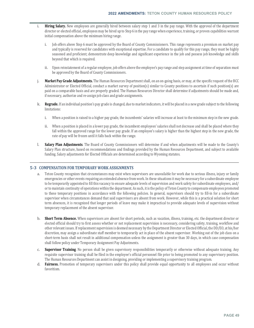- i. **Hiring Salary.** New employees are generally hired between salary step 1 and 3 in the pay range. With the approval of the department director or elected official, employees may be hired up to Step 6 in the pay range when experience, training, or proven capabilities warrant initial compensation above the minimum hiring range.
	- i. Job offers above Step 6 must be approved by the Board of County Commissioners. This range represents a premium on market pay and typically is reserved for candidates with exceptional expertise. For a candidate to qualify for this pay range, they must be highly seasoned and proficient; demonstrate deep knowledge and significant experience in the job and possess job knowledge and skills beyond that which is required.
	- ii. Upon reinstatement of a regular employee, job offers above the employee's pay range and step assignment at time of separation must be approved by the Board of County Commissioners.
- j. **Market Pay Grade Adjustments.** The Human Resources Department shall, on an on-going basis, or may, at the specific request of the BCC Administrator or Elected Official, conduct a market survey of position(s) similar to County positions to ascertain if such position(s) are paid on a comparable basis and are properly graded. The Human Resources Director shall determine if adjustments should be made and, if necessary, authorize and re-assign job class and grade assignments.
- k. **Regrade.** If an individual position's pay grade is changed, due to market indicators, it will be placed in a new grade subject to the following limitations:
	- i. When a position is raised to a higher pay grade, the incumbents' salaries will increase at least to the minimum step in the new grade.
	- ii. When a position is placed in a lower pay grade, the incumbent employees' salaries shall not decrease and shall be placed where they fall within the approved range for the lower pay grade. If an employee's salary is higher than the highest step in the new grade, the rate of pay will be frozen until it falls back within the range.
- l. **Salary Plan Adjustments**. The Board of County Commissioners will determine if and when adjustments will be made to the County's Salary Plan structure, based on recommendations and findings provided by the Human Resources Department, and subject to available funding. Salary adjustments for Elected Officials are determined according to Wyoming statutes.

### **5‐3 COMPENSATION FOR TEMPORARY WORK ASSIGNMENTS**

- a. Teton County recognizes that circumstances may exist when supervisors are unavailable for work due to serious illness, injury or family emergencies or other events requiring an extended absence from work. In these situations it may be necessary for a subordinate employee to be temporarily appointed to fill this vacancy to ensure adequate levels of supervision and work safety for subordinate employees, and/ or to maintain continuity of operations within the department. As such, it is the policy of Teton County to compensate employees promoted to these temporary positions in accordance with the following policies. In general, supervisors should try to fill-in for a subordinate supervisor when circumstances demand that said supervisors are absent from work. However, while this is a practical solution for short term absences, it is recognized that longer periods of leave may make it impractical to provide adequate levels of supervision without temporary replacement of the absent supervisor.
- b. **Short Term Absence.** When supervisors are absent for short periods, such as vacation, illness, training, etc. the department director or elected official should try to first assess whether or not replacement supervision is necessary, considering safety, training, workflow and other relevant issues. If replacement supervision is deemed necessary by the Department Director or Elected Official, the DD/EO, at his/her discretion, may assign a subordinate staff member to temporarily act in place of the absent supervisor. Working out of the job class on a short-term basis shall not result in additional compensation unless the assignment is greater than 30 days, in which case compensation shall follow policy under Temporary Assignment Pay Adjustments.
- c. **Supervisor Training**. No person shall be given supervisory responsibilities temporarily or otherwise without adequate training. Any requisite supervisor training shall be filed in the employee's official personnel file prior to being promoted to any supervisory position. The Human Resources Department can assist in designing, providing or implementing a supervisory training program.
- d. **Fairness.** Promotion of temporary supervisors under this policy shall provide equal opportunity to all employees and occur without favoritism.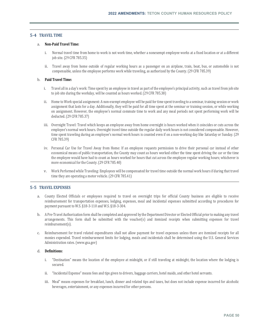## **5‐4 TRAVEL TIME**

## a. **Non‐Paid Travel Time:**

- i. Normal travel time from home to work is not work time, whether a nonexempt employee works at a fixed location or at a different job site. (29 CFR 785.35)
- ii. Travel away from home outside of regular working hours as a passenger on an airplane, train, boat, bus, or automobile is not compensable, unless the employee performs work while traveling, as authorized by the County. (29 CFR 785.39)

#### b. **Paid Travel Time:**

- i. Travel all in a day's work: Time spent by an employee in travel as part of the employee's principal activity, such as travel from job site to job site during the workday, will be counted as hours worked. (29 CFR 785.38)
- ii. Home to Work special assignment: A non-exempt employee will be paid for time spent traveling to a seminar, training session or work assignment that lasts for a day. Additionally, they will be paid for all time spent at the seminar or training session, or while working on assignment. However, the employee's normal commute time to work and any meal periods not spent performing work will be deducted. (29 CFR 785.37)
- iii. Overnight Travel: Travel which keeps an employee away from home overnight is hours worked when it coincides or cuts across the employee's normal work hours. Overnight travel time outside the regular daily work hours is not considered compensable. However, time spent traveling during an employee's normal work hours is counted even if on a non-working day like Saturday or Sunday. (29 CFR 785.39)
- iv. Personal Car Use for Travel Away from Home: If an employee requests permission to drive their personal car instead of other economical means of public transportation, the County may count as hours worked either the time spent driving the car or the time the employee would have had to count as hours worked for hours that cut across the employee regular working hours; whichever is more economical for the County. (29 CFR 785.40)
- v. Work Performed while Traveling: Employees will be compensated for travel time outside the normal work hours if during that travel time they are operating a motor vehicle. (29 CFR 785.41)

### **5‐5 TRAVEL EXPENSES**

- a. County Elected Officials or employees required to travel on overnight trips for official County business are eligible to receive reimbursement for transportation expenses, lodging, expenses, meal and incidental expenses submitted according to procedures for payment pursuant to W.S. §18-3-110 and W.S. §18-3-304.
- b. A Pre-Travel Authorization form shall be completed and approved by the Department Director or Elected Official prior to making any travel arrangements. This form shall be submitted with the voucher(s) and itemized receipts when submitting expenses for travel reimbursement(s).
- c. Reimbursement for travel related expenditures shall not allow payment for travel expenses unless there are itemized receipts for all monies expended. Travel reimbursement limits for lodging, meals and incidentals shall be determined using the U.S. General Services Administration rates. (www.gsa.gov)

#### d. **Definitions:**

- i. "Destination" means the location of the employee at midnight, or if still traveling at midnight, the location where the lodging is secured.
- ii. "Incidental Expense" means fees and tips given to drivers, baggage carriers, hotel maids, and other hotel servants.
- iii. Meal" means expenses for breakfast, lunch, dinner and related tips and taxes, but does not include expense incurred for alcoholic beverages, entertainment, or any expenses incurred for other persons.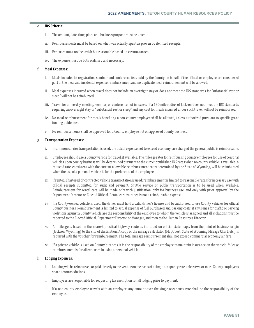#### e. **IRS Criteria:**

- i. The amount, date, time, place and business purpose must be given.
- ii. Reimbursements must be based on what was actually spent as proven by itemized receipts.
- iii. Expenses must not be lavish but reasonable based on circumstances.
- iv. The expense must be both ordinary and necessary.

#### f. **Meal Expenses:**

- i. Meals included in registration, seminar and conference fees paid by the County on behalf of the official or employee are considered part of the meal and incidental expense reimbursement and no duplicate meal reimbursement will be allowed.
- ii. Meal expenses incurred when travel does not include an overnight stay or does not meet the IRS standards for 'substantial rest or sleep" will not be reimbursed.
- iii. Travel for a one-day meeting, seminar, or conference not in excess of a 150-mile radius of Jackson does not meet the IRS standards requiring an overnight stay or "substantial rest or sleep" and any cost for meals incurred under such travel will not be reimbursed.
- iv. No meal reimbursement for meals benefiting a non-county employee shall be allowed, unless authorized pursuant to specific grant funding guidelines.
- v. No reimbursements shall be approved for a County employee not on approved County business.

#### g. **Transportation Expenses:**

- i. If common carrier transportation is used, the actual expense not to exceed economy fare charged the general public is reimbursable.
- ii. Employees should use a County vehicle for travel, if available. The mileage rates for reimbursing county employees for use of personal vehicles upon county business will be determined pursuant to the current published IRS rates when no county vehicle is available. A reduced rate, consistent with the current allowable reimbursement rates determined by the State of Wyoming, will be reimbursed when the use of a personal vehicle is for the preference of the employee.
- iii. If rented, chartered or contracted vehicle transportation is used; reimbursement is limited to reasonable rates for necessary use with official receipts submitted for audit and payment. Shuttle service or public transportation is to be used when available. Reimbursement for rental cars will be made only with justification, only for business use, and only with prior approval by the Department Director or Elected Official. Rental car insurance is not a reimbursable expense.
- iv. If a County-owned vehicle is used, the driver must hold a valid driver's license and be authorized to use County vehicles for official County business. Reimbursement is limited to actual expense of fuel purchased and parking costs, if any. Fines for traffic or parking violations against a County vehicle are the responsibility of the employee to whom the vehicle is assigned and all violations must be reported to the Elected Official, Department Director or Manager, and then to the Human Resources Director.
- v. All mileage is based on the nearest practical highway route as indicated on official state maps, from the point of business origin (Jackson, Wyoming) to the city of destination. A copy of the mileage calculator (MapQuest, State of Wyoming Mileage Chart, etc.) is required with the voucher for reimbursement. The total mileage reimbursement shall not exceed commercial economy air fare.
- vi. If a private vehicle is used on County business, it is the responsibility of the employee to maintain insurance on the vehicle. Mileage reimbursement is for all expenses in using a personal vehicle.

#### h. **Lodging Expenses:**

- i. Lodging will be reimbursed or paid directly to the vendor on the basis of a single occupancy rate unless two or more County employees share accommodations.
- ii. Employees are responsible for requesting tax exemption for all lodging prior to payment.
- iii. If a non-county employee travels with an employee, any amount over the single occupancy rate shall be the responsibility of the employee.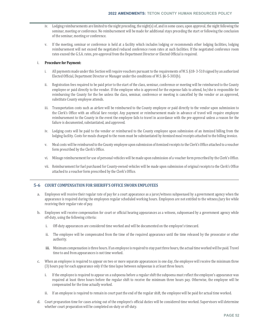- iv. Lodging reimbursements are limited to the night preceding, the night(s) of, and in some cases, upon approval, the night following the seminar, meeting or conference. No reimbursement will be made for additional stays preceding the start or following the conclusion of the seminar, meeting or conference.
- v. If the meeting, seminar or conference is held at a facility which includes lodging or recommends other lodging facilities, lodging reimbursement will not exceed the negotiated reduced conference room rates at such facilities. If the negotiated conference room rates exceed the G.S.A. rates, pre-approval from the Department Director or Elected Official is required.

### i. **Procedure for Payment:**

- i. All payments made under this Section will require vouchers pursuant to the requirements of W.S. §18- 3-510 signed by an authorized Elected Official, Department Director or Manager under the conditions of W.S. §6-5-303(b).
- ii. Registration fees required to be paid prior to the start of the class, seminar, conference or meeting will be reimbursed to the County employee or paid directly to the vendor. If the employee who is approved for the expense fails to attend, he/she is responsible for reimbursing the County for the fee unless the class, seminar, conference or meeting is cancelled by the vendor or an approved, substitute County employee attends.
- iii. Transportation costs such as airfare will be reimbursed to the County employee or paid directly to the vendor upon submission to the Clerk's Office with an official fare receipt. Any payment or reimbursement made in advance of travel will require employee reimbursement to the County in the event the employee fails to travel in accordance with the pre-approval unless a reason for the failure is documented, substantiated, and approved.
- iv. Lodging costs will be paid to the vendor or reimbursed to the County employee upon submission of an itemized billing from the lodging facility. Costs for meals charged to the room must be substantiated by itemized meal receipts attached to the billing invoice.
- v. Meal costs will be reimbursed to the County employee upon submission of itemized receipts to the Clerk's Office attached to a voucher form prescribed by the Clerk's Office.
- vi. Mileage reimbursement for use of personal vehicles will be made upon submission of a voucher form prescribed by the Clerk's Office.
- vii. Reimbursement for fuel purchased for County-owned vehicles will be made upon submission of original receipts to the Clerk's Office attached to a voucher form prescribed by the Clerk's Office.

### **5‐6 COURT COMPENSATION FOR SHERIFF'S OFFICE SWORN EMPLOYEES**

- a. Employees will receive their regular rate of pay for a court appearance as a juror/witness subpoenaed by a government agency when the appearance is required during the employees regular scheduled working hours. Employees are not entitled to the witness/jury fee while receiving their regular rate of pay.
- b. Employees will receive compensation for court or official hearing appearances as a witness, subpoenaed by a government agency while off-duty, using the following criteria:
	- i. Off-duty appearances are considered time worked and will be documented on the employee's timecard.
	- ii. The employee will be compensated from the time of the required appearance until the time released by the prosecutor or other authority.
	- iii. Minimum compensation is three hours. If an employee is required to stay past three hours, the actual time worked will be paid. Travel time to and from appearances is not time worked.
- c. When an employee is required to appear on two or more separate appearances in one day, the employee will receive the minimum three (3) hours pay for each appearance only if the time lapse between subpoenas is at least three hours.
	- i. If the employee is required to appear on a subpoena before a regular shift the subpoena must reflect the employee's appearance was required at least three hours before the regular shift to receive the minimum three hours pay. Otherwise, the employee will be compensated for the time actually worked.
	- ii. If an employee is required to remain in court past the end of the regular shift, the employee will be paid for actual time worked.
- d. Court preparation time for cases arising out of the employee's official duties will be considered time worked. Supervisors will determine whether court preparation will be completed on-duty or off-duty.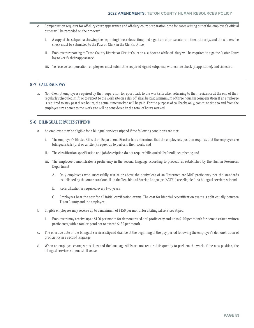- e. Compensation requests for off-duty court appearance and off-duty court preparation time for cases arising out of the employee's official duties will be recorded on the timecard.
	- i. A copy of the subpoena showing the beginning time, release time, and signature of prosecutor or other authority, and the witness fee check must be submitted to the Payroll Clerk in the Clerk's Office.
	- ii. Employees reporting to Teton County District or Circuit Court on a subpoena while off- duty will be required to sign the Justice Court log to verify their appearance.
	- iii. To receive compensation, employees must submit the required signed subpoena, witness fee check (if applicable), and timecard.

## **5‐7 CALL BACK PAY**

a. Non-Exempt employees required by their supervisor to report back to the work site after returning to their residence at the end of their regularly scheduled shift, or to report to the work site on a day off, shall be paid a minimum of three hours in compensation. If an employee is required to stay past three hours, the actual time worked will be paid. For the purpose of call backs only, commute time to and from the employee's residence to the work site will be considered in the total of hours worked.

## **5‐8 BILINGUAL SERVICES STIPEND**

- a. An employee may be eligible for a bilingual services stipend if the following conditions are met:
	- i. The employee's Elected Official or Department Director has determined that the employee's position requires that the employee use bilingual skills (oral or written) frequently to perform their work; and
	- ii. The classification specification and job description do not require bilingual skills for all incumbents; and
	- iii. The employee demonstrates a proficiency in the second language according to procedures established by the Human Resources Department
		- A. Only employees who successfully test at or above the equivalent of an "Intermediate Mid" proficiency per the standards established by the American Council on the Teaching of Foreign Language (ACTFL) are eligible for a bilingual services stipend
		- B. Recertification is required every two years
		- C. Employees bear the cost for all initial certification exams. The cost for biennial recertification exams is split equally between Teton County and the employee.
- b. Eligible employees may receive up to a maximum of \$150 per month for a bilingual services stiped
	- i. Employees may receive up to \$100 per month for demonstrated oral proficiency and up to \$100 per month for demonstrated written proficiency, with a total stipend not to exceed \$150 per month.
- c. The effective date of the bilingual services stipend shall be at the beginning of the pay period following the employee's demonstration of proficiency in a second language
- d. When an employee changes positions and the language skills are not required frequently to perform the work of the new position, the bilingual services stipend shall cease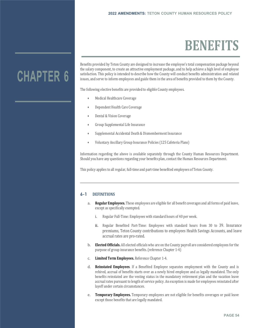## **BENEFITS**

## **CHAPTER 6**

Benefits provided by Teton County are designed to increase the employee's total compensation package beyond the salary component, to create an attractive employment package, and to help achieve a high level of employee satisfaction. This policy is intended to describe how the County will conduct benefits administration and related issues, and serve to inform employees and guide them in the area of benefits provided to them by the County.

The following elective benefits are provided to eligible County employees.

- Medical Healthcare Coverage
- Dependent Health Care Coverage
- Dental & Vision Coverage
- Group Supplemental Life Insurance
- Supplemental Accidental Death & Dismemberment Insurance
- Voluntary Ancillary Group Insurance Policies (125 Cafeteria Plans)

Information regarding the above is available separately through the County Human Resources Department. Should you have any questions regarding your benefits plan, contact the Human Resources Department.

This policy applies to all regular, full-time and part-time benefited employees of Teton County.

## **6-1 DEFINITIONS**

- a. **Regular Employees.** These employees are eligible for all benefit coverages and all forms of paid leave, except as specifically exempted.
	- i. Regular Full-Time: Employees with standard hours of 40 per week.
	- ii. Regular Benefited Part-Time: Employees with standard hours from 30 to 39. Insurance premiums, Teton County contributions to employees Health Savings Accounts, and leave accrual rates are pro-rated.
- b. **Elected Officials.** All elected officials who are on the County payroll are considered employees for the purpose of group insurance benefits. (reference Chapter 1-4)
- c. **Limited Term Employees.** Reference Chapter 1-4.
- d. **Reinstated Employees**. If a Benefited Employee separates employment with the County and is rehired, accrual of benefits starts over as a newly hired employee and as legally mandated. The only benefits reinstated are the vesting status in the mandatory retirement plan and the vacation leave accrual rates pursuant to length of service policy. An exception is made for employees reinstated after layoff under certain circumstances.
- e. **Temporary Employees.** Temporary employees are not eligible for benefits coverages or paid leave except those benefits that are legally mandated.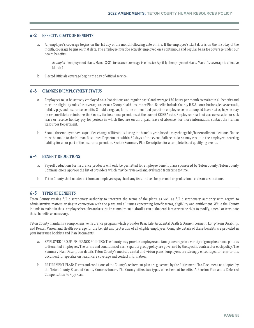## **6-2 EFFECTIVE DATE OF BENEFITS**

a. An employee's coverage begins on the 1st day of the month following date of hire. If the employee's start date is on the first day of the month, coverage begins on that date. The employee must be actively employed on a continuous and regular basis for coverage under our health benefits.

*Example:* If employment starts March 2-31, insurance coverage is effective April 1; if employment starts March 1, coverage is effective March 1.

b. Elected Officials coverage begins the day of official service.

## **6-3 CHANGES IN EMPLOYMENT STATUS**

- a. Employees must be actively employed on a 'continuous and regular basis' and average 130 hours per month to maintain all benefits and meet the eligibility rules for coverage under our Group Health Insurance Plan. Benefits include County H.S.A. contributions, leave accruals, holiday pay, and insurance benefits. Should a regular, full-time or benefited part-time employee be on an unpaid leave status, he/she may be responsible to reimburse the County for insurance premiums at the current COBRA rate. Employees shall not accrue vacation or sick leave or receive holiday pay for periods in which they are on an unpaid leave of absence. For more information, contact the Human Resources Department.
- b. Should the employee have a qualified change of life status during the benefits year, he/she may change his/her enrollment elections. Notice must be made to the Human Resources Department within 30 days of the event. Failure to do so may result in the employee incurring liability for all or part of the insurance premium. See the Summary Plan Description for a complete list of qualifying events.

#### **6-4 BENEFIT DEDUCTIONS**

- a. Payroll deductions for insurance products will only be permitted for employee benefit plans sponsored by Teton County. Teton County Commissioners approve the list of providers which may be reviewed and evaluated from time to time.
- b. Teton County shall not deduct from an employee's paycheck any fees or dues for personal or professional clubs or associations.

## **6-5 TYPES OF BENEFITS**

Teton County retains full discretionary authority to interpret the terms of the plans, as well as full discretionary authority with regard to administrative matters arising in connection with the plans and all issues concerning benefit terms, eligibility and entitlement. While the County intends to maintain these employee benefits and asserts its commitment to do all it can to that end, it reserves the right to modify, amend or terminate these benefits as necessary.

Teton County maintains a comprehensive insurance program which provides Basic Life, Accidental Death & Dismemberment, Long-Term Disability, and Dental, Vision, and Health coverage for the benefit and protection of all eligible employees. Complete details of these benefits are provided in your insurance booklets and Plan Documents.

- a. EMPLOYEE GROUP INSURANCE POLICIES: The County may provide employee and family coverage in a variety of group insurance policies to Benefited Employees. The terms and conditions of each separate group policy are governed by the specific contract for each policy. The Summary Plan Description details Teton County's medical, dental and vision plans. Employees are strongly encouraged to refer to this document for specifics on health care coverage and contact information.
- b. RETIREMENT PLAN: Terms and conditions of the County's retirement plan are governed by the Retirement Plan Document, as adopted by the Teton County Board of County Commissioners. The County offers two types of retirement benefits: A Pension Plan and a Deferred Compensation 457(b) Plan.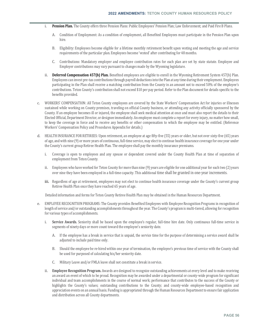- i. **Pension Plan.** The County offers three Pension Plans: Public Employees' Pension Plan; Law Enforcement; and Paid Fire B Plans.
	- A. Condition of Employment: As a condition of employment, all Benefited Employees must participate in the Pension Plan upon hire.
	- B. Eligibility: Employees become eligible for a lifetime monthly retirement benefit upon vesting and meeting the age and service requirements of the particular plan. Employees become 'vested' after contributing for 48 months.
	- C. Contributions: Mandatory employer and employee contribution rates for each plan are set by state statute. Employee and Employer contributions may vary pursuant to changes made by the Wyoming legislature.
- ii. **Deferred Compensation 457(b) Plan.** Benefited employees are eligible to enroll in the Wyoming Retirement System 457(b) Plan. Employees can invest pre-tax contributions through payroll deductions into the Plan at any time during their employment. Employees participating in the Plan shall receive a matching contribution from the County in an amount not to exceed 50% of the employee's contributions. Teton County's contribution shall not exceed \$10 per pay period. Refer to the Plan document for details specific to the benefits provided.
- c. WORKERS' COMPENSATION: All Teton County employees are covered by the State Workers' Compensation Act for injuries or illnesses sustained while working on County premises, traveling on official County business, or attending any activity officially sponsored by the County. If an employee becomes ill or injured, the employee shall seek medical attention at once and must also report the details to their Elected Official, Department Director, or designee immediately. An employee must complete a report for every injury, no matter how small, to keep the coverage in force and to receive any benefits or other compensation to which the employee may be entitled. (Reference Workers' Compensation Policy and Procedures Appendix for details.)
- d. HEALTH INSURANCE FOR RETIREES: Upon retirement, an employee at age fifty-five (55) years or older, but not over sixty-five (65) years of age, and with nine (9) or more years of continuous, full-time service, may elect to continue health insurance coverage for one year under the County's current group Retiree Health Plan. The employee shall pay the monthly insurance premiums.
	- i. Coverage is open to employees and any spouse or dependent covered under the County Health Plan at time of separation of employment from Teton County.
	- ii. Employees who have worked for Teton County for more than nine (9) years are eligible for one additional year for each two (2) years over nine they have been employed in a full-time capacity. This additional time shall be granted in one-year increments.
	- iii. Regardless of age at retirement, employees may not elect to continue health insurance coverage under the County's current group Retiree Health Plan once they have reached 65 years of age.

Detailed information and forms for Teton County Retiree Health Plan may be obtained in the Human Resources Department.

- e. EMPLOYEE RECOGNITION PROGRAMS: The County provides Benefited Employees with Employee Recognition Programs in recognition of length of service and/or outstanding accomplishments throughout the year. The County's program is multi-tiered, allowing for recognition for various types of accomplishments.
	- i. **Service Awards.** Seniority shall be based upon the employee's regular, full-time hire date. Only continuous full-time service in segments of ninety days or more count toward the employee's seniority date.
		- A. If the employee has a break in service that is unpaid, the service time for the purpose of determining a service award shall be adjusted to include paid time only.
		- B. Should the employee be re-hired within one year of termination, the employee's previous time of service with the County shall be used for purposed of calculating his/her seniority date.
		- C. Military Leave and/or FMLA leave shall not constitute a break in service.
	- ii. **Employee Recognition Program.** Awards are designed to recognize outstanding achievements at every level and to make receiving an award an event of which to be proud. Recognition may be awarded under a departmental or county-wide program for significant individual and team accomplishments in the course of normal work; performance that contributes to the success of the County or highlights the County's values; outstanding contributions to the County; and county-wide employee-based recognition and appreciation events on an annual basis. Funding is appropriated through the Human Resources Department to ensure fair application and distribution across all County departments.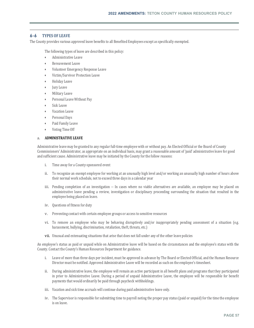## **6-6 TYPES OF LEAVE**

The County provides various approved leave benefits to all Benefited Employees except as specifically exempted.

The following types of leave are described in this policy:

- Administrative Leave
- Bereavement Leave
- Volunteer Emergency Response Leave
- Victim/Survivor Protection Leave
- Holiday Leave
- Jury Leave
- Military Leave
- Personal Leave Without Pay
- Sick Leave
- Vacation Leave
- Personal Days
- Paid Family Leave
- Voting Time Off

#### a. **ADMINISTRATIVE LEAVE**

Administrative leave may be granted to any regular full-time employee with or without pay. An Elected Official or the Board of County Commissioners' Administrator, as appropriate on an individual basis, may grant a reasonable amount of 'paid' administrative leave for good and sufficient cause. Administrative leave may be initiated by the County for the follow reasons:

- i. Time away for a County-sponsored event
- ii. To recognize an exempt employee for working at an unusually high level and/or working an unusually high number of hours above their normal work schedule, not to exceed three days in a calendar year
- iii. Pending completion of an investigation -- In cases where no viable alternatives are available, an employee may be placed on administrative leave pending a review, investigation or disciplinary proceeding surrounding the situation that resulted in the employee being placed on leave.
- iv. Questions of fitness for duty
- v. Preventing contact with certain employee groups or access to sensitive resources
- vi. To remove an employee who may be behaving disruptively and/or inappropriately pending assessment of a situation (e.g. harassment, bullying, discrimination, retaliation, theft, threats, etc.)
- vii. Unusual and extenuating situations that arise that does not fall under any of the other leave policies

An employee's status as paid or unpaid while on Administrative leave will be based on the circumstances and the employee's status with the County. Contact the County's Human Resources Department for guidance.

- i. Leave of more than three days per incident, must be approved in advance by The Board or Elected Official, and the Human Resource Director must be notified. Approved Administrative Leave will be recorded as such on the employee's timesheet.
- ii. During administrative leave, the employee will remain an active participant in all benefit plans and programs that they participated in prior to Administrative Leave. During a period of unpaid Administrative Leave, the employee will be responsible for benefit payments that would ordinarily be paid through paycheck withholdings.
- iii. Vacation and sick time accruals will continue during paid administrative leave only.
- iv. The Supervisor is responsible for submitting time to payroll noting the proper pay status (paid or unpaid) for the time the employee is on leave.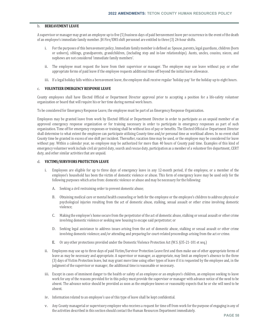#### b. **BEREAVEMENT LEAVE**

A supervisor or manager may grant an employee up to five (5) business days of paid bereavement leave per occurrence in the event of the death of an employee's immediate family member. JH Fire/EMS shift personnel are entitled to three (3) 24-hour shifts.

- i. For the purposes of this bereavement policy, Immediate family member is defined as: Spouse, parents, legal guardians, children (born or unborn), siblings, grandparents, grandchildren, (including step and in-law relationships). Aunts, uncles, cousins, nieces, and nephews are not considered 'immediate family members'.
- ii. The employee must request the leave from their supervisor or manager. The employee may use leave without pay or other appropriate forms of paid leave if the employee requests additional time off beyond the initial leave allowance.
- iii. If a legal holiday falls within a bereavement leave, the employee shall receive regular 'holiday pay' for the holiday up to eight hours.

#### c. **VOLUNTEER EMERGENCY RESPONSE LEAVE**

County employees shall have Elected Official or Department Director approval prior to accepting a position for a life-safety volunteer organization or board that will require his or her time during normal work hours.

To be considered for Emergency Response Leave, the employee must be part of an Emergency Response Organization.

Employees may be granted leave from work by Elected Official or Department Director in order to participate as an unpaid member of an approved emergency response organization or for training necessary in order to participate in emergency responses as part of such organization. Time off for emergency responses or training shall be without loss of pay or benefits. The Elected Official or Department Director shall determine to what extent the employee can participate utilizing County time and/or personal time as workload allows. In no event shall County time be granted in excess of one shift per incident. Thereafter, vacation time may be used, or the employee may be considered for leave without pay. Within a calendar year, no employee may be authorized for more than 40 hours of County paid time. Examples of this kind of emergency volunteer work include civil air patrol duty, search and rescue duty, participation as a member of a volunteer fire department, CERT duty, and other similar activities that are unpaid.

### d. **VICTIMS/SURVIVORS PROTECTION LEAVE**

- i. Employees are eligible for up to three days of emergency leave in any 12-month period, if the employee, or a member of the employee's household has been the victim of domestic violence or abuse. This form of emergency leave may be used only for the following purposes which arise from: domestic violence or abuse and may be necessary for the following:
	- A. Seeking a civil restraining order to prevent domestic abuse;
	- B. Obtaining medical care or mental health counseling or both for the employee or the employee's children to address physical or psychological injuries resulting from the act of domestic abuse, stalking, sexual assault or other crime involving domestic violence;
	- C. Making the employee's home secure from the perpetrator of the act of domestic abuse, stalking or sexual assault or other crime involving domestic violence or seeking new housing to escape said perpetrator; or
	- D. Seeking legal assistance to address issues arising from the act of domestic abuse, stalking or sexual assault or other crime involving domestic violence; and/or attending and preparing for court-related proceedings arising from the act or crime.
	- E. Or any other protections provided under the Domestic Violence Protection Act (W.S. §35-21-101 et seq.)
- ii. Employees may use up to three days of paid Victim/Survivor Protection Leave first and then make use of other appropriate forms of leave as may be necessary and appropriate. A supervisor or manager, as appropriate, may limit an employee's absence to the three (3) days of Victim Protection leave, but may grant more time using other types of leave if it is requested by the employee and, in the judgment of the supervisor or manager, the additional time is reasonable or necessary.
- iii. Except in cases of imminent danger to the health or safety of an employee or an employee's children, an employee seeking to leave work for any of the reasons provided for in this policy must provide the supervisor or manager with advance notice of the need to be absent. The advance notice should be provided as soon as the employee knows or reasonably expects that he or she will need to be absent.
- iv. Information related to an employee's use of this type of leave shall be kept confidential.
- v. Any County managerial or supervisory employee who receives a request for time off from work for the purpose of engaging in any of the activities described in this section should contact the Human Resources Department immediately.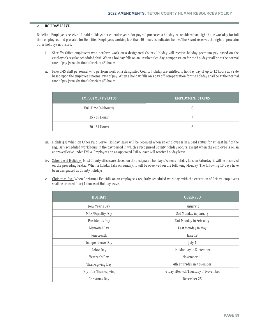#### e. **HOLIDAY LEAVE**

Benefited Employees receive 11 paid holidays per calendar year. For payroll purposes a holiday is considered an eight-hour workday for full time employees and prorated for Benefited Employees working less than 40 hours as indicated below. The Board reserves the right to proclaim other holidays not listed.

- i. Sheriff's Office employees who perform work on a designated County Holiday will receive holiday premium pay based on the employee's regular scheduled shift. When a holiday falls on an unscheduled day, compensation for the holiday shall be at the normal rate of pay (straight time) for eight (8) hours.
- ii. Fire/EMS Shift personnel who perform work on a designated County Holiday are entitled to holiday pay of up to 12 hours at a rate based upon the employee's normal rate of pay. When a holiday falls on a day off, compensation for the holiday shall be at the normal rate of pay (straight time) for eight (8) hours.

| <b>EMPLOYMENT STATUS</b> | <b>EMPLOYMENT STATUS</b> |
|--------------------------|--------------------------|
| Full-Time (40 hours)     |                          |
| 35 - 39 Hours            |                          |
| 30 - 34 Hours            |                          |

- iii. Holiday(s) When on Other Paid Leave: Holiday leave will be received when an employee is in a paid status for at least half of the regularly scheduled work hours in the pay period in which a recognized County holiday occurs, except when the employee is on an approved leave under FMLA. Employees on an approved FMLA leave will receive holiday leave.
- iv. Schedule of Holidays: Most County offices are closed on the designated holidays. When a holiday falls on Saturday, it will be observed on the preceding Friday. When a holiday falls on Sunday, it will be observed on the following Monday. The following 10 days have been designated as County holidays:
- v. Christmas Eve: When Christmas Eve falls on an employee's regularly scheduled workday, with the exception of Friday, employees shall be granted four (4) hours of Holiday leave.

| <b>HOLIDAY</b>         | <b>OBSERVED</b>                       |
|------------------------|---------------------------------------|
| New Year's Day         | January 1                             |
| MLK/Equality Day       | 3rd Monday in January                 |
| President's Day        | 3rd Monday in February                |
| Memorial Day           | Last Monday in May                    |
| Juneteenth             | June 19                               |
| Independence Day       | July 4                                |
| Labor Day              | 1st Monday in September               |
| Veteran's Day          | November 11                           |
| Thanksgiving Day       | 4th Thursday in November              |
| Day after Thanksgiving | Friday after 4th Thursday in November |
| Christmas Day          | December 25                           |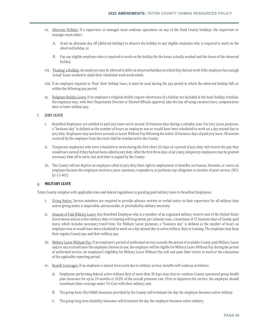- vi. Alternate Holiday: If a supervisor or manager must continue operations on any of the fixed County holidays, the supervisor or manager must either:
	- A. Grant an alternate day off (deferred holiday) to observe the holiday to any eligible employee who is required to work on the observed holiday, or
	- B. Pay any eligible employee who is required to work on the holiday for the hours actually worked and the hours of the observed holiday.
- vii. 'Floating' a Holiday. An employee may be allowed to defer an observed holiday on which they did not work if the employee has enough 'actual' hours worked to make their scheduled work week whole.
- viii. If an employee requests to 'float' their holiday leave, it must be used during the pay period in which the observed holiday falls or within the following pay period.
- ix. Religious Holiday Leave: If an employee's religious beliefs require observance of a holiday not included in the basic holiday schedule, the employee may, with their Department Director or Elected Officials approval, take the day off using vacation leave, compensatory time or leave without pay.

#### f. **JURY LEAVE**

- i. Benefited Employees are entitled to paid jury leave not to exceed 10 business days during a calendar year. For Jury Leave purposes, a "business day" is defined as the number of hours an employee was or would have been scheduled to work on a day missed due to jury duty. Employees may use leave accruals or Leave Without Pay following the initial 10 business days of paid jury leave. All monies received by the employee from the court shall be reimbursed to the County.
- ii. Temporary employees who were scheduled to work during the first three (3) days of a period of jury duty will receive the pay they would have earned if they had not been called to jury duty. After the first three days of jury duty, temporary employees may be granted necessary time off to serve, but such time is unpaid by the County.
- iii. The County will not deprive an employee called to jury duty their right to employment or benefits; nor harass, threaten, or coerce an employee because the employee receives a juror summons, responds to, or performs any obligation or election of juror service. (W.S. §1-11-401)

### g. **MILITARY LEAVE**

Teton County complies with applicable state and federal regulations in granting paid military leave to Benefited Employees.

- i. Giving Notice: Service members are required to provide advance written or verbal notice to their supervisor for all military duty unless giving notice is impossible, unreasonable, or precluded by military necessity.
- ii. Amount of Paid Military Leave: Any Benefited Employee who is a member of an organized military reserve unit of the United States Government and on active military duty or training will be granted, per calendar year, a maximum of 15 business days of County paid leave, which includes necessary travel time. For Military Leave purposes, a "business day" is defined as the number of hours an employee was or would have been scheduled to work on a day missed due to active military duty or training. The employee may keep their regular County pay and their military pay.
- iii. Military Leave Without Pay: If an employee's period of uniformed service exceeds the period of available County paid Military Leave and/or any accrued leave the employee chooses to use, the employee will be eligible for Military Leave Without Pay during the period of uniformed service. An employee's eligibility for Military Leave Without Pay will end upon their return to work or the exhaustion of the applicable reporting period.
- iv. Benefit Coverages: If an employee is absent from work due to military service, benefits will continue as follows:
	- A. Employees performing federal active military duty of more than 30 days may elect to continue County sponsored group health plan insurance for up to 24 months at 102% of the overall premium rate. Prior to departure for service, the employee should coordinate their coverage under Tri-Care with their military unit.
	- B. The group basic life/AD&D insurance provided by the County will terminate the day the employee becomes active military.
	- C. The group long term disability insurance will terminate the day the employee becomes active military.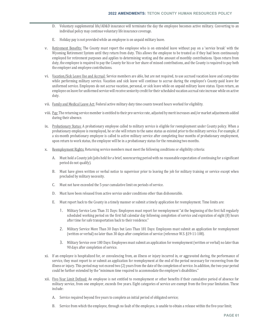- D. Voluntary supplemental life/AD&D insurance will terminate the day the employee becomes active military. Converting to an individual policy may continue voluntary life insurance coverage.
- E. Holiday pay is not provided while an employee is on unpaid military leave.
- v. Retirement Benefits: The County must report the employee who is on extended leave without pay on a 'service break' with the Wyoming Retirement System until they return from duty. This allows the employee to be treated as if they had been continuously employed for retirement purposes and applies to determining vesting and the amount of monthly contributions. Upon return from duty, the employee is required to pay the County for his or her share of missed contributions, and the County is required to pay both the employer and employee contributions.
- vi. Vacation/Sick Leave Use and Accrual: Service members are able, but are not required, to use accrued vacation leave and comp-time while performing military service. Vacation and sick leave will continue to accrue during the employee's County-paid leave for uniformed service. Employees do not accrue vacation, personal, or sick leave while on unpaid military leave status. Upon return, an employee on leave for uniformed service will receive seniority credit for their scheduled vacation accrual rate increase while on active duty.
- vii. Family and Medical Leave Act: Federal active military duty time counts toward hours worked for eligibility.
- viii. Pay: The returning service member is entitled to their pre-service rate, adjusted by merit increases and/or market adjustments added during their absence.
- ix. Probationary Status: A probationary employee called to military service is eligible for reemployment under County policy. When a probationary employee is reemployed, he or she will return to the same status as existed prior to the military service. For example, if a six-month probationary employee is called to active military service after completing four months of probationary employment, upon return to work status, the employee will be in a probationary status for the remaining two months.
- x. Reemployment Rights: Returning service members must meet the following conditions or eligibility criteria:
	- A. Must hold a County job (jobs held for a brief, nonrecurring period with no reasonable expectation of continuing for a significant period do not qualify).
	- B. Must have given written or verbal notice to supervisor prior to leaving the job for military training or service except when precluded by military necessity.
	- C. Must not have exceeded the 5-year cumulative limit on periods of service.
	- D. Must have been released from active service under conditions other than dishonorable.
	- E. Must report back to the County in a timely manner or submit a timely application for reemployment. Time limits are:
		- 1. Military Service Less Than 31 Days: Employees must report for reemployment "at the beginning of the first full regularly scheduled working period on the first full calendar day following completion of service and expiration of eight (8) hours after time for safe transportation back to their residence."
		- 2. Military Service More Than 30 Days but Less Than 181 Days: Employees must submit an application for reemployment (written or verbal) no later than 30 days after completion of service (reference W.S. §19-11-108).
		- 3. Military Service over 180 Days: Employees must submit an application for reemployment (written or verbal) no later than 90 days after completion of service.
- xi. If an employee is hospitalized for, or convalescing from, an illness or injury incurred in, or aggravated during, the performance of service, they must report to or submit an application for reemployment at the end of the period necessary for recovering from the illness or injury. This period may not exceed two (2) years from the date of the completion of service. In addition, the two-year period could be further extended by the "minimum time required to accommodate the employee's disabilities."
- xii. Five-Year Limit Defined: An employee is not entitled to reemployment or other benefits if their cumulative period of absence for military service, from one employer, exceeds five years. Eight categories of service are exempt from the five-year limitation. These include:
	- A. Service required beyond five years to complete an initial period of obligated service;
	- B. Service from which the employee, through no fault of the employee, is unable to obtain a release within the five-year limit;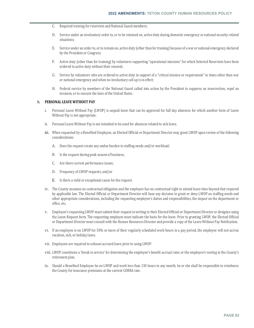- C. Required training for reservists and National Guard members;
- D. Service under an involuntary order to, or to be retained on, active duty during domestic emergency or national security related situations;
- E. Service under an order to, or to remain on, active duty (other than for training) because of a war or national emergency declared by the President or Congress;
- F. Active duty (other than for training) by volunteers supporting "operational missions" for which Selected Reservists have been ordered to active duty without their consent;
- G. Service by volunteers who are ordered to active duty in support of a "critical mission or requirement" in times other than war or national emergency and when no involuntary call up is in effect;
- H. Federal service by members of the National Guard called into action by the President to suppress an insurrection, repel an invasion, or to execute the laws of the United States.

#### h. **PERSONAL LEAVE WITHOUT PAY**

- i. Personal Leave Without Pay (LWOP) is unpaid leave that can be approved for full day absences for which another form of Leave Without Pay is not appropriate.
- ii. Personal Leave Without Pay is not intended to be used for absences related to sick leave.
- iii. When requested by a Benefited Employee, an Elected Official or Department Director may grant LWOP upon review of the following considerations:
	- A. Does the request create any undue burden to staffing needs and/or workload;
	- B. Is the request during peak season of business;
	- C. Are there current performance issues;
	- D. Frequency of LWOP requests; and/or
	- E. Is there a valid or exceptional cause for the request.
- iv. The County assumes no contractual obligation and the employee has no contractual right to extend leave time beyond that required by applicable law. The Elected Official or Department Director will base any decision to grant or deny LWOP on staffing needs and other appropriate considerations, including the requesting employee's duties and responsibilities, the impact on the department or office, etc.
- v. Employee's requesting LWOP must submit their request in writing to their Elected Official or Department Director or designee using the Leave Request form. The requesting employee must indicate the basis for the leave. Prior to granting LWOP, the Elected Official or Department Director must consult with the Human Resources Director and provide a copy of the Leave Without Pay Notification.
- vi. If an employee is on LWOP for 50% or more of their regularly scheduled work hours in a pay period, the employee will not accrue vacation, sick, or holiday leave.
- vii. Employees are required to exhaust accrued leave prior to using LWOP.
- viii. LWOP constitutes a 'break in service' for determining the employee's benefit accrual rates or the employee's vesting in the County's retirement plan.
- ix. Should a Benefited Employee be on LWOP and work less than 130 hours in any month, he or she shall be responsible to reimburse the County for insurance premiums at the current COBRA rate.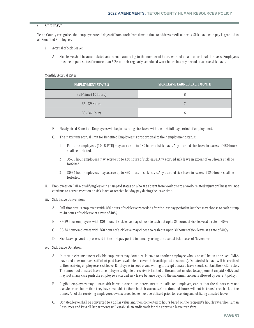#### i. **SICK LEAVE**

Teton County recognizes that employees need days off from work from time to time to address medical needs. Sick leave with pay is granted to all Benefited Employees.

- i. Accrual of Sick Leave:
	- A. Sick leave shall be accumulated and earned according to the number of hours worked on a proportional tier basis. Employees must be in paid status for more than 50% of their regularly scheduled work hours in a pay period to accrue sick leave.

#### Monthly Accrual Rates

| <b>EMPLOYMENT STATUS</b> | <b>SICK LEAVE EARNED EACH MONTH</b> |
|--------------------------|-------------------------------------|
| Full-Time (40 hours)     |                                     |
| 35 - 39 Hours            |                                     |
| 30 - 34 Hours            | h                                   |

- B. Newly hired Benefited Employees will begin accruing sick leave with the first full pay period of employment.
- C. The maximum accrual limit for Benefited Employees is proportional to their employment status:
	- 1. Full-time employees (100% FTE) may accrue up to 480 hours of sick leave. Any accrued sick leave in excess of 480 hours shall be forfeited.
	- 2. 35-39 hour employees may accrue up to 420 hours of sick leave. Any accrued sick leave in excess of 420 hours shall be forfeited.
	- 3. 30-34 hour employees may accrue up to 360 hours of sick leave. Any accrued sick leave in excess of 360 hours shall be forfeited.
- ii. Employees on FMLA qualifying leave in an unpaid status or who are absent from work due to a work- related injury or illness will not continue to accrue vacation or sick leave or receive holiday pay during the leave time.
- iii. Sick Leave Conversion:
	- A. Full-time status employees with 480 hours of sick leave recorded after the last pay period in October may choose to cash out up to 40 hours of sick leave at a rate of 40%.
	- B. 35-39 hour employees with 420 hours of sick leave may choose to cash out up to 35 hours of sick leave at a rate of 40%.
	- C. 30-34 hour employees with 360 hours of sick leave may choose to cash out up to 30 hours of sick leave at a rate of 40%.
	- D. Sick Leave payout is processed in the first pay period in January, using the accrual balance as of November
- iv. Sick Leave Donation:
	- A. In certain circumstances, eligible employees may donate sick leave to another employee who is or will be on approved FMLA leave and does not have sufficient paid leave available to cover their anticipated absence(s). Donated sick leave will be credited to the receiving employee as sick leave. Employees in need of and willing to accept donated leave should contact the HR Director. The amount of donated leave an employee is eligible to receive is limited to the amount needed to supplement unpaid FMLA and may not in any case push the employee's accrued sick leave balance beyond the maximum accruals allowed by current policy.
	- B. Eligible employees may donate sick leave in one-hour increments to the affected employee, except that the donors may not transfer more hours than they have available to them in their accruals. Once donated, hours will not be transferred back to the donor. All of the receiving employee's own accrued leave must be utilized prior to receiving and utilizing donated leave.
	- C. Donated leave shall be converted to a dollar value and then converted to hours based on the recipient's hourly rate. The Human Resources and Payroll Departments will establish an audit track for the approved leave transfers.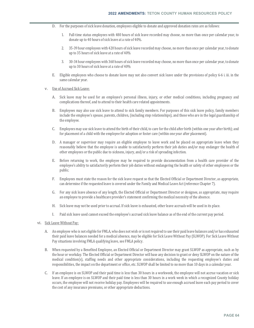- D. For the purposes of sick leave donation, employees eligible to donate and approved donation rates are as follows:
	- 1. Full-time status employees with 480 hours of sick leave recorded may choose, no more than once per calendar year, to donate up to 40 hours of sick leave at a rate of 40%.
	- 2. 35-39 hour employees with 420 hours of sick leave recorded may choose, no more than once per calendar year, to donate up to 35 hours of sick leave at a rate of 40%
	- 3. 30-34 hour employees with 360 hours of sick leave recorded may choose, no more than once per calendar year, to donate up to 30 hours of sick leave at a rate of 40%
- E. Eligible employees who choose to donate leave may not also convert sick leave under the provisions of policy 6-6 i. iii. in the same calendar year.

#### v. Use of Accrued Sick Leave:

- A. Sick leave may be used for an employee's personal illness, injury, or other medical conditions, including pregnancy and complications thereof, and to attend to their health care related appointments.
- B. Employees may also use sick leave to attend to sick family members. For purposes of this sick leave policy, family members include the employee's spouse, parents, children, (including step relationships), and those who are in the legal guardianship of the employee.
- C. Employees may use sick leave to attend the birth of their child, to care for the child after birth (within one year after birth); and for placement of a child with the employee for adoption or foster care (within one year after placement).
- D. A manager or supervisor may require an eligible employee to leave work and be placed on appropriate leave when they reasonably believe that the employee is unable to satisfactorily perform their job duties and/or may endanger the health of other employees or the public due to sickness, injury, and/or a risk of spreading infection.
- E. Before returning to work, the employee may be required to provide documentation from a health care provider of the employee's ability to satisfactorily perform their job duties without endangering the health or safety of other employees or the public.
- F. Employees must state the reason for the sick leave request so that the Elected Official or Department Director, as appropriate, can determine if the requested leave is covered under the Family and Medical Leave Act (reference Chapter 7).
- G. For any sick leave absence of any length, the Elected Official or Department Director or designee, as appropriate, may require an employee to provide a healthcare provider's statement confirming the medical necessity of the absence.
- H. Sick leave may not be used prior to accrual. If sick leave is exhausted, other leave accruals will be used in its place.
- I. Paid sick leave used cannot exceed the employee's accrued sick leave balance as of the end of the current pay period.

#### vi. Sick Leave Without Pay:

- A. An employee who is not eligible for FMLA, who does not wish or is not required to use their paid leave balances and/or has exhausted their paid leave balances needed for a medical absence, may be eligible for Sick Leave Without Pay (SLWOP). For Sick Leave Without Pay situations involving FMLA qualifying leave, see FMLA policy.
- B. When requested by a Benefited Employee, an Elected Official or Department Director may grant SLWOP as appropriate, such as by the hour or workday. The Elected Official or Department Director will base any decision to grant or deny SLWOP on the nature of the medical condition(s), staffing needs and other appropriate considerations, including the requesting employee's duties and responsibilities, the impact on the department or office, etc. SLWOP shall be limited to no more than 10 days in a calendar year.
- C. If an employee is on SLWOP and their paid time is less than 30 hours in a workweek, the employee will not accrue vacation or sick leave. If an employee is on SLWOP and their paid time is less than 30 hours in a work week in which a recognized County holiday occurs, the employee will not receive holiday pay. Employees will be required to use enough accrued leave each pay period to cover the cost of any insurance premiums, or other appropriate deductions.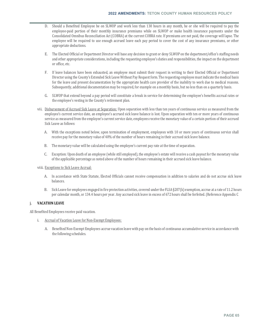- D. Should a Benefited Employee be on SLWOP and work less than 130 hours in any month, he or she will be required to pay the employee-paid portion of their monthly insurance premiums while on SLWOP or make health insurance payments under the Consolidated Omnibus Reconciliation Act (COBRA) at the current COBRA rate. If premiums are not paid, the coverage will lapse. The employee will be required to use enough accrued leave each pay period to cover the cost of any insurance premiums, or other appropriate deductions.
- E. The Elected Official or Department Director will base any decision to grant or deny SLWOP on the department/office's staffing needs and other appropriate considerations, including the requesting employee's duties and responsibilities, the impact on the department or office, etc.
- F. If leave balances have been exhausted, an employee must submit their request in writing to their Elected Official or Department Director using the County's Extended Sick Leave Without Pay Request form. The requesting employee must indicate the medical basis for the leave and present documentation by the appropriate health care provider of the inability to work due to medical reasons. Subsequently, additional documentation may be required, for example on a monthly basis, but no less than on a quarterly basis.
- G. SLWOP that extend beyond a pay period will constitute a break in service for determining the employee's benefits accrual rates or the employee's vesting in the County's retirement plan.
- vii. Disbursement of Accrued Sick Leave at Separation: Upon separation with less than ten years of continuous service as measured from the employee's current service date, an employee's accrued sick leave balance is lost. Upon separation with ten or more years of continuous service as measured from the employee's current service date, employees receive the monetary value of a certain portion of their accrued Sick Leave as follows:
	- A. With the exceptions noted below, upon termination of employment, employees with 10 or more years of continuous service shall receive pay for the monetary value of 40% of the number of hours remaining in their accrued sick leave balance.
	- B. The monetary value will be calculated using the employee's current pay rate at the time of separation.
	- C. Exception: Upon death of an employee (while still employed), the employee's estate will receive a cash payout for the monetary value of the applicable percentage as noted above of the number of hours remaining in their accrued sick leave balance.
- viii. Exceptions to Sick Leave Accrual:
	- A. In accordance with State Statute, Elected Officials cannot receive compensation in addition to salaries and do not accrue sick leave balances.
	- B. Sick Leave for employees engaged in fire protection activities, covered under the FLSA §207(k) exemption, accrue at a rate of 11.2 hours per calendar month, or 134.4 hours per year. Any accrued sick leave in excess of 672 hours shall be forfeited. (Reference Appendix C

### j. **VACATION LEAVE**

All Benefited Employees receive paid vacation.

- i. Accrual of Vacation Leave for Non-Exempt Employees:
	- A. Benefited Non-Exempt Employees accrue vacation leave with pay on the basis of continuous accumulative service in accordance with the following schedules.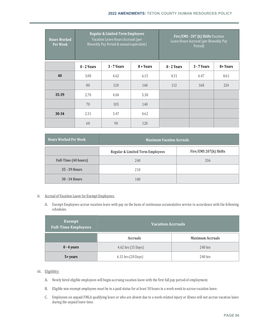| <b>Hours Worked</b><br>Per Week | <b>Regular &amp; Limited-Term Employees</b><br>Vacation Leave Hours Accrued (per<br>Biweekly Pay Period & annual equivalent) |             | Fire/EMS - 207 (k) Shifts Vacation<br>Leave Hours Accrued (per Biweekly Pay<br>Period) |               |             |          |
|---------------------------------|------------------------------------------------------------------------------------------------------------------------------|-------------|----------------------------------------------------------------------------------------|---------------|-------------|----------|
|                                 | $0 - 2$ Years                                                                                                                | 3 - 7 Years | 8 + Years                                                                              | $0 - 2$ Years | 3 - 7 Years | 8+ Years |
| 40                              | 3.08                                                                                                                         | 4.62        | 6.15                                                                                   | 4.31          | 6.47        | 8.61     |
|                                 | 80                                                                                                                           | 120         | 160                                                                                    | 112           | 168         | 224      |
| $35 - 39$                       | 2.70                                                                                                                         | 4.04        | 5.38                                                                                   |               |             |          |
|                                 | 70                                                                                                                           | 105         | 140                                                                                    |               |             |          |
| $30 - 34$                       | 2.31                                                                                                                         | 3.47        | 4.62                                                                                   |               |             |          |
|                                 | 60                                                                                                                           | 90          | 120                                                                                    |               |             |          |

| <b>Hours Worked Per Week</b> | <b>Maximum Vacation Accruals</b>            |                        |  |
|------------------------------|---------------------------------------------|------------------------|--|
|                              | <b>Regular &amp; Limited Term Employees</b> | Fire/EMS 207(k) Shifts |  |
| <b>Full-Time (40 hours)</b>  | 240                                         | 336                    |  |
| $35 - 39$ Hours              | 210                                         |                        |  |
| $30 - 34$ Hours              | 180                                         |                        |  |

## ii. Accrual of Vacation Leave for Exempt Employees:

A. Exempt Employees accrue vacation leave with pay on the basis of continuous accumulative service in accordance with the following schedules.

| <b>Exempt</b><br><b>Full-Time Employees</b> | <b>Vacation Accruals</b> |                         |  |
|---------------------------------------------|--------------------------|-------------------------|--|
|                                             | <b>Accruals</b>          | <b>Maximum Accruals</b> |  |
| $0 - 4$ years                               | 4.62 hrs (15 Days)       | 240 hrs                 |  |
| 5+ years                                    | 6.15 hrs (20 Days)       | $240$ hrs               |  |

## iii. Eligibility:

- A. Newly hired eligible employees will begin accruing vacation leave with the first full pay period of employment.
- B. Eligible non-exempt employees must be in a paid status for at least 30 hours in a work week to accrue vacation leave.
- C. Employees on unpaid FMLA qualifying leave or who are absent due to a work-related injury or illness will not accrue vacation leave during the unpaid leave time.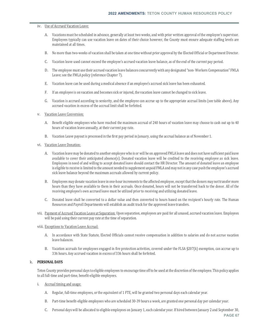#### iv. Use of Accrued Vacation Leave:

- A. Vacations must be scheduled in advance, generally at least two weeks, and with prior written approval of the employee's supervisor. Employees typically can use vacation leave on dates of their choice however, the County must ensure adequate staffing levels are maintained at all times.
- B. No more than two-weeks of vacation shall be taken at one time without prior approval by the Elected Official or Department Director.
- C. Vacation leave used cannot exceed the employee's accrued vacation leave balance, as of the end of the current pay period.
- D. The employee must use their accrued vacation leave balances concurrently with any designated "non- Workers Compensation" FMLA Leave; see the FMLA policy (reference Chapter 7).
- E. Vacation leave can be used during a medical absence if an employee's accrued sick leave has been exhausted.
- F. If an employee is on vacation and becomes sick or injured, the vacation leave cannot be changed to sick leave.
- G. Vacation is accrued according to seniority, and the employee can accrue up to the appropriate accrual limits (see table above). Any accrued vacation in excess of the accrual limit shall be forfeited.
- v. Vacation Leave Conversion:
	- A. Benefit eligible employees who have reached the maximum accrual of 240 hours of vacation leave may choose to cash out up to 40 hours of vacation leave annually, at their current pay rate.
	- B. Vacation Leave payout is processed in the first pay period in January, using the accrual balance as of November 1.
- vi. Vacation Leave Donation:
	- A. Vacation leave may be donated to another employee who is or will be on approved FMLA leave and does not have sufficient paid leave available to cover their anticipated absence(s). Donated vacation leave will be credited to the receiving employee as sick leave. Employees in need of and willing to accept donated leave should contact the HR Director. The amount of donated leave an employee is eligible to receive is limited to the amount needed to supplement unpaid FMLA and may not in any case push the employee's accrued sick leave balance beyond the maximum accruals allowed by current policy.
	- B. Employees may donate vacation leave in one-hour increments to the affected employee, except that the donors may not transfer more hours than they have available to them in their accruals. Once donated, hours will not be transferred back to the donor. All of the receiving employee's own accrued leave must be utilized prior to receiving and utilizing donated leave.
	- C. Donated leave shall be converted to a dollar value and then converted to hours based on the recipient's hourly rate. The Human Resources and Payroll Departments will establish an audit track for the approved leave transfers.
- vii. Payment of Accrued Vacation Leave at Separation: Upon separation, employees are paid for all unused, accrued vacation leave. Employees will be paid using their current pay rate at the time of separation.

#### viii. Exceptions to Vacation Leave Accrual:

- A. In accordance with State Statute, Elected Officials cannot receive compensation in addition to salaries and do not accrue vacation leave balances.
- B. Vacation accruals for employees engaged in fire protection activities, covered under the FLSA §207(k) exemption, can accrue up to 336 hours. Any accrued vacation in excess of 336 hours shall be forfeited.

## k. **PERSONAL DAYS**

Teton County provides personal days to eligible employees to encourage time off to be used at the discretion of the employee. This policy applies to all full-time and part-time, benefit-eligible employees.

- i. Accrual timing and usage:
	- A. Regular, full-time employees, or the equivalent of 1 FTE, will be granted two personal days each calendar year.
	- B. Part-time benefit-eligible employees who are scheduled 30-39 hours a week, are granted one personal day per calendar year.
	- C. Personal days will be allocated to eligible employees on January 1, each calendar year. If hired between January 2 and September 30,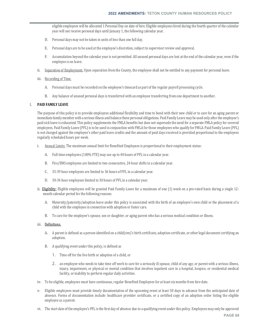eligible employees will be allocated 1 Personal Day on date of hire. Eligible employees hired during the fourth quarter of the calendar year will not receive personal days until January 1, the following calendar year.

- D. Personal days may not be taken in units of less than one full day.
- E. Personal days are to be used at the employee's discretion, subject to supervisor review and approval.
- F. Accumulation beyond the calendar year is not permitted. All unused personal days are lost at the end of the calendar year, even if the employee is on leave.
- ii. Separation of Employment. Upon separation from the County, the employee shall not be entitled to any payment for personal leave.
- iii. Recording of Time.
	- A. Personal days must be recorded on the employee's timecard as part of the regular payroll processing cycle.
	- B. Any balance of unused personal days is transferred with an employee transferring from one department to another.

#### l. **PAID FAMILY LEAVE**

The purpose of this policy is to provide employees additional flexibility and time to bond with their new child or to care for an aging parent or immediate family member with a serious illness and balance these personal obligations. Paid Family Leave may be used only after the employee's paid sick leave is exhausted. This policy supplements the FMLA benefits but does not supersede the need for a separate FMLA policy for covered employees. Paid Family Leave (PFL) is to be used in conjunction with FMLA for those employees who qualify for FMLA. Paid Family Leave (PFL) is not charged against the employee's other paid leave credits and the amount of paid days received is provided proportional to the employees regularly scheduled hours per week.

- i. Annual Limits: The maximum annual limit for Benefited Employees is proportional to their employment status:
	- A. Full-time employees (100% FTE) may use up to 40 hours of PFL in a calendar year.
	- B. Fire/EMS employees are limited to two consecutive, 24-hour shifts in a calendar year.
	- C. 35-39 hour employees are limited to 36 hours of PFL in a calendar year.
	- D. 30-34 hour employees limited to 30 hours of PFL in a calendar year.
- ii. Eligibility: Eligible employees will be granted Paid Family Leave for a maximum of one (1) week on a pro-rated basis during a single 12month calendar period for the following reasons:
	- A. Maternity/paternity/adoption leave under this policy is associated with the birth of an employee's own child or the placement of a child with the employee in connection with adoption or foster care.
	- B. To care for the employee's spouse, son or daughter, or aging parent who has a serious medical condition or illness.

## iii. Definitions.

- A. A parent is defined as a person identified on a child(ren)'s birth certificate, adoption certificate, or other legal document certifying an adoption.
- B. A qualifying event under this policy, is defined as
	- 1. Time off for the live birth or adoption of a child, or
	- 2. an employee who needs to take time off work to care for a seriously ill spouse, child of any age, or parent with a serious illness, injury, impairment, or physical or mental condition that involves inpatient care in a hospital, hospice, or residential medical facility, or inability to perform regular daily activities.
- iv. To be eligible, employees must have continuous, regular Benefited Employees for at least six months from hire date.
- v. Eligible employees must provide timely documentation of the upcoming event at least 30 days in advance from the anticipated date of absence. Forms of documentation include: healthcare provider certificate, or a certified copy of an adoption order listing the eligible employee as a parent.
- vi. The start date of the employee's PFL is the first day of absence due to a qualifying event under this policy. Employees may only be approved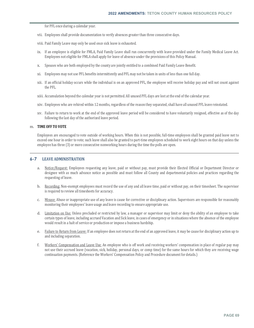for PFL once during a calendar year.

- vii. Employees shall provide documentation to verify absences greater than three consecutive days.
- viii. Paid Family Leave may only be used once sick leave is exhausted.
- ix. If an employee is eligible for FMLA, Paid Family Leave shall run concurrently with leave provided under the Family Medical Leave Act. Employees not eligible for FMLA shall apply for leave of absence under the provisions of this Policy Manual.
- x. Spouses who are both employed by the county are jointly entitled to a combined Paid Family Leave Benefit.
- xi. Employees may not use PFL benefits intermittently and PFL may not be taken in units of less than one full day.
- xii. If an official holiday occurs while the individual is on an approved PFL, the employee will receive holiday pay and will not count against the PFL.
- xiii. Accumulation beyond the calendar year is not permitted. All unused PFL days are lost at the end of the calendar year.
- xiv. Employees who are rehired within 12 months, regardless of the reason they separated, shall have all unused PFL leave reinstated.
- xv. Failure to return to work at the end of the approved leave period will be considered to have voluntarily resigned, effective as of the day following the last day of the authorized leave period.

## m. **TIME OFF TO VOTE**

Employees are encouraged to vote outside of working hours. When this is not possible, full-time employees shall be granted paid leave not to exceed one hour in order to vote; such leave shall also be granted to part-time employees scheduled to work eight hours on that day unless the employee has three (3) or more consecutive nonworking hours during the time the polls are open.

### **6-7 LEAVE ADMINISTRATION**

- a. Notice/Request: Employees requesting any leave, paid or without pay, must provide their Elected Official or Department Director or designee with as much advance notice as possible and must follow all County and departmental policies and practices regarding the requesting of leave.
- b. Recording: Non-exempt employees must record the use of any and all leave time, paid or without pay, on their timesheet. The supervisor is required to review all timesheets for accuracy.
- c. Misuse: Abuse or inappropriate use of any leave is cause for corrective or disciplinary action. Supervisors are responsible for reasonably monitoring their employees' leave usage and leave recording to ensure appropriate use.
- d. Limitation on Use: Unless precluded or restricted by law, a manager or supervisor may limit or deny the ability of an employee to take certain types of leave, including accrued Vacation and Sick leave, in cases of emergency or in situations where the absence of the employee would result in a halt of service or production or impose a business hardship.
- e. Failure to Return from Leave: If an employee does not return at the end of an approved leave, it may be cause for disciplinary action up to and including separation.
- f. Workers' Compensation and Leave Use: An employee who is off work and receiving workers' compensation in place of regular pay may not use their accrued leave (vacation, sick, holiday, personal days, or comp time) for the same hours for which they are receiving wage continuation payments. (Reference the Workers' Compensation Policy and Procedure document for details.)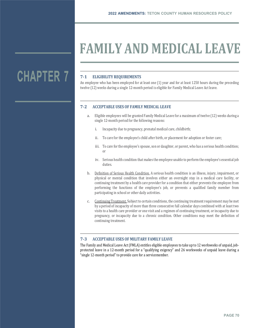## **FAMILY AND MEDICAL LEAVE**

## **CHAPTER 7**

## **7‐1 ELIGIBILITY REQUIREMENTS**

An employee who has been employed for at least one (1) year and for at least 1250 hours during the preceding twelve (12) weeks during a single 12-month period is eligible for Family Medical Leave Act leave.

## **7‐2 ACCEPTABLE USES OF FAMILY MEDICAL LEAVE**

- a. Eligible employees will be granted Family Medical Leave for a maximum of twelve (12) weeks during a single 12-month period for the following reasons:
	- i. Incapacity due to pregnancy, prenatal medical care, childbirth;
	- ii. To care for the employee's child after birth, or placement for adoption or foster care;
	- iii. To care for the employee's spouse, son or daughter, or parent, who has a serious health condition; or
	- iv. Serious health condition that makes the employee unable to perform the employee's essential job duties.
- b. Definition of Serious Health Condition. A serious health condition is an illness, injury, impairment, or physical or mental condition that involves either an overnight stay in a medical care facility, or continuing treatment by a health care provider for a condition that either prevents the employee from performing the functions of the employee's job, or prevents a qualified family member from participating in school or other daily activities.
- c. Continuing Treatment. Subject to certain conditions, the continuing treatment requirement may be met by a period of incapacity of more than three consecutive full calendar days combined with at least two visits to a health care provider or one visit and a regimen of continuing treatment, or incapacity due to pregnancy, or incapacity due to a chronic condition. Other conditions may meet the definition of continuing treatment.

## **7‐3 ACCEPTABLE USES OF MILITARY FAMILY LEAVE**

The Family and Medical Leave Act (FMLA) entitles eligible employees to take up to 12 workweeks of unpaid, jobprotected leave in a 12-month period for a "qualifying exigency" and 26 workweeks of unpaid leave during a "single 12-month period" to provide care for a servicemember.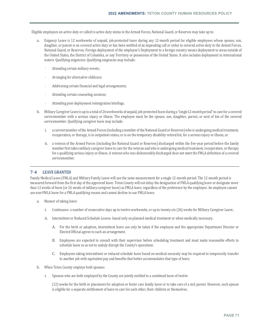Eligible employees on active duty or called to active duty status in the Armed Forces, National Guard, or Reserves may take up to:

- a. Exigency Leave is 12 workweeks of unpaid, job-protected leave during any 12-month period for eligible employees whose spouse, son, daughter, or parent is on covered active duty or has been notified of an impending call or order to covered active duty in the Armed Forces, National Guard, or Reserves. Foreign deployment of the employee's Deployment to a foreign country means deployment to areas outside of the United States, the District of Columbia, or any Territory or possession of the United States. It also includes deployment to international waters. Qualifying exigencies. Qualifying exigencies may include:
	- Attending certain military events;
	- Arranging for alternative childcare;
	- Addressing certain financial and legal arrangements;
	- Attending certain counseling sessions;
	- Attending post-deployment reintegration briefings.
- b. Military Caregiver Leave is up to a total of 26 workweeks of unpaid, job-protected leave during a "single12-month period" to care for a covered servicemember with a serious injury or illness. The employee must be the spouse, son, daughter, parent, or next of kin of the covered servicemember. Qualifying caregiver leave may include:
	- i. a current member of the Armed Forces (including a member of the National Guard or Reserves) who is undergoing medical treatment, recuperation, or therapy, is in outpatient status, or is on the temporary disability retired list, for a serious injury or illness, or
	- ii. a veteran of the Armed Forces (including the National Guard or Reserves) discharged within the five-year period before the family member first takes military caregiver leave to care for the veteran and who is undergoing medical treatment, recuperation, or therapy for a qualifying serious injury or illness. A veteran who was dishonorably discharged does not meet the FMLA definition of a covered servicemember.

### **7‐4 LEAVE GRANTED**

Family Medical Leave (FMLA) and Military Family Leave will use the same measurement for a single 12-month period. The 12-month period is measured forward from the first day of the approved leave. Teton County will not delay the designation of FMLA qualifying leave or designate more than 12 weeks of leave (or 26 weeks of military caregiver leave) as FMLA leave, regardless of the preference by the employee. An employee cannot use non-FMLA leave for a FMLA qualifying reason and cannot decline to use FMLA leave.

- a. Manner of taking leave:
	- i. Continuous- a number of consecutive days up to twelve workweeks, or up to twenty-six (26) weeks for Military Caregiver Leave;
	- ii. Intermittent or Reduced Schedule Leaves- based only on planned medical treatment or when medically necessary.
		- A. For the birth or adoption, intermittent leave can only be taken if the employee and the appropriate Department Director or Elected Official agrees to such an arrangement.
		- B. Employees are expected to consult with their supervisor before scheduling treatment and must make reasonable efforts to schedule leave so as not to unduly disrupt the County's operations.
		- C. Employees taking intermittent or reduced schedule leave based on medical necessity may be required to temporarily transfer to another job with equivalent pay and benefits that better accommodates that type of leave.
- b. When Teton County employs both spouses
	- i. Spouses who are both employed by the County are jointly entitled to a combined leave of twelve

(12) weeks for the birth or placement for adoption or foster care family leave or to take care of a sick parent. However, each spouse is eligible for a separate entitlement of leave to care for each other, their children or themselves.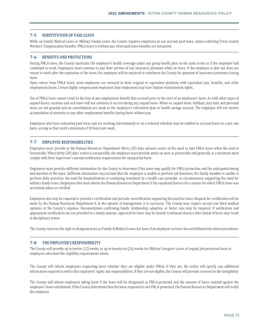## **7‐5 SUBSTITUTION OF PAID LEAVE**

While on Family Medical Leave or Military Family Leave, the County requires employees to use accrued paid leave, unless collecting Teton County Workers' Compensation benefits. FMLA leave is without pay when paid leave benefits are exhausted.

## **7‐6 BENEFITS AND PROTECTIONS**

During FMLA leave, the County maintains the employee's health coverage under any group health plan on the same terms as if the employee had continued to work. Employees must continue to pay their portion of any insurance premium while on leave. If the employee is able but does not return to work after the expiration of the leave, the employee will be required to reimburse the County for payment of insurance premiums during leave.

Upon return from FMLA leave, most employees are restored to their original or equivalent positions with equivalent pay, benefits, and other employment terms. Certain highly compensated employees (key employees) may have limited reinstatement rights.

Use of FMLA leave cannot result in the loss of any employment benefit that accrued prior to the start of an employee's leave. As with other types of unpaid leaves, vacation and sick leave will not continue to accrue during any unpaid leave. When on unpaid leave, holidays, jury duty and personal leave are not granted and no contributions are made to the employee's retirement plan or health savings account. The employee will not receive accumulation of seniority or any other employment benefits during leave without pay.

Employees who have exhausted paid leave and are working intermittently or on a reduced schedule may be entitled to accrued leave on a pro rata basis, as long as they work a minimum of 30 hours per week.

### **7‐7 EMPLOYEE RESPONSIBILITIES**

Employees must provide to the Human Resources Department thirty (30) days advance notice of the need to take FMLA leave when the need is foreseeable. When thirty (30) days' notice is not possible, the employee must provide notice as soon as practicable and generally at a minimum must comply with their Supervisor's normal notification requirements for unexpected leave.

Employees must provide sufficient information for the County to determine if the leave may qualify for FMLA protection and the anticipated timing and duration of the leave. Sufficient information may include that the employee is unable to perform job functions; the family member is unable to perform daily activities; the need for hospitalization or continuing treatment by a health care provider, or circumstances supporting the need for military family leave. Employees also must inform the Human Resources Department if the requested leave is for a reason for which FMLA leave was previously taken or certified.

Employees also may be required to provide a certification and periodic recertification supporting the need for leave. Request for certification will be made by the Human Resources Department if, in the opinion of management, it is necessary. The County may require second and third medical opinions at the County's expense. Documentation confirming family relationship, adoption, or foster care may be required. If notification and appropriate certification are not provided in a timely manner, approval for leave may be denied. Continued absence after denial of leave may result in disciplinary action.

The County reserves the right to designate leave as Family & Medical Leave Act leave if an employee on leave has not followed the above procedures.

## **7‐8 THE EMPLOYER'S RESPONSIBILITY**

The County will provide up to twelve (12) weeks, or up to twenty-six (26) weeks for Military Caregiver Leave, of unpaid, job-protected leave to employees who meet the eligibility requirements above.

The County will inform employees requesting leave whether they are eligible under FMLA. If they are, the notice will specify any additional information required as well as the employees' rights and responsibilities. If they are not eligible, the County will provide a reason for the ineligibility.

The County will inform employees taking leave if the leave will be designated as FMLA-protected and the amount of leave counted against the employee's leave entitlement. If the County determines that the leave requested is not FMLA-protected, the Human Resources Department will notify the employee.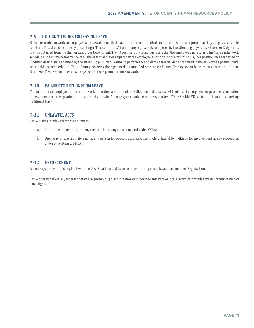### **7‐9 RETURN TO WORK FOLLOWING LEAVE**

Before returning to work, an employee who has taken medical leave for a personal medical condition must present proof that they are physically able to return. This should be done by presenting a "Fitness for Duty" form or any equivalent, completed by the attending physician. Fitness for Duty forms may be obtained from the Human Resources Department. The Fitness for Duty form must state that the employee can return to his/her regular work schedule and resume performance of all the essential duties required in the employee's position; or can return to his/ her position on a restricted or modified duty basis, as defined by the attending physician, resuming performance of all the essential duties required in the employee's position with reasonable accommodation. Teton County reserves the right to deny modified or restricted duty. Employees on leave must contact the Human Resources Department at least two days before their planned return to work.

### **7‐10 FAILURE TO RETURN FROM LEAVE**

The failure of an employee to return to work upon the expiration of an FMLA leave of absence will subject the employee to possible termination unless an extension is granted prior to the return date. An employee should refer to Section 6-4 TYPES OF LEAVE for information on requesting additional leave.

### **7‐11 UNLAWFUL ACTS**

FMLA makes it unlawful for the County to:

- a. Interfere with, restrain, or deny the exercise of any right provided under FMLA;
- b. Discharge or discriminate against any person for opposing any practice made unlawful by FMLA or for involvement in any proceeding under or relating to FMLA.

### **7‐12 ENFORCEMENT**

An employee may file a complaint with the U.S. Department of Labor or may bring a private lawsuit against the Organization.

FMLA does not affect any federal or state law prohibiting discrimination or supersede any state or local law which provides greater family or medical leave rights.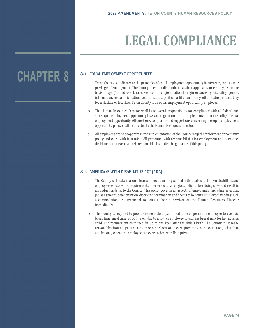# **LEGAL COMPLIANCE**

# **CHAPTER 8**

# **8‐1 EQUAL EMPLOYMENT OPPORTUNITY**

- a. Teton County is dedicated to the principles of equal employment opportunity in any term, condition or privilege of employment. The County does not discriminate against applicants or employees on the basis of age (40 and over), race, sex, color, religion, national origin or ancestry, disability, genetic information, sexual orientation, veteran status, political affiliation, or any other status protected by federal, state or local law. Teton County is an equal employment opportunity employer.
- b. The Human Resources Director shall have overall responsibility for compliance with all federal and state equal employment opportunity laws and regulations for the implementation of the policy of equal employment opportunity. All questions, complaints and suggestions concerning the equal employment opportunity policy shall be directed to the Human Resources Director.
- c. All employees are to cooperate in the implementation of the County's equal employment opportunity policy and work with it in mind. All personnel with responsibilities for employment and personnel decisions are to exercise their responsibilities under the guidance of this policy.

## **8‐2 AMERICANS WITH DISABILITIES ACT (ADA)**

- a. The County will make reasonable accommodation for qualified individuals with known disabilities and employees whose work requirements interfere with a religious belief unless doing so would result in an undue hardship to the County. This policy governs all aspects of employment including selection, job assignment, compensation, discipline, termination and access to benefits. Employees needing such accommodation are instructed to contact their supervisor or the Human Resources Director immediately.
- b. The County is required to provide reasonable unpaid break time or permit an employee to use paid break time, meal time, or both, each day to allow an employee to express breast milk for her nursing child. The requirement continues for up to one year after the child's birth. The County must make reasonable efforts to provide a room or other location in close proximity to the work area, other than a toilet stall, where the employee can express breast milk in private.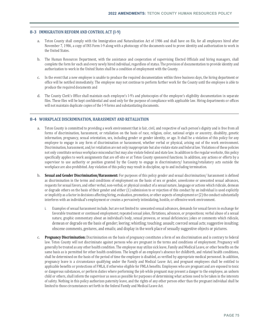## **8‐3 IMMIGRATION REFORM AND CONTROL ACT (I‐9)**

- a. Teton County shall comply with the Immigration and Naturalization Act of 1986 and shall have on file, for all employees hired after November 7, 1986, a copy of INS Form I-9 along with a photocopy of the documents used to prove identity and authorization to work in the United States.
- b. The Human Resources Department, with the assistance and cooperation of supervising Elected Officials and hiring managers, shall complete the form for each and every newly hired individual, regardless of status. The provision of documentation to provide identity and authorization to work in the United States shall be a condition of employment with the County.
- c. In the event that a new employee is unable to produce the required documentation within three business days, the hiring department or office will be notified immediately. The employee may not continue to perform further work for the County until the employee is able to produce the required documents and
- d. The County Clerk's Office shall maintain each employee's I-9's and photocopies of the employee's eligibility documentation in separate files. These files will be kept confidential and used only for the purpose of compliance with applicable law. Hiring departments or offices will not maintain duplicate copies of the I-9 forms and substantiating documents.

### **8‐4 WORKPLACE DISCRIMINATION, HARASSMENT AND RETALIATION**

- a. Teton County is committed to providing a work environment that is fair, civil, and respective of each person's dignity and is free from all forms of discrimination, harassment, or retaliation on the basis of race, religion, color, national origin or ancestry, disability, genetic information, pregnancy, sexual orientation, sex, including gender or gender identity, or age. It shall be a violation of this policy for any employee to engage in any form of discrimination or harassment, whether verbal or physical, arising out of the work environment. Discrimination, harassment, and/or retaliation are not only inappropriate but also violate state and federal law. Violations of these policies not only constitute serious workplace misconduct but may also violate federal and state law. In addition to the regular worksite, this policy specifically applies to work assignments that are off-site or at Teton County sponsored functions. In addition, any actions or efforts by a supervisor to use authority or position granted by the County to engage in discriminatory/ harassing/retaliatory acts outside the workplace are also prohibited. Any violation of this policy may result in discipline, up to and including termination.
- b. **Sexual and Gender Discrimination/Harassment:** For purposes of this policy gender and sexual discrimination/ harassment is defined as discrimination in the terms and conditions of employment on the basis of sex or gender, unwelcome or unwanted sexual advances, requests for sexual favors, and other verbal, non-verbal, or physical conduct of a sexual nature, language or actions which ridicule, demean or degrade others on the basis of their gender and either (1) submission to or rejection of this conduct by an individual is used explicitly or implicitly as a factor in decisions affecting hiring, evaluation, promotion, or other aspects of employment or (2) the conduct substantially interferes with an individual's employment or creates a pervasively intimidating, hostile, or offensive work environment.
	- i. Examples of sexual harassment include, but are not limited to: unwanted sexual advances, demands for sexual favors in exchange for favorable treatment or continued employment; repeated sexual jokes, flirtations, advances, or propositions; verbal abuse of a sexual nature, graphic commentary about an individual's body, sexual prowess, or sexual deficiencies; jokes or comments which ridicule, demean or degrade on the basis of gender; leering; whistling; touching; assault; coerced sexual acts; suggestive insulting; obscene comments, gestures, and emails; and display in the work place of sexually suggestive objects or pictures.
- c. **Pregnancy Discrimination:** Discrimination on the basis of pregnancy constitutes a form of sex discrimination and is contrary to federal law. Teton County will not discriminate against persons who are pregnant in the terms and conditions of employment. Pregnancy will generally be treated as any other health condition. The employee may utilize sick leave, Family and Medical Leave, or other benefits on the same basis as is permitted for other health conditions. The length of an employee's absence for childbirth, and related health conditions, shall be determined on the basis of the period of time the employee is disabled, as verified by appropriate medical personnel. In addition, pregnancy leave is a circumstance qualifying under the Family and Medical Leave Act, and pregnant employees shall be entitled to applicable benefits or protections of FMLA, if otherwise eligible for FMLA benefits. Employees who are pregnant and are exposed to toxic or dangerous substances, or perform duties where performing the job while pregnant may present a danger to the employee, an unborn child or others, shall inform the supervisor as soon as possible for purposes of determining what actions need to be taken in the interests of safety. Nothing in this policy authorizes paternity leave, and the rights of any other person other than the pregnant individual shall be limited to those circumstances set forth in the federal Family and Medical Leave Act.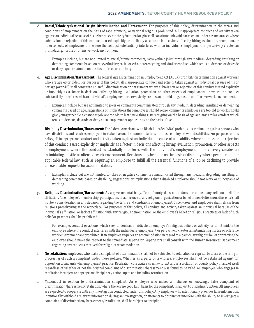- d. **Racial/Ethnicity/National Origin Discrimination and Harassment:** For purposes of this policy, discrimination in the terms and conditions of employment on the basis of race, ethnicity, or national origin is prohibited. All inappropriate conduct and activity taken against an individual because of his or her race/ ethnicity/national origin shall constitute unlawful harassment under circumstances where submission or rejection of this conduct is used explicitly or implicitly as a factor in decisions affecting hiring, evaluation, promotion, or other aspects of employment or where the conduct substantially interferes with an individual's employment or pervasively creates an intimidating, hostile or offensive work environment.
	- i. Examples include, but are not limited to, racial/ethnic comments, racial/ethnic jokes through any medium; degrading, insulting or demeaning comments based on race/ethnicity; racial or ethnic stereotyping and similar conduct which tends to demean or degrade or deny equal treatment on the basis of race or ethnicity.
- e. **Age Discrimination/Harassment:** The federal Age Discrimination in Employment Act (ADEA) prohibits discrimination against workers who are age 40 or older. For purposes of this policy, all inappropriate conduct and activity taken against an individual because of his or her age (over 40) shall constitute unlawful discrimination or harassment where submission or rejection of this conduct is used explicitly or implicitly as a factor in decisions affecting hiring, evaluation, promotion, or other aspects of employment or where the conduct substantially interferes with an individual's employment or pervasively creates an intimidating, hostile or offensive work environment.
	- i. Examples include but are not limited to jokes or comments communicated through any medium; degrading, insulting or demeaning comments based on age, suggestions or implications that employees should retire, comments employees are too old to work, should give younger people a chance at job, are too old to learn new things; stereotyping on the basis of age and any similar conduct which tends to demean, degrade or deny equal employment opportunity on the basis of age.
- f. **Disability Discrimination/Harassment:** The federal Americans with Disabilities Act (ADA) prohibits discrimination against persons who have disabilities and requires employers to make reasonable accommodations for those employees with disabilities. For purposes of this policy, all inappropriate conduct and activity taken against an individual because of a disability where submission or rejection of this conduct is used explicitly or implicitly as a factor in decisions affecting hiring, evaluation, promotion, or other aspects of employment where the conduct substantially interferes with the individual's employment or pervasively creates an intimidating, hostile or offensive work environment. Decisions may be made on the basis of disability where permitted under applicable federal law, such as requiring an employee to fulfill all the essential functions of a job or declining to provide unreasonable requests for accommodation.
	- i. Examples include but are not limited to jokes or negative comments communicated through any medium; degrading, insulting or demeaning comments based on disability, suggestions or implications that a disabled employee should not work or is incapable of working.
- g. **Religious Discrimination/Harassment:** As a governmental body, Teton County does not endorse or oppose any religious belief or affiliation. An employee's membership, participation, or adherence to any religious organization or belief or non-belief/nonadherence shall not be a consideration in any decision regarding the terms and conditions of employment. Supervisors and employees shall refrain from religious proselytizing at the workplace. For purposes of this policy, all conduct and activity taken against an individual because of the individual's affiliation, or lack of affiliation with any religious denomination, or the employee's belief or religious practices or lack of such belief or practices shall be prohibited.
	- i. For example, conduct or actions which seek to demean or ridicule an employee's religious beliefs or activity, or to intimidate the employee where the conduct interferes with the individual's employment or pervasively creates an intimidating hostile or offensive work environment are prohibited. If an employee requires an accommodation in regard to a particular religious belief or practice, the employee should make the request to the immediate supervisor. Supervisors shall consult with the Human Resources Department regarding any requests received for religious accommodation.
- h. **No retaliation:** Employees who make a complaint of discrimination shall not be subjected to retaliation or reprisal because of the filing or processing of such a complaint under these policies. Whether as a party or a witness, employees shall not be retaliated against for opposition to any unlawful employment practice. Retaliation constitutes an unlawful act and is a violation of County policy in and of itself regardless of whether or not the original complaint of discrimination/harassment was found to be valid. An employee who engages in retaliation is subject to appropriate disciplinary action, up to and including termination.
- i. Misconduct in relation to a discrimination complaint: An employee who makes a malicious or knowingly false complaint of discrimination/harassment/retaliation, where there is no good faith basis for the complaint, is subject to disciplinary action. All employees are expected to cooperate with any investigation conducted under this policy. Any employee who intentionally provides false information, intentionally withholds relevant information during an investigation, or attempts to obstruct or interfere with the ability to investigate a complaint of discrimination/ harassment/ retaliation, shall be subject to discipline.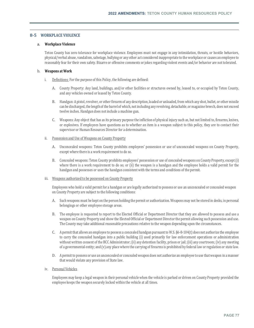### **8‐5 WORKPLACE VIOLENCE**

### a. **Workplace Violence**

Teton County has zero tolerance for workplace violence. Employees must not engage in any intimidation, threats, or hostile behaviors, physical/verbal abuse, vandalism, sabotage, bullying or any other act considered inappropriate to the workplace or causes an employee to reasonably fear for their own safety. Bizarre or offensive comments or jokes regarding violent events and/or behavior are not tolerated.

### b. **Weapons at Work**

- i. Definitions: For the purpose of this Policy, the following are defined:
	- A. County Property: Any land, buildings, and/or other facilities or structures owned by, leased to, or occupied by Teton County, and any vehicles owned or leased by Teton County.
	- B. Handgun: A pistol, revolver, or other firearm of any description, loaded or unloaded, from which any shot, bullet, or other missile can be discharged, the length of the barrel of which, not including any revolving, detachable, or magazine breech, does not exceed twelve inches. Handgun does not include a machine gun.
	- C. Weapons: Any object that has as its primary purpose the infliction of physical injury such as, but not limited to, firearms, knives, or explosives. If employees have questions as to whether an item is a weapon subject to this policy, they are to contact their supervisor or Human Resources Director for a determination.
- ii. Possession and Use of Weapons on County Property
	- A. Unconcealed weapons: Teton County prohibits employees' possession or use of unconcealed weapons on County Property, except where there is a work requirement to do so.
	- B. Concealed weapons: Teton County prohibits employees' possession or use of concealed weapons on County Property, except (i) where there is a work requirement to do so; or (ii) the weapon is a handgun and the employee holds a valid permit for the handgun and possesses or uses the handgun consistent with the terms and conditions of the permit.

### iii. Weapons authorized to be possessed on County Property

Employees who hold a valid permit for a handgun or are legally authorized to possess or use an unconcealed or concealed weapon on County Property are subject to the following conditions:

- A. Such weapons must be kept on the person holding the permit or authorization. Weapons may not be stored in desks, in personal belongings or other employee storage areas.
- B. The employee is requested to report to the Elected Official or Department Director that they are allowed to possess and use a weapon on County Property and show the Elected Official or Department Director the permit allowing such possession and use. The County may take additional reasonable precautions relative to the weapon depending upon the circumstances.
- C. A permit that allows an employee to possess a concealed handgun pursuant to W.S. §6-8-104(t) does not authorize the employee to carry the concealed handgun into a public building (i) used primarily for law enforcement operations or administration without written consent of the BCC Administrator; (ii) any detention facility, prison or jail; (iii) any courtroom; (iv) any meeting of a governmental entity; and (v) any place where the carrying of firearms is prohibited by federal law or regulation or state law.
- D. A permit to possess or use an unconcealed or concealed weapon does not authorize an employee to use that weapon in a manner that would violate any provision of State law.
- iv. Personal Vehicles

Employees may keep a legal weapon in their personal vehicle when the vehicle is parked or driven on County Property provided the employee keeps the weapon securely locked within the vehicle at all times.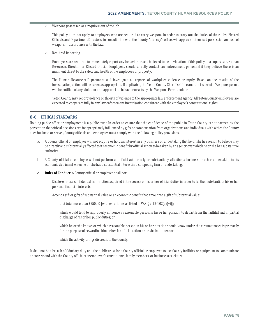### v. Weapons possessed as a requirement of the job

This policy does not apply to employees who are required to carry weapons in order to carry out the duties of their jobs. Elected Officials and Department Directors, in consultation with the County Attorney's office, will approve authorized possession and use of weapons in accordance with the law.

vi. Required Reporting

Employees are required to immediately report any behavior or acts believed to be in violation of this policy to a supervisor, Human Resources Director, or Elected Official. Employees should directly contact law enforcement personnel if they believe there is an imminent threat to the safety and health of the employees or property.

The Human Resources Department will investigate all reports of workplace violence promptly. Based on the results of the investigation, action will be taken as appropriate. If applicable, the Teton County Sheriff's Office and the issuer of a Weapons permit will be notified of any violation or inappropriate behavior or acts by the Weapons Permit holder.

Teton County may report violence or threats of violence to the appropriate law enforcement agency. All Teton County employees are expected to cooperate fully in any law enforcement investigation consistent with the employee's constitutional rights.

### **8‐6 ETHICAL STANDARDS**

Holding public office or employment is a public trust. In order to ensure that the confidence of the public in Teton County is not harmed by the perception that official decisions are inappropriately influenced by gifts or compensation from organizations and individuals with which the County does business or serves, County officials and employees must comply with the following policy provisions.

- a. A County official or employee will not acquire or hold an interest in any business or undertaking that he or she has reason to believe may be directly and substantially affected to its economic benefit by official action to be taken by an agency over which he or she has substantive authority.
- b. A County official or employee will not perform an official act directly or substantially affecting a business or other undertaking to its economic detriment when he or she has a substantial interest in a competing firm or undertaking.
- c. **Rules of Conduct:** A County official or employee shall not:
	- i. Disclose or use confidential information acquired in the course of his or her official duties in order to further substantiate his or her personal financial interests.
	- ii. Accept a gift or gifts of substantial value or an economic benefit that amount to a gift of substantial value:
		- that total more than \$250.00 [with exceptions as listed in W.S. §9-13-102(a)(vi)]; or
		- which would tend to improperly influence a reasonable person in his or her position to depart from the faithful and impartial discharge of his or her public duties; or
		- which he or she knows or which a reasonable person in his or her position should know under the circumstances is primarily for the purpose of rewarding him or her for official action he or she has taken; or
		- which the activity brings discredit to the County.

It shall not be a breach of fiduciary duty and the public trust for a County official or employee to use County facilities or equipment to communicate or correspond with the County official's or employee's constituents, family members, or business associates.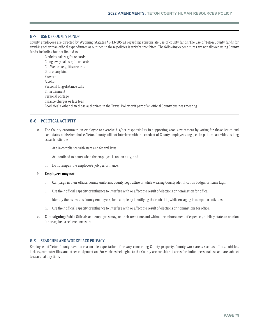### **8‐7 USE OF COUNTY FUNDS**

County employees are directed by Wyoming Statutes §9-13-105(a) regarding appropriate use of county funds. The use of Teton County funds for anything other than official expenditures as outlined in these policies is strictly prohibited. The following expenditures are not allowed using County funds, including but not limited to:

- Birthday cakes, gifts or cards
- Going away cakes, gifts or cards
- Get Well cakes, gifts or cards
- Gifts of any kind
- Flowers
- Alcohol
- Personal long-distance calls
- **Entertainment**
- Personal postage
- Finance charges or late fees
- Food Meals, other than those authorized in the Travel Policy or if part of an official County business meeting.

### **8‐8 POLITICAL ACTIVITY**

- a. The County encourages an employee to exercise his/her responsibility in supporting good government by voting for those issues and candidates of his/her choice. Teton County will not interfere with the conduct of County employees engaged in political activities as long as such activities:
	- i. Are in compliance with state and federal laws;
	- ii. Are confined to hours when the employee is not on duty; and
	- iii. Do not impair the employee's job performance.

### b. **Employees may not:**

- i. Campaign in their official County uniforms, County Logo attire or while wearing County identification badges or name tags.
- ii. Use their official capacity or influence to interfere with or affect the result of elections or nomination for office.
- iii. Identify themselves as County employees, for example by identifying their job title, while engaging in campaign activities.
- iv. Use their official capacity or influence to interfere with or affect the result of elections or nominations for office.
- c. **Campaigning:** Public Officials and employees may, on their own time and without reimbursement of expenses, publicly state an opinion for or against a referred measure.

### **8‐9 SEARCHES AND WORKPLACE PRIVACY**

Employees of Teton County have no reasonable expectation of privacy concerning County property. County work areas such as offices, cubicles, lockers, computer files, and other equipment and/or vehicles belonging to the County are considered areas for limited personal use and are subject to search at any time.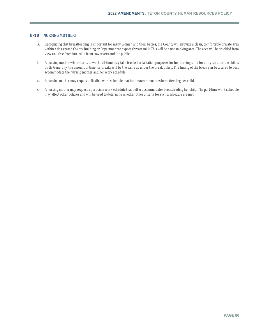### **8‐10 NURSING MOTHERS**

- a. Recognizing that breastfeeding is important for many women and their babies, the County will provide a clean, comfortable private area within a designated County Building or Department to express breast milk. This will be a nonsmoking area. The area will be shielded from view and free from intrusion from coworkers and the public.
- b. A nursing mother who returns to work full-time may take breaks for lactation purposes for her nursing child for one year after the child's birth. Generally, the amount of time for breaks will be the same as under the break policy. The timing of the break can be altered to best accommodate the nursing mother and her work schedule.
- c. A nursing mother may request a flexible work schedule that better accommodates breastfeeding her child.
- d. A nursing mother may request a part-time work schedule that better accommodates breastfeeding her child. The part-time work schedule may affect other policies and will be used to determine whether other criteria for such a schedule are met.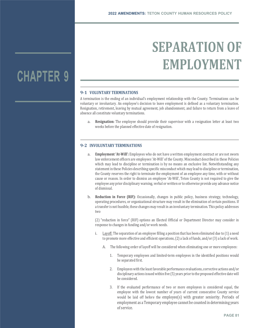# **SEPARATION OF EMPLOYMENT**

### **9‐1 VOLUNTARY TERMINATIONS**

A termination is the ending of an individual's employment relationship with the County. Terminations can be voluntary or involuntary. An employee's decision to leave employment is defined as a voluntary termination. Resignation, retirement, leaving by mutual agreement, job abandonment, and failure to return from a leave of absence all constitute voluntary terminations.

a. **Resignation:** The employee should provide their supervisor with a resignation letter at least two weeks before the planned effective date of resignation.

### **9‐2 INVOLUNTARY TERMINATIONS**

- a. **Employment 'At‐Will':** Employees who do not have a written employment contract or are not sworn law enforcement officers are employees 'At-Will' of the County. Misconduct described in these Policies which may lead to discipline or termination is by no means an exclusive list. Notwithstanding any statement in these Policies describing specific misconduct which may lead to discipline or termination, the County reserves the right to terminate the employment of an employee any time, with or without cause or reason. In order to dismiss an employee 'At-Will', Teton County is not required to give the employee any prior disciplinary warning, verbal or written or to otherwise provide any advance notice of dismissal.
- b. **Reduction in Force (RIF):** Occasionally, changes in public policy, business strategy, technology, operating procedures, or organizational structure may result in the elimination of certain positions. If a transfer is not feasible, these changes may result in an involuntary termination. This policy addresses two

(2) "reduction in force" (RIF) options an Elected Official or Department Director may consider in response to changes in funding and/or work needs.

- i. Layoff: The separation of an employee filling a position that has been eliminated due to (1) a need to promote more effective and efficient operations, (2) a lack of funds, and/or (3) a lack of work.
	- A. The following order of layoff will be considered when eliminating one or more employees:
		- 1. Temporary employees and limited-term employees in the identified positions would be separated first.
		- 2. Employees with the least favorable performance evaluations, corrective actions and/or disciplinary actions issued within five (5) years prior to the proposed effective date will be considered.
		- 3. If the evaluated performance of two or more employees is considered equal, the employee with the lowest number of years of current consecutive County service would be laid off before the employee(s) with greater seniority. Periods of employment as a Temporary employee cannot be counted in determining years of service.

# **CHAPTER 9**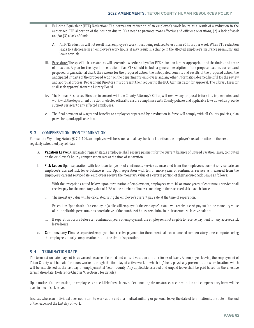- ii. Full-time Equivalent (FTE) Reduction: The permanent reduction of an employee's work hours as a result of a reduction in the authorized FTE allocation of the position due to (1) a need to promote more effective and efficient operations, (2) a lack of work and/or (3) a lack of funds.
	- A. An FTE reduction will not result in an employee's work hours being reduced to less than 20 hours per week. When FTE reduction leads to a decrease in an employee's work hours, it may result in a change in the affected employee's insurance premiums and leave accruals.
- iii. Procedure: The specific circumstances will determine whether a layoff or FTE reduction is most appropriate and the timing and order of an action. A plan for the layoff or reduction of an FTE should include a general description of the proposed action, current and proposed organizational chart, the reasons for the proposed action, the anticipated benefits and results of the proposed action, the anticipated impacts of the proposed action on the department's employees and any other information deemed helpful for the review and approval process. Department Directors must present their request to the BCC Administrator for approval. The Library Director shall seek approval from the Library Board.
- iv. The Human Resources Director, in concert with the County Attorney's Office, will review any proposal before it is implemented and work with the department director or elected official to ensure compliance with County policies and applicable laws as well as provide support services to any affected employees.
- v. The final payment of wages and benefits to employees separated by a reduction in force will comply with all County policies, plan provisions, and applicable law.

### **9‐3 COMPENSATION UPON TERMINATION**

Pursuant to Wyoming Statute §27-4-104, an employee will be issued a final paycheck no later than the employer's usual practice on the next regularly scheduled payroll date.

- a. **Vacation Leave:** A separated regular status employee shall receive payment for the current balance of unused vacation leave, computed on the employee's hourly compensation rate at the time of separation.
- b. **Sick Leave:** Upon separation with less than ten years of continuous service as measured from the employee's current service date, an employee's accrued sick leave balance is lost. Upon separation with ten or more years of continuous service as measured from the employee's current service date, employees receive the monetary value of a certain portion of their accrued Sick Leave as follows:
	- i. With the exceptions noted below, upon termination of employment, employees with 10 or more years of continuous service shall receive pay for the monetary value of 40% of the number of hours remaining in their accrued sick leave balance.
	- ii. The monetary value will be calculated using the employee's current pay rate at the time of separation.
	- iii. Exception: Upon death of an employee (while still employed), the employee's estate will receive a cash payout for the monetary value of the applicable percentage as noted above of the number of hours remaining in their accrued sick leave balance.
	- iv. If separation occurs before ten continuous years of employment, the employee is not eligible to receive payment for any accrued sick leave hours.
- c. **Compensatory Time:** A separated employee shall receive payment for the current balance of unused compensatory time, computed using the employee's hourly compensation rate at the time of separation.

### **9‐4 TERMINATION DATE**

The termination date may not be advanced because of earned and unused vacation or other forms of leave. An employee leaving the employment of Teton County will be paid for hours worked through the final day of active work in which he/she is physically present at the work location, which will be established as the last day of employment at Teton County. Any applicable accrued and unpaid leave shall be paid based on the effective termination date. (Reference Chapter 9, Section 3 for details)

Upon notice of a termination, an employee is not eligible for sick leave. If extenuating circumstances occur, vacation and compensatory leave will be used in lieu of sick leave.

In cases where an individual does not return to work at the end of a medical, military or personal leave, the date of termination is the date of the end of the leave, not the last day of work.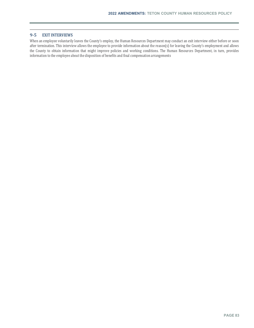### **9‐5 EXIT INTERVIEWS**

When an employee voluntarily leaves the County's employ, the Human Resources Department may conduct an exit interview either before or soon after termination. This interview allows the employee to provide information about the reason(s) for leaving the County's employment and allows the County to obtain information that might improve policies and working conditions. The Human Resources Department, in turn, provides information to the employee about the disposition of benefits and final compensation arrangements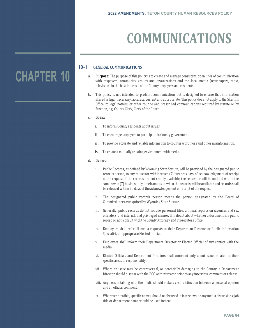# **COMMUNICATIONS**

### **10-1 GENERAL COMMUNICATIONS**

- a. **Purpose:** The purpose of this policy is to create and manage consistent, open lines of communication with taxpayers, community groups and organizations and the local media (newspapers, radio, television) in the best interests of the County taxpayers and residents.
- b. This policy is not intended to prohibit communication, but is designed to ensure that information shared is legal, necessary, accurate, current and appropriate. This policy does not apply to the Sheriff's Office, to legal notices, or other routine and prescribed communications required by statute or by function, e.g. County Clerk, Clerk of the Court.

### c. **Goals:**

- i. To inform County residents about issues.
- ii. To encourage taxpayers to participate in County government.
- iii. To provide accurate and reliable information to counteract rumors and other misinformation.
- iv. To create a mutually trusting environment with media.

### d. **General:**

- i. Public Records, as defined by Wyoming State Statute, will be provided by the designated public records person, to any requestor within seven (7) business days of acknowledgement of receipt of the request. If the records are not readily available, the requestor will be notified within the same seven (7) business day timeframe as to when the records will be available and records shall be released within 30 days of the acknowledgement of receipt of the request.
- ii. The designated public records person means the person designated by the Board of Commissioners as required by Wyoming State Statute.
- iii. Generally, public records do not include personnel files, criminal reports on juveniles and sex offenders, and internal, and privileged memos. If in doubt about whether a document is a public record or not, consult with the County Attorney and Prosecutors Office.
- iv. Employees shall refer all media requests to their Department Director or Public Information Specialist, or appropriate Elected Official.
- v. Employees shall inform their Department Director or Elected Official of any contact with the media.
- vi. Elected Officials and Department Directors shall comment only about issues related to their specific areas of responsibility.
- vii. Where an issue may be controversial, or potentially damaging to the County, a Department Director should discuss with the BCC Administrator prior to any interview, comment or release.
- viii. Any person talking with the media should make a clear distinction between a personal opinion and an official comment.
- ix. Wherever possible, specific names should not be used in interviews or any media discussions; job title or department name should be used instead.

# **CHAPTER 10**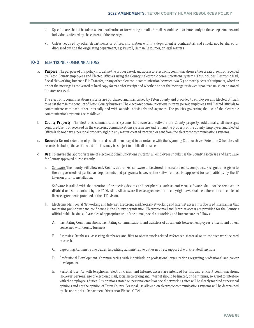- x. Specific care should be taken when distributing or forwarding e-mails. E-mails should be distributed only to those departments and individuals affected by the content of the message.
- xi. Unless required by other departments or offices, information within a department is confidential, and should not be shared or discussed outside the originating department, e.g. Payroll, Human Resources, or legal matters.

### **10-2 ELECTRONIC COMMUNICATIONS**

a. **Purpose:** The purpose of this policy is to define the proper use of, and access to, electronic communications either created, sent, or received by Teton County employees and Elected Officials using the County's electronic communications systems. This includes Electronic Mail, Social Networking, Internet, File Transfer, or any other electronic communication between two (2) or more pieces of equipment, whether or not the message is converted to hard copy format after receipt and whether or not the message is viewed upon transmission or stored for later retrieval.

The electronic communications systems are purchased and maintained by Teton County and provided to employees and Elected Officials to assist them in the conduct of Teton County business. The electronic communications systems permit employees and Elected Officials to communicate with each other internally and with outside individuals and agencies. The policies governing the use of the electronic communications systems are as follows:

- b. **County Property:** The electronic communications systems hardware and software are County property. Additionally, all messages composed, sent, or received on the electronic communications systems are and remain the property of the County. Employees and Elected Officials do not have a personal property right in any matter created, received or sent from the electronic communications systems.
- c. **Records:** Record retention of public records shall be managed in accordance with the Wyoming State Archives Retention Schedules. All records, including those of elected officials, may be subject to public disclosure.
- d. **Use:** To ensure the appropriate use of electronic communications systems, all employees should use the County's software and hardware for County approved purposes only.
	- i. Software. The County will allow only County authorized software to be stored or executed on its computers. Recognition is given to the unique needs of particular departments and programs; however, the software must be approved for compatibility by the IT Division prior to installation.

Software installed with the intention of protecting devices and peripherals, such as anti-virus software, shall not be removed or disabled unless authorized by the IT Division. All software license agreements and copyright laws shall be adhered to and copies of license agreements provided to the IT Division.

- ii. Electronic Mail, Social Networking and Internet. Electronic mail, Social Networking and Internet access must be used in a manner that maintains public trust and confidence in the County organization. Electronic mail and Internet access are provided for the County's official public business. Examples of appropriate use of the e-mail, social networking and Internet are as follows:
	- A. Facilitating Communications. Facilitating communications and transfers of documents between employees, citizens and others concerned with County business.
	- B. Assessing Databases. Assessing databases and files to obtain work-related referenced material or to conduct work related research.
	- C. Expediting Administrative Duties. Expediting administrative duties in direct support of work-related functions.
	- D. Professional Development. Communicating with individuals or professional organizations regarding professional and career development.
	- E. Personal Use. As with telephones, electronic mail and Internet access are intended for fast and efficient communications. However, personal use of electronic mail, social networking and Internet should be limited, or de minimis, so as not to interfere with the employee's duties. Any opinions stated on personal emails or social networking sites will be clearly marked as personal opinions and not the opinion of Teton County. Personal use allowed on electronic communications systems will be determined by the appropriate Department Director or Elected Official.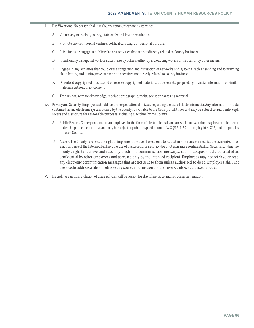- iii. Use Violations. No person shall use County communications systems to:
	- A. Violate any municipal, county, state or federal law or regulation.
	- B. Promote any commercial venture, political campaign, or personal purpose.
	- C. Raise funds or engage in public relations activities that are not directly related to County business.
	- D. Intentionally disrupt network or system use by others, either by introducing worms or viruses or by other means.
	- E. Engage in any activities that could cause congestion and disruption of networks and systems, such as sending and forwarding chain letters, and joining news subscription services not directly related to county business.
	- F. Download copyrighted music, send or receive copyrighted materials, trade secrets, proprietary financial information or similar materials without prior consent.
	- G. Transmit or, with foreknowledge, receive pornographic, racist, sexist or harassing material.
- iv. Privacy and Security. Employees should have no expectation of privacy regarding the use of electronic media. Any information or data contained in any electronic system owned by the County is available to the County at all times and may be subject to audit, intercept, access and disclosure for reasonable purposes, including discipline by the County.
	- A. Public Record. Correspondence of an employee in the form of electronic mail and/or social networking may be a public record under the public records law, and may be subject to public inspection under W.S. §16-4-201 through §16-4-205, and the policies of Teton County.
	- B. Access. The County reserves the right to implement the use of electronic tools that monitor and/or restrict the transmission of email and use of the Internet. Further, the use of passwords for security does not guarantee confidentiality. Notwithstanding the County's right to retrieve and read any electronic communication messages, such messages should be treated as confidential by other employees and accessed only by the intended recipient. Employees may not retrieve or read any electronic communication messages that are not sent to them unless authorized to do so. Employees shall not use a code, address a file, or retrieve any stored information of other users, unless authorized to do so.
- v. Disciplinary Action. Violation of these policies will be reason for discipline up to and including termination.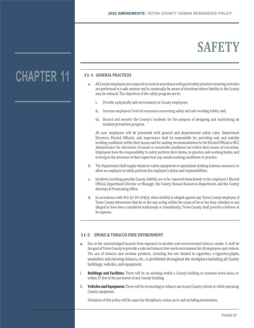# **SAFETY**

## **11‐1 GENERAL PRACTICES**

- a. All County employees are required to work in accordance with good safety practices ensuring activities are performed in a safe manner and to continually be aware of situations where liability to the County may be reduced. The objectives of the safety program are to:
	- i. Provide a physically safe environment to County employees;
	- ii. Increase employees' level of awareness concerning safety and safe working habits, and;
	- iii. Record and monitor the County's incidents for the purpose of designing and maintaining an incident prevention program.

All new employees will be presented with general and departmental safety rules. Department Directors, Elected Officials, and supervisors shall be responsible for providing safe and suitable working conditions within their means and for making recommendations to the Elected Official or BCC Administrator for alleviation of unsafe or unsuitable conditions not within their means of correction. Employees have the responsibility to safely perform their duties, to practice safe working habits, and to bring to the attention of their supervisor any unsafe working conditions or practice.

- b. The Department shall supply whatever safety equipment or specialized clothing it deems necessary to allow an employee to safely perform the employee's duties and responsibilities.
- c. Incidents involving possible County liability are to be reported immediately to the employee's Elected Official, Department Director or Manager, the County Human Resources Department, and the County Attorney & Prosecuting Office.
- d. In accordance with W.S. §1-39-104(b), when liability is alleged against any Teton County employee, if Teton County determines that he or she was acting within the scope of his or her duty, whether or not alleged to have been committed maliciously or fraudulently, Teton County shall provide a defense at its expense.

### **11‐2 SMOKE & TOBACCO‐FREE ENVIRONMENT**

- a. Due to the acknowledged hazards from exposure to nicotine and environmental tobacco smoke, it shall be the goal of Teton County to provide a safe and tobacco free work environment for all employees and visitors. The use of tobacco and nicotine products, including but not limited to cigarettes, e-cigarettes, pipes, smokeless and chewing tobacco, etc., is prohibited throughout the workplace including all County buildings, vehicles, and equipment.
- i. **Buildings and Facilities.** There will be no smoking within a County building or common work areas, or within 25 feet of the perimeter of any County building.
- ii. **Vehicles and Equipment.** There will be no smoking or tobacco use in any County vehicle or while operating County equipment.

Violations of this policy will be cause for disciplinary action up to and including termination.

# **CHAPTER 11**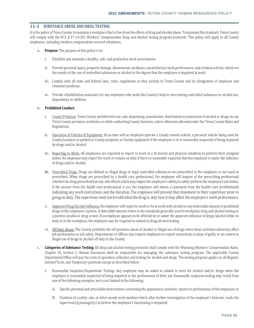### **11‐3 SUBSTANCE ABUSE AND DRUG TESTING**

It is the policy of Teton County to maintain a workplace that is free from the effects of drug and alcohol abuse. To maintain this standard, Teton County will comply with the W.S. § 27-14-201 Workers' Compensation Drug and Alcohol testing program protocols. This policy will apply to all County employees, including workers compensation covered volunteers.

- a. **Purpose:** The purpose of this policy is to:
	- i. Establish and maintain a healthy, safe, and productive work environment.
	- ii. Prevent personal injury, property damage, absenteeism, tardiness, unsatisfactory work performance, and criminal activity, which are the results of the use of controlled substances or alcohol to the degree that the employee is impaired at work.
	- iii. Comply with all state and federal laws, rules, regulations as they pertain to Teton County and its designation of employee and volunteer positions.
	- iv. Provide rehabilitation assistance for any employee who seeks the County's help in overcoming controlled substance or alcohol use, dependency or addition.

### b. **Prohibited Conduct**

- i. County Premises. Teton County prohibits the use, sale, dispensing, manufacture, distribution or possession of alcohol or drugs on any Teton County premises, worksites or while conducting County business, unless otherwise allowed under the Teton County Rules and Regulations.
- ii. Operation of Vehicles & Equipment. At no time will an employee operate a County owned vehicle, a personal vehicle being used for County business or parked on County property, or County equipment if the employee is or is reasonably suspected of being impaired by drugs and/or alcohol.
- iii. Reporting to Work. All employees are expected to report to work in a fit mental and physical condition to perform their assigned duties. No employee may report for work or remain on duty if there is reasonable suspicion that the employee is under the influence of drugs and/or alcohol.
- iv. Prescribed Drugs. Drugs are defined as illegal drugs or legal controlled substances not prescribed to the employee or not used as prescribed. When drugs are prescribed by a health care professional, the employee will inquire of the prescribing professional whether the drug prescribed has any side effects which may impair the employee's ability to safely perform the employee's job duties. If the answer from the health care professional is yes, the employee will obtain a statement from the health care professional indicating any work restrictions and the duration. The employee will present that statement to their supervisor prior to going on duty. The supervisor need not be told what the drug is, only how it may affect the employee's work performance.
- v. Apparent Drug/Alcohol Influence. No employee will report to work or be at work with alcohol or any detectable amount of prohibited drugs in the employee's system. A detectable amount refers to the standards generally used in workplace drug and alcohol testing or a positive alcohol or drug screen. If an employee appears to be affected by or under the apparent influence of drugs/alcohol while on duty or in the workplace, the employee may be required to submit to drug/alcohol testing.
- vi. Off Duty Abuse. The County prohibits the off-premises abuse of alcohol or illegal use of drugs when those activities adversely affect job performance or job safety. Departments or Offices may require employees to report convictions or pleas of guilty or no contest to illegal use of drugs or alcohol off duty to the County.
- c. **Categories of Substance Testing:** All drug and alcohol testing protocols shall comply with the Wyoming Workers' Compensation Rules, Chapter 10, Section 2. Human Resources shall be responsible for managing the substance testing program. The applicable County Department/Office will pay the costs of specimen collection and testing for alcohol and drugs. The testing program applies to all Regular, Limited Term, and Temporary positions except as described below.
	- i. Reasonable Suspicion/Impairment Testing**:** Any employee may be asked to submit to tests for alcohol and/or drugs when the employee is reasonably suspected of being impaired in the performance of their job. Reasonable suspicion testing may result from one of the following examples, but is not limited to the following:
		- A. Specific personal and articulable observations concerning the appearance, behavior, speech or performance of the employee; or
		- B. Violation of a safety rule, or other unsafe work incident which, after further investigation of the employee's behavior, leads the supervisor(s)/manager(s) to believe the employee's functioning is impaired;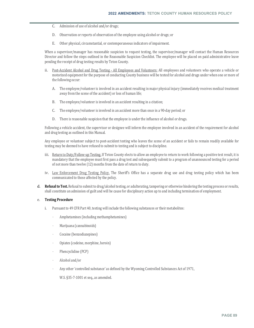- C. Admission of use of alcohol and/or drugs;
- D. Observation or reports of observation of the employee using alcohol or drugs; or
- E. Other physical, circumstantial, or contemporaneous indicators of impairment.

When a supervisor/manager has reasonable suspicion to request testing, the supervisor/manager will contact the Human Resources Director and follow the steps outlined in the Reasonable Suspicion Checklist. The employee will be placed on paid administrative leave pending the receipt of drug testing results by Teton County.

- ii. Post-Accident Alcohol and Drug Testing All Employees and Volunteers: All employees and volunteers who operate a vehicle or motorized equipment for the purpose of conducting County business will be tested for alcohol and drugs under when one or more of the following occur:
	- A. The employee/volunteer is involved in an accident resulting in major physical injury (immediately receives medical treatment away from the scene of the accident) or loss of human life;
	- B. The employee/volunteer is involved in an accident resulting in a citation;
	- C. The employee/volunteer is involved in an accident more than once in a 90-day period; or
	- D. There is reasonable suspicion that the employee is under the influence of alcohol or drugs.

Following a vehicle accident, the supervisor or designee will inform the employee involved in an accident of the requirement for alcohol and drug testing as outlined in this Manual.

Any employee or volunteer subject to post-accident testing who leaves the scene of an accident or fails to remain readily available for testing may be deemed to have refused to submit to testing and is subject to discipline.

- iii. Return to Duty/Follow-up Testing. If Teton County elects to allow an employee to return to work following a positive test result, it is mandatory that the employee must first pass a drug test and subsequently submit to a program of unannounced testing for a period of not more than twelve (12) months from the date of return to duty.
- iv. Law Enforcement Drug Testing Policy. The Sheriff's Office has a separate drug use and drug testing policy which has been communicated to those affected by the policy.
- d. **Refusalto Test.** Refusal to submit to drug/alcohol testing, or adulterating, tampering or otherwise hindering the testing process or results, shall constitute an admission of guilt and will be cause for disciplinary action up to and including termination of employment.

### e. **Testing Procedure**

- i. Pursuant to 49 CFR Part 40, testing will include the following substances or their metabolites:
	- Amphetamines (including methamphetamines)
	- Marijuana (cannabinoids)
	- Cocaine (benzodiazepines)
	- Opiates (codeine, morphine, heroin)
	- Phencyclidine (PCP)
	- Alcohol and/or
	- Any other 'controlled substance' as defined by the Wyoming Controlled Substances Act of 1971,

W.S. §35-7-1001 et seq., as amended.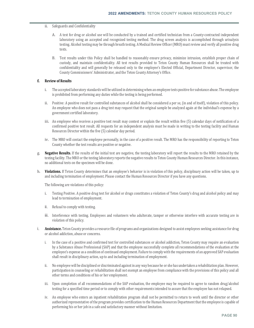### ii. Safeguards and Confidentiality

- A. A test for drug or alcohol use will be conducted by a trained and certified technician from a County-contracted independent laboratory using an accepted and recognized testing method. The drug screen analysis is accomplished through urinalysis testing. Alcohol testing may be through breath testing. A Medical Review Officer (MRO) must review and verify all positive drug tests.
- B. Test results under this Policy shall be handled to reasonably ensure privacy, minimize intrusion, establish proper chain of custody, and maintain confidentiality. All test results provided to Teton County Human Resources shall be treated with confidentiality and will generally be released only to the employee's Elected Official, Department Director, supervisor, the County Commissioners' Administrator, and the Teton County Attorney's Office.

### **f. Review of Results**

- i. The accepted laboratory standards will be utilized in determining when an employee tests positive for substance abuse. The employee is prohibited from performing any duties while the testing is being performed.
- ii. Positive: A positive result for controlled substances of alcohol shall be considered a per se, (in and of itself), violation of this policy. An employee who does not pass a drug test may request that the original sample be analyzed again at the individual's expense by a government certified laboratory.
- iii. An employee who receives a positive test result may contest or explain the result within five (5) calendar days of notification of a confirmed positive test result. All requests for an independent analysis must be made in writing to the testing facility and Human Resources Director within the five (5) calendar day period.
- iv. The MRO will contact the employee personally, in the case of a positive result. The MRO has the responsibility of reporting to Teton County whether the test results are positive or negative.
- g. **Negative Results.** If the results of the initial test are negative, the testing laboratory will report the results to the MRO retained by the testing facility. The MRO or the testing laboratory reports the negative results to Teton County Human Resources Director. In this instance, no additional tests on the specimen will be done.
- h. **Violations.** If Teton County determines that an employee's behavior is in violation of this policy, disciplinary action will be taken, up to and including termination of employment. Please contact the Human Resources Director if you have any questions.

The following are violations of this policy:

- i. Testing Positive. A positive drug test for alcohol or drugs constitutes a violation of Teton County's drug and alcohol policy and may lead to termination of employment.
- ii. Refusal to comply with testing.
- iii. Interference with testing. Employees and volunteers who adulterate, tamper or otherwise interfere with accurate testing are in violation of this policy.
- i. **Assistance.** Teton County provides a resource file of programs and organizations designed to assist employees seeking assistance for drug or alcohol addiction, abuse or concerns.
	- i. In the case of a positive and confirmed test for controlled substances or alcohol addiction, Teton County may require an evaluation by a Substance Abuse Professional (SAP) and that the employee successfully complete all recommendations of the evaluation at the employee's expense as a condition of continued employment. Failure to comply with the requirements of an approved SAP evaluation shall result in disciplinary action, up to and including termination of employment.
	- ii. No employee will be disciplined or discriminated against in any way because he or she has undertaken a rehabilitation plan. However, participation in counseling or rehabilitation shall not exempt an employee from compliance with the provisions of this policy and all other terms and conditions of his or her employment.
	- iii. Upon completion of all recommendations of the SAP evaluation, the employee may be required to agree to random drug/alcohol testing for a specified time period or to comply with other requirements intended to assure that the employee has not relapsed.
	- iv. An employee who enters an inpatient rehabilitation program shall not be permitted to return to work until the director or other authorized representative of the program provides certification to the Human Resources Department that the employee is capable of performing his or her job in a safe and satisfactory manner without limitation.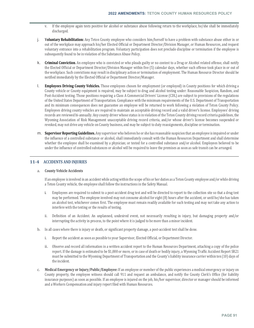- v. If the employee again tests positive for alcohol or substance abuse following return to the workplace, he/she shall be immediately discharged.
- j. **Voluntary Rehabilitation:** Any Teton County employee who considers him/herself to have a problem with substance abuse either in or out of the workplace may approach his/her Elected Official or Department Director/Division Manager, or Human Resources, and request voluntary entrance into a rehabilitation program. Voluntary participation does not preclude discipline or termination if the employee is subsequently found to be in violation of the Substance Abuse Policy.
- k. **Criminal Conviction.** An employee who is convicted or who pleads guilty or no contest to a Drug or Alcohol related offense, shall notify the Elected Official or Department Director/Division Manager within five (5) calendar days, whether such offense took place in or out of the workplace. Such convictions may result in disciplinary action or termination of employment. The Human Resource Director should be notified immediately by the Elected Official or Department Director/Manager.
- l. **Employees Driving County Vehicles.** Those employees chosen for employment (or employed) in County positions for which driving a County vehicle or County equipment is required, may be subject to drug and alcohol testing under: Reasonable Suspicion, Random, and Post-Accident testing. Those positions requiring a Class A Commercial Drivers' License (CDL) are subject to provisions of the regulations of the United States Department of Transportation. Compliance with the minimum requirements of the U.S. Department of Transportation and its minimum consequences does not guarantee an employee will be returned to work following a violation of Teton County Policy. Employees driving county vehicles are required to maintain an acceptable driving record and a valid driver's license. Employees' driving records are reviewed bi-annually. Any county driver whose status is in violation of the Teton County driving record criteria guidelines, the Wyoming Association of Risk Management unacceptable driving record criteria, and/or whose driver's license becomes suspended or revoked, may not drive any vehicle on County business, and may be subject to duty reassignments, discipline or termination.
- m. **Supervisor Reporting Guidelines.** Any supervisor who believes he or she has reasonable suspicion that an employee is impaired or under the influence of a controlled substance or alcohol, shall immediately consult with the Human Resources Department and shall determine whether the employee shall be examined by a physician; or tested for a controlled substance and/or alcohol. Employees believed to be under the influence of controlled substances or alcohol will be required to leave the premises as soon as safe transit can be arranged.

### **11‐4 ACCIDENTS AND INJURIES**

### a. **County Vehicle Accidents**

If an employee is involved in an accident while acting within the scope of his or her duties as a Teton County employee and/or while driving a Teton County vehicle, the employee shall follow the instructions in the Safety Manual.

- i. Employees are required to submit to a post-accident drug test and will be directed to report to the collection site so that a drug test may be performed. The employee involved may not consume alcohol for eight (8) hours after the accident, or until he/she has taken an alcohol test, whichever comes first. The employee must remain readily available for such testing and may not take any action to interfere with the testing or the results of testing.
- ii. Definition of an Accident. An unplanned, undesired event, not necessarily resulting in injury, but damaging property and/or interrupting the activity in process, to the point where it is judged to be more than a minor incident.
- b. In all cases where there is injury or death, or significant property damage, a post-accident test shall be done.
	- i. Report the accident as soon as possible to your Supervisor, Elected Official, or Department Director.
	- ii. Observe and record all information in a written accident report to the Human Resources Department, attaching a copy of the police report. If the damage is estimated to be \$1,000 or more, or in case of death or bodily injury, a Wyoming Traffic Accident Report SR21 must be submitted to the Wyoming Department of Transportation and the County's liability insurance carrier within ten (10) days of the incident.
- c. **Medical Emergency or Injury/Public/Employee:** If an employee or member of the public experiences a medical emergency or injury on County property, the employee witness should call 911 and request an ambulance, and notify the County Clerk's Office (for liability insurance purposes) as soon as possible. If an employee is injured on the job, his/her supervisor, director or manager should be informed and a Workers Compensation and injury report filed with Human Resources.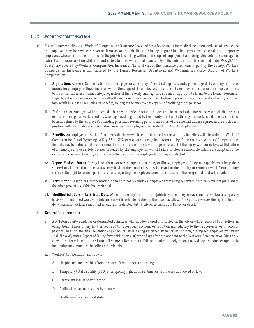### **11‐5 WORKERS' COMPENSATION**

- a. Teton County complies with Workers' Compensation Insurance Laws and provides payment for medical treatment and part of any income the employee may lose while recovering from an on-the-job illness or injury. Regular full-time, part-time, seasonal, and temporary employees who are injured or disabled on the job while working within their scope of employment and designated volunteers engaged in extra- hazardous occupation while responding to situations where health and safety of the public are at risk as defined under W.S. §27-14- 108(e), are covered by Workers' Compensation Insurance. The total cost of the insurance premiums is paid by the County. Workers' Compensation Insurance is administered by the Human Resources Department and Wyoming Workforce Division of Workers' Compensation.
	- i. **Application.** Workers' Compensation Insurance pays for an employee's medical expenses and a percentage of the employee's loss of income for an injury or illness incurred within the scope of the employee's job duties. The employee must report the injury or illness to his or her supervisor immediately, regardless of the severity, and sign and submit all appropriate forms to the Human Resources Department within seventy-two hours after the injury or illness has occurred. Failure to promptly report a job-related injury or illness may result in a loss or reduction of benefits, so long as the employee is capable of notifying the supervisor.
	- ii. **Definition.** An employee will be deemed to be on workers' compensation leave until he or she is able to resume essential job functions on his or her regular work schedule, when approval is granted by the County to return to the regular work schedule on a restricted basis as defined by the employee's attending physician, resuming performance of all of the essential duties required in the employee's position with reasonable accommodation, or when the employee is separated from County employment.
	- iii. **Benefits.** An employee on workers' compensation leave will be entitled to receive the statutory benefits available under the Workers' Compensation Act of Wyoming, W.S. § 27-14-207, et seq., and as may be determined by Teton County's Workers' Compensation. Benefits may be reduced if it is determined that the injury or illness was not job related, that the injury was caused by a willful failure of an employee to use safety devices provided by the employer or willful failure to obey a reasonable safety rule adopted by the employer, or where the injury results from intoxication of the employee from drugs or alcohol.
	- iv. **Report Medical Status**. During leave for a workers' compensation injury or illness, employees, if they are capable, must keep their supervisors informed on at least a weekly basis of their medical status in regard to their ability to return to work. Teton County reserves the right to request periodic reports regarding the employee's medical status from the designated medical provider.
	- v. **Termination.** A workers' compensation claim does not preclude an employee from being separated from employment pursuant to the other provisions of this Policy Manual.
	- vi. **Modified Schedule or Restricted Duty.** While recovering from an on-the-job injury, an employee may return to work on a temporary basis with a modified work schedule and/or with restricted duties as the case may allow. The County reserves the right to limit or deny return to work on a modified schedule or restricted duty. (Reference Light Duty Policy for details.)

### b. **General Requirements:**

- i. Any Teton County employee or designated volunteer who may be injured or disabled on the job, or who is exposed to or suffers an occupational illness of any kind, is required to report such incident or condition immediately to their supervisor, or as soon as practical, but not later than seventy-two (72 hours) after having sustained an injury. In addition, the injured employee/volunteer shall file a Wyoming Report of Injury form within ten (10) work days after the accident to the Workers' Compensation Division; a copy of the form is sent to the Human Resources Department. Failure to submit timely reports may delay or endanger applicable indemnity and/or medical benefits to individuals.
- ii. Workers' Compensation may pay for:
	- A. Hospital and medical bills from the date of the compensable injury;
	- B. Temporary total disability (TTD) or temporary light duty; i.e., time lost from work as allowed by law;
	- C. Permanent loss of body function;
	- D. Artificial replacement as set by statute;
	- E. Death benefits as set by statute.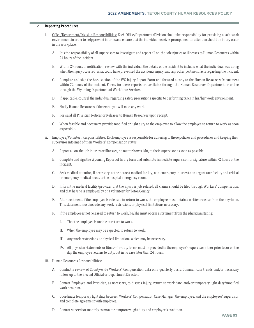### c. **Reporting Procedures:**

- i. Office/Department/Division Responsibilities: Each Office/Department/Division shall take responsibility for providing a safe work environment in order to help prevent injuries and ensure that the individual receives prompt medical attention should an injury occur in the workplace.
	- A. It is the responsibility of all supervisors to investigate and report all on-the-job injuries or illnesses to Human Resources within 24 hours of the incident.
	- B. Within 24 hours of notification, review with the individual the details of the incident to include: what the individual was doing when the injury occurred, what could have prevented the accident/ injury, and any other pertinent facts regarding the incident.
	- C. Complete and sign the back section of the WC Injury Report Form and forward a copy to the Human Resources Department within 72 hours of the incident. Forms for these reports are available through the Human Resources Department or online through the Wyoming Department of Workforce Services.
	- D. If applicable, counsel the individual regarding safety precautions specific to performing tasks in his/her work environment.
	- E. Notify Human Resources if the employee will miss any work.
	- F. Forward all Physician Notices or Releases to Human Resources upon receipt.
	- G. When feasible and necessary, provide modified or light duty to the employee to allow the employee to return to work as soon as possible.
- ii. Employee/Volunteer Responsibilities: Each employee is responsible for adhering to these policies and procedures and keeping their supervisor informed of their Workers' Compensation status.
	- A. Report all on-the-job injuries or illnesses, no matter how slight, to their supervisor as soon as possible.
	- B. Complete and sign the Wyoming Report of Injury form and submit to immediate supervisor for signature within 72 hours of the incident.
	- C. Seek medical attention, if necessary, at the nearest medical facility; non-emergency injuries to an urgent care facility and critical or emergency medical needs to the hospital emergency room.
	- D. Inform the medical facility/provider that the injury is job related, all claims should be filed through Workers' Compensation, and that he/she is employed by or a volunteer for Teton County.
	- E. After treatment, if the employee is released to return to work, the employee must obtain a written release from the physician. This statement must include any work restrictions or physical limitations necessary.
	- F. If the employee is not released to return to work, he/she must obtain a statement from the physician stating:
		- I. That the employee is unable to return to work.
		- II. When the employee may be expected to return to work.
		- III. Any work restrictions or physical limitations which may be necessary.
		- IV. All physician statements or fitness-for-duty forms must be provided to the employee's supervisor either prior to, or on the day the employee returns to duty, but in no case later than 24 hours.
- iii. Human Resources Responsibilities:
	- A. Conduct a review of County-wide Workers' Compensation data on a quarterly basis. Communicate trends and/or necessary follow up to the Elected Official or Department Director.
	- B. Contact Employee and Physician, as necessary, to discuss injury, return to work date, and/or temporary light duty/modified work program.
	- C. Coordinate temporary light duty between Workers' Compensation Case Manager, the employee, and the employees' supervisor and complete agreement with employee.
	- D. Contact supervisor monthly to monitor temporary light duty and employee's condition.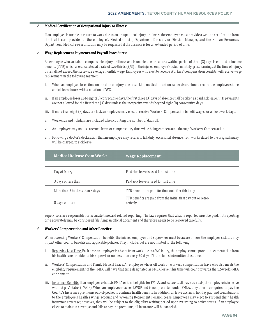### d. **Medical Certification of Occupational Injury or Illness:**

If an employee is unable to return to work due to an occupational injury or illness, the employee must provide a written certification from the health care provider to the employee's Elected Official, Department Director, or Division Manager, and the Human Resources Department. Medical re-certification may be requested if the absence is for an extended period of time.

### e. **Wage Replacement Payments and Payroll Procedures:**

An employee who sustains a compensable injury or illness and is unable to work after a waiting period of three (3) days is entitled to income benefits (TTD) which are calculated at a rate of two-thirds (2/3) of the injured employee's actual monthly gross earnings at the time of injury, but shall not exceed the statewide average monthly wage. Employees who elect to receive Workers' Compensation benefits will receive wage replacement in the following manner:

- i. When an employee loses time on the date of injury due to seeking medical attention, supervisors should record the employee's time as sick leave hours with a notation of 'WC'.
- ii. If an employee loses up to eight (8) consecutive days, the first three (3) days of absence shall be taken as paid sick leave. TTD payments are not allowed for the first three (3) days unless the incapacity extends beyond eight (8) consecutive days.
- iii. If more than eight (8) days are lost, an employee may elect to receive Workers' Compensation benefit wages for all lost work days.
- vi. Weekends and holidays are included when counting the number of days off.
- vii. An employee may not use accrued leave or compensatory time while being compensated through Workers' Compensation.
- viii. Following a doctor's declaration that an employee may return to full duty, occasional absence from work related to the original injury will be charged to sick leave.

| <b>Medical Release from Work:</b> | <b>Wage Replacement:</b>                                                   |
|-----------------------------------|----------------------------------------------------------------------------|
|                                   |                                                                            |
| Day of Injury                     | Paid sick leave is used for lost time                                      |
| 3 days or less than               | Paid sick leave is used for lost time                                      |
| More than 3 but less than 8 days  | TTD benefits are paid for time out after third day                         |
| 8 days or more                    | TTD benefits are paid from the initial first day out or retro-<br>actively |

Supervisors are responsible for accurate timecard related reporting. The law requires that what is reported must be paid; not reporting time accurately may be considered falsifying an official document and therefore needs to be reviewed carefully.

### f. **Workers' Compensation and Other Benefits:**

When accessing Workers' Compensation benefits, the injured employee and supervisor must be aware of how the employee's status may impact other county benefits and applicable policies. They include, but are not limited to, the following:

- i. Reporting Lost Time. Each time an employee is absent from work due to a WC injury, the employee must provide documentation from his health care provider to his supervisor not less than every 30 days. This includes intermittent lost time.
- ii. Workers' Compensation and Family Medical Leave. An employee who is off work on workers' compensation leave who also meets the eligibility requirements of the FMLA will have that time designated as FMLA leave. This time will count towards the 12-week FMLA entitlement.
- iii. Insurance Benefits. If an employee exhausts FMLA or is not eligible for FMLA, and exhausts all leave accruals, the employee is in 'leave without pay' status (LWOP). When an employee reaches LWOP and is not protected under FMLA, they then are required to pay the County's Insurance premiums out- of-pocket to continue health benefits. In addition, all leave accruals, holiday pay, and contributions to the employee's health savings account and Wyoming Retirement Pension cease. Employees may elect to suspend their health insurance coverage; however, they will be subject to the eligibility waiting period upon returning to active status. If an employee elects to maintain coverage and fails to pay the premiums, all insurance will be canceled.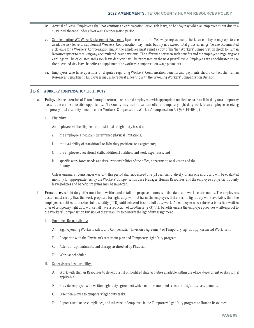- iv. Accrual of Leave. Employees shall not continue to earn vacation leave, sick leave, or holiday pay while an employee is out due to a sustained absence under a Workers' Compensation period.
- v. Supplementing WC Wage Replacement Payments. Upon receipt of the WC wage replacement check, an employee may opt to use available sick leave to supplement Workers' Compensation payments, but my not exceed total gross earnings. To use accumulated sick leave for a Workers' Compensation injury, the employee must remit a copy of his/her Workers' Compensation check to Human Resources prior to receiving any accumulated leave payments. The difference between such benefits and the employee's regular gross earnings will be calculated and a sick leave deduction will be processed on the next payroll cycle. Employees are not obligated to use their accrued sick leave benefits to supplement the workers' compensation wage payments.
- vi. Employees who have questions or disputes regarding Workers' Compensation benefits and payments should contact the Human Resources Department. Employees may also request a hearing with the Wyoming Workers' Compensation Division.

### **11‐6 WORKERS' COMPENSATION LIGHT DUTY**

- a. **Policy.** It is the intention of Teton County to return ill or injured employees, with appropriate medical release, to light duty on a temporary basis at the earliest possible opportunity. The County may make a written offer of temporary light duty work to an employee receiving temporary total disability benefits under Workers' Compensation. Workers' Compensation Act §27-14-404 (j)
	- i. Eligibility.

An employee will be eligible for transitional or light duty based on:

- A. the employee's medically determined physical limitations,
- B. the availability of transitional or light duty positions or assignments,
- C. the employee's vocational skills, additional abilities, and work experience, and
- D. specific work force needs and fiscal responsibilities of the office, department, or division and the County.

Unless unusual circumstances warrant, this period shall not exceed one (1) year cumulatively for any one injury and will be evaluated monthly for appropriateness by the Workers' Compensation Case Manager, Human Resources, and the employee's physician. County leave policies and benefit programs may be impacted.

- b. **Procedures.** A light duty offer must be in writing and detail the proposed hours, starting date, and work requirements. The employee's doctor must certify that the work proposed for light duty will not harm the employee. If there is no light duty work available, then the employee is entitled to his/her full disability (TTD) until released back to full duty work. An employee who refuses a bona fide written offer of temporary light duty work shall have a reduction of two-thirds (2/3) TTD benefits unless the employee provides written proof to the Workers' Compensation Division of their inability to perform the light duty assignment.
	- i. Employee Responsibility:
		- A. Sign Wyoming Worker's Safety and Compensation Division's Agreement of Temporary Light Duty/ Restricted Work form.
		- B. Cooperate with the Physician's treatment plan and Temporary Light Duty program.
		- C. Attend all appointments and therapy as directed by Physician.
		- D. Work as scheduled.
	- ii. Supervisor's Responsibility:
		- A. Work with Human Resources to develop a list of modified duty activities available within the office, department or division, if applicable.
		- B. Provide employee with written light duty agreement which outlines modified schedule and/or task assignments.
		- C. Orient employee to temporary light duty tasks.
		- D. Report attendance, compliance, and tolerance of employee in the Temporary Light Duty program to Human Resources.